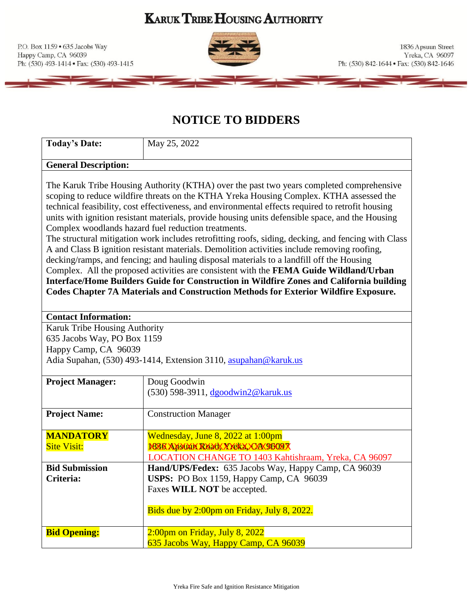**KARUK TRIBE HOUSING AUTHORITY** 

P.O. Box 1159 . 635 Jacobs Way Happy Camp, CA 96039 Ph: (530) 493-1414 · Fax: (530) 493-1415



# **NOTICE TO BIDDERS**

| <b>Today's Date:</b>                                                                                                                                                                                                                                                                                                                                   | May 25, 2022                                                                                                                                                                                                                                                                                                                                                                                                                                                                                                                                                                                                                                                                                                                                                                                                                                                                                                                                                                                                                              |  |
|--------------------------------------------------------------------------------------------------------------------------------------------------------------------------------------------------------------------------------------------------------------------------------------------------------------------------------------------------------|-------------------------------------------------------------------------------------------------------------------------------------------------------------------------------------------------------------------------------------------------------------------------------------------------------------------------------------------------------------------------------------------------------------------------------------------------------------------------------------------------------------------------------------------------------------------------------------------------------------------------------------------------------------------------------------------------------------------------------------------------------------------------------------------------------------------------------------------------------------------------------------------------------------------------------------------------------------------------------------------------------------------------------------------|--|
| <b>General Description:</b>                                                                                                                                                                                                                                                                                                                            |                                                                                                                                                                                                                                                                                                                                                                                                                                                                                                                                                                                                                                                                                                                                                                                                                                                                                                                                                                                                                                           |  |
|                                                                                                                                                                                                                                                                                                                                                        | The Karuk Tribe Housing Authority (KTHA) over the past two years completed comprehensive<br>scoping to reduce wildfire threats on the KTHA Yreka Housing Complex. KTHA assessed the<br>technical feasibility, cost effectiveness, and environmental effects required to retrofit housing<br>units with ignition resistant materials, provide housing units defensible space, and the Housing<br>Complex woodlands hazard fuel reduction treatments.<br>The structural mitigation work includes retrofitting roofs, siding, decking, and fencing with Class<br>A and Class B ignition resistant materials. Demolition activities include removing roofing,<br>decking/ramps, and fencing; and hauling disposal materials to a landfill off the Housing<br>Complex. All the proposed activities are consistent with the FEMA Guide Wildland/Urban<br>Interface/Home Builders Guide for Construction in Wildfire Zones and California building<br><b>Codes Chapter 7A Materials and Construction Methods for Exterior Wildfire Exposure.</b> |  |
| <b>Contact Information:</b>                                                                                                                                                                                                                                                                                                                            |                                                                                                                                                                                                                                                                                                                                                                                                                                                                                                                                                                                                                                                                                                                                                                                                                                                                                                                                                                                                                                           |  |
| Karuk Tribe Housing Authority<br>635 Jacobs Way, PO Box 1159<br>Happy Camp, CA 96039<br>Adia Supahan, (530) 493-1414, Extension 3110, asupahan@karuk.us                                                                                                                                                                                                |                                                                                                                                                                                                                                                                                                                                                                                                                                                                                                                                                                                                                                                                                                                                                                                                                                                                                                                                                                                                                                           |  |
| <b>Project Manager:</b>                                                                                                                                                                                                                                                                                                                                | Doug Goodwin<br>(530) 598-3911, dgoodwin2@karuk.us                                                                                                                                                                                                                                                                                                                                                                                                                                                                                                                                                                                                                                                                                                                                                                                                                                                                                                                                                                                        |  |
| <b>Project Name:</b>                                                                                                                                                                                                                                                                                                                                   | <b>Construction Manager</b>                                                                                                                                                                                                                                                                                                                                                                                                                                                                                                                                                                                                                                                                                                                                                                                                                                                                                                                                                                                                               |  |
| <b>MANDATORY</b><br>Wednesday, June 8, 2022 at 1:00pm<br><b>ISSK AKMAK RKXX X KKX, XXX Y609X</b><br><b>Site Visit:</b><br>LOCATION CHANGE TO 1403 Kahtishraam, Yreka, CA 96097<br>Hand/UPS/Fedex: 635 Jacobs Way, Happy Camp, CA 96039<br><b>Bid Submission</b><br>USPS: PO Box 1159, Happy Camp, CA 96039<br>Criteria:<br>Faxes WILL NOT be accepted. |                                                                                                                                                                                                                                                                                                                                                                                                                                                                                                                                                                                                                                                                                                                                                                                                                                                                                                                                                                                                                                           |  |
|                                                                                                                                                                                                                                                                                                                                                        | Bids due by 2:00pm on Friday, July 8, 2022.                                                                                                                                                                                                                                                                                                                                                                                                                                                                                                                                                                                                                                                                                                                                                                                                                                                                                                                                                                                               |  |
| <b>Bid Opening:</b>                                                                                                                                                                                                                                                                                                                                    | $2:00$ pm on Friday, July 8, 2022<br>635 Jacobs Way, Happy Camp, CA 96039                                                                                                                                                                                                                                                                                                                                                                                                                                                                                                                                                                                                                                                                                                                                                                                                                                                                                                                                                                 |  |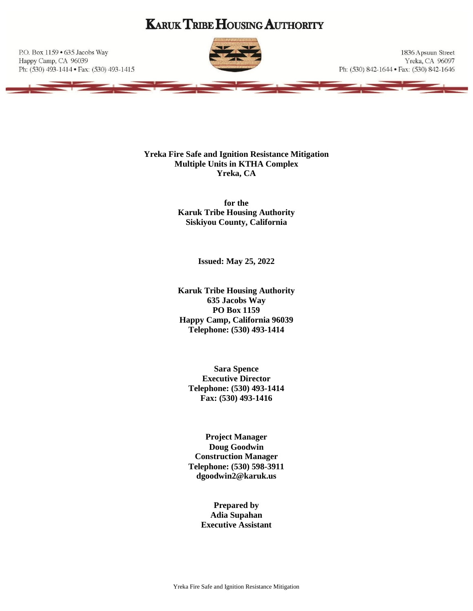# **KARUK TRIBE HOUSING AUTHORITY**

P.O. Box 1159 · 635 Jacobs Way Happy Camp, CA 96039 Ph: (530) 493-1414 · Fax: (530) 493-1415



1836 Apsuun Street Yreka, CA 96097 Ph: (530) 842-1644 • Fax: (530) 842-1646

**Yreka Fire Safe and Ignition Resistance Mitigation Multiple Units in KTHA Complex Yreka, CA**

> **for the Karuk Tribe Housing Authority Siskiyou County, California**

> > **Issued: May 25, 2022**

**Karuk Tribe Housing Authority 635 Jacobs Way PO Box 1159 Happy Camp, California 96039 Telephone: (530) 493-1414**

**Sara Spence Executive Director Telephone: (530) 493-1414 Fax: (530) 493-1416**

**Project Manager Doug Goodwin Construction Manager Telephone: (530) 598-3911 dgoodwin2@karuk.us**

> **Prepared by Adia Supahan Executive Assistant**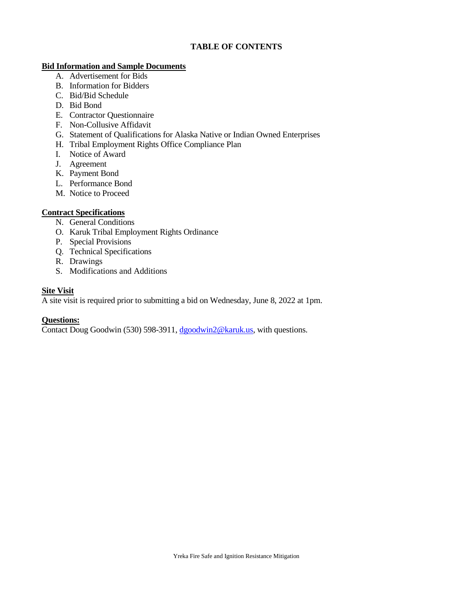### **TABLE OF CONTENTS**

#### **Bid Information and Sample Documents**

- A. Advertisement for Bids
- B. Information for Bidders
- C. Bid/Bid Schedule
- D. Bid Bond
- E. Contractor Questionnaire
- F. Non-Collusive Affidavit
- G. Statement of Qualifications for Alaska Native or Indian Owned Enterprises
- H. Tribal Employment Rights Office Compliance Plan
- I. Notice of Award
- J. Agreement
- K. Payment Bond
- L. Performance Bond
- M. Notice to Proceed

### **Contract Specifications**

- N. General Conditions
- O. Karuk Tribal Employment Rights Ordinance
- P. Special Provisions
- Q. Technical Specifications
- R. Drawings
- S. Modifications and Additions

### **Site Visit**

A site visit is required prior to submitting a bid on Wednesday, June 8, 2022 at 1pm.

### **Questions:**

Contact Doug Goodwin (530) 598-3911, [dgoodwin2@karuk.us,](mailto:dgoodwin2@karuk.us) with questions.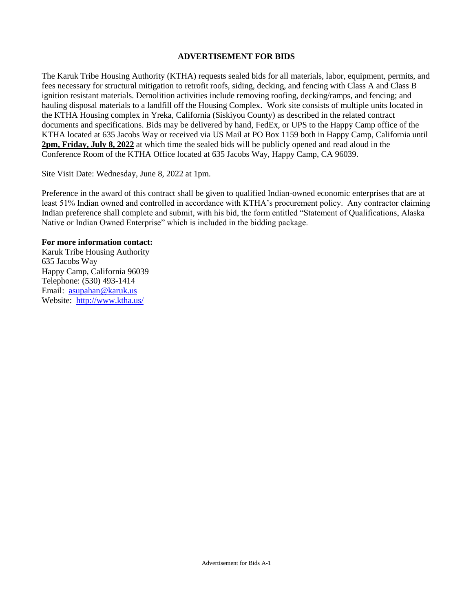#### **ADVERTISEMENT FOR BIDS**

The Karuk Tribe Housing Authority (KTHA) requests sealed bids for all materials, labor, equipment, permits, and fees necessary for structural mitigation to retrofit roofs, siding, decking, and fencing with Class A and Class B ignition resistant materials. Demolition activities include removing roofing, decking/ramps, and fencing; and hauling disposal materials to a landfill off the Housing Complex. Work site consists of multiple units located in the KTHA Housing complex in Yreka, California (Siskiyou County) as described in the related contract documents and specifications. Bids may be delivered by hand, FedEx, or UPS to the Happy Camp office of the KTHA located at 635 Jacobs Way or received via US Mail at PO Box 1159 both in Happy Camp, California until **2pm, Friday, July 8, 2022** at which time the sealed bids will be publicly opened and read aloud in the Conference Room of the KTHA Office located at 635 Jacobs Way, Happy Camp, CA 96039.

Site Visit Date: Wednesday, June 8, 2022 at 1pm.

Preference in the award of this contract shall be given to qualified Indian-owned economic enterprises that are at least 51% Indian owned and controlled in accordance with KTHA's procurement policy. Any contractor claiming Indian preference shall complete and submit, with his bid, the form entitled "Statement of Qualifications, Alaska Native or Indian Owned Enterprise" which is included in the bidding package.

#### **For more information contact:**

Karuk Tribe Housing Authority 635 Jacobs Way Happy Camp, California 96039 Telephone: (530) 493-1414 Email: [asupahan@karuk.us](mailto:asupahan@karuk.us) Website: <http://www.ktha.us/>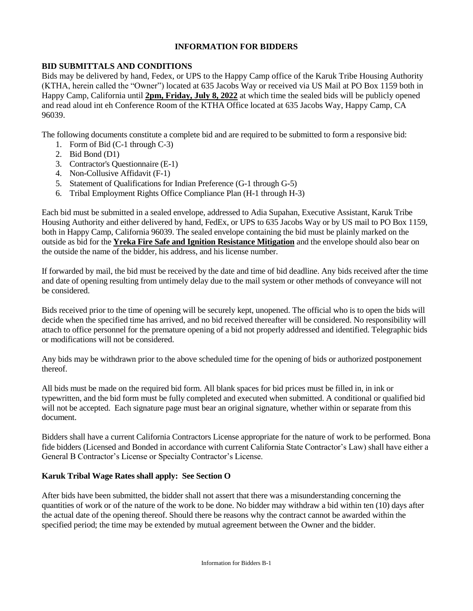### **INFORMATION FOR BIDDERS**

### **BID SUBMITTALS AND CONDITIONS**

Bids may be delivered by hand, Fedex, or UPS to the Happy Camp office of the Karuk Tribe Housing Authority (KTHA, herein called the "Owner") located at 635 Jacobs Way or received via US Mail at PO Box 1159 both in Happy Camp, California until **2pm, Friday, July 8, 2022** at which time the sealed bids will be publicly opened and read aloud int eh Conference Room of the KTHA Office located at 635 Jacobs Way, Happy Camp, CA 96039.

The following documents constitute a complete bid and are required to be submitted to form a responsive bid:

- 1. Form of Bid (C-1 through C-3)
- 2. Bid Bond (D1)
- 3. Contractor's Questionnaire (E-1)
- 4. Non-Collusive Affidavit (F-1)
- 5. Statement of Qualifications for Indian Preference (G-1 through G-5)
- 6. Tribal Employment Rights Office Compliance Plan (H-1 through H-3)

Each bid must be submitted in a sealed envelope, addressed to Adia Supahan, Executive Assistant, Karuk Tribe Housing Authority and either delivered by hand, FedEx, or UPS to 635 Jacobs Way or by US mail to PO Box 1159, both in Happy Camp, California 96039. The sealed envelope containing the bid must be plainly marked on the outside as bid for the **Yreka Fire Safe and Ignition Resistance Mitigation** and the envelope should also bear on the outside the name of the bidder, his address, and his license number.

If forwarded by mail, the bid must be received by the date and time of bid deadline. Any bids received after the time and date of opening resulting from untimely delay due to the mail system or other methods of conveyance will not be considered.

Bids received prior to the time of opening will be securely kept, unopened. The official who is to open the bids will decide when the specified time has arrived, and no bid received thereafter will be considered. No responsibility will attach to office personnel for the premature opening of a bid not properly addressed and identified. Telegraphic bids or modifications will not be considered.

Any bids may be withdrawn prior to the above scheduled time for the opening of bids or authorized postponement thereof.

All bids must be made on the required bid form. All blank spaces for bid prices must be filled in, in ink or typewritten, and the bid form must be fully completed and executed when submitted. A conditional or qualified bid will not be accepted. Each signature page must bear an original signature, whether within or separate from this document.

Bidders shall have a current California Contractors License appropriate for the nature of work to be performed. Bona fide bidders (Licensed and Bonded in accordance with current California State Contractor's Law) shall have either a General B Contractor's License or Specialty Contractor's License.

### **Karuk Tribal Wage Rates shall apply: See Section O**

After bids have been submitted, the bidder shall not assert that there was a misunderstanding concerning the quantities of work or of the nature of the work to be done. No bidder may withdraw a bid within ten (10) days after the actual date of the opening thereof. Should there be reasons why the contract cannot be awarded within the specified period; the time may be extended by mutual agreement between the Owner and the bidder.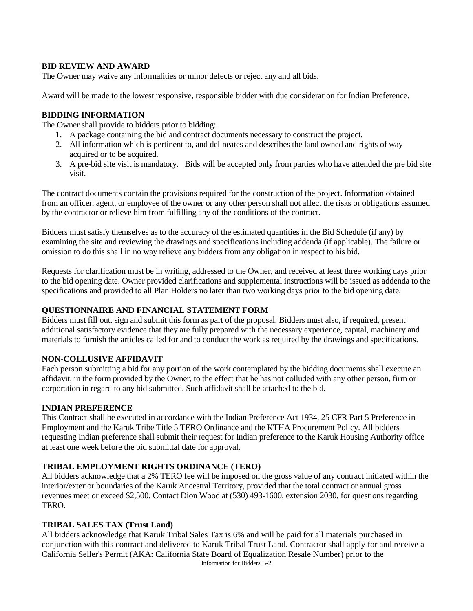#### **BID REVIEW AND AWARD**

The Owner may waive any informalities or minor defects or reject any and all bids.

Award will be made to the lowest responsive, responsible bidder with due consideration for Indian Preference.

#### **BIDDING INFORMATION**

The Owner shall provide to bidders prior to bidding:

- 1. A package containing the bid and contract documents necessary to construct the project.
- 2. All information which is pertinent to, and delineates and describes the land owned and rights of way acquired or to be acquired.
- 3. A pre-bid site visit is mandatory. Bids will be accepted only from parties who have attended the pre bid site visit.

The contract documents contain the provisions required for the construction of the project. Information obtained from an officer, agent, or employee of the owner or any other person shall not affect the risks or obligations assumed by the contractor or relieve him from fulfilling any of the conditions of the contract.

Bidders must satisfy themselves as to the accuracy of the estimated quantities in the Bid Schedule (if any) by examining the site and reviewing the drawings and specifications including addenda (if applicable). The failure or omission to do this shall in no way relieve any bidders from any obligation in respect to his bid.

Requests for clarification must be in writing, addressed to the Owner, and received at least three working days prior to the bid opening date. Owner provided clarifications and supplemental instructions will be issued as addenda to the specifications and provided to all Plan Holders no later than two working days prior to the bid opening date.

#### **QUESTIONNAIRE AND FINANCIAL STATEMENT FORM**

Bidders must fill out, sign and submit this form as part of the proposal. Bidders must also, if required, present additional satisfactory evidence that they are fully prepared with the necessary experience, capital, machinery and materials to furnish the articles called for and to conduct the work as required by the drawings and specifications.

### **NON-COLLUSIVE AFFIDAVIT**

Each person submitting a bid for any portion of the work contemplated by the bidding documents shall execute an affidavit, in the form provided by the Owner, to the effect that he has not colluded with any other person, firm or corporation in regard to any bid submitted. Such affidavit shall be attached to the bid.

#### **INDIAN PREFERENCE**

This Contract shall be executed in accordance with the Indian Preference Act 1934, 25 CFR Part 5 Preference in Employment and the Karuk Tribe Title 5 TERO Ordinance and the KTHA Procurement Policy. All bidders requesting Indian preference shall submit their request for Indian preference to the Karuk Housing Authority office at least one week before the bid submittal date for approval.

### **TRIBAL EMPLOYMENT RIGHTS ORDINANCE (TERO)**

All bidders acknowledge that a 2% TERO fee will be imposed on the gross value of any contract initiated within the interior/exterior boundaries of the Karuk Ancestral Territory, provided that the total contract or annual gross revenues meet or exceed \$2,500. Contact Dion Wood at (530) 493-1600, extension 2030, for questions regarding TERO.

#### **TRIBAL SALES TAX (Trust Land)**

Information for Bidders B-2 All bidders acknowledge that Karuk Tribal Sales Tax is 6% and will be paid for all materials purchased in conjunction with this contract and delivered to Karuk Tribal Trust Land. Contractor shall apply for and receive a California Seller's Permit (AKA: California State Board of Equalization Resale Number) prior to the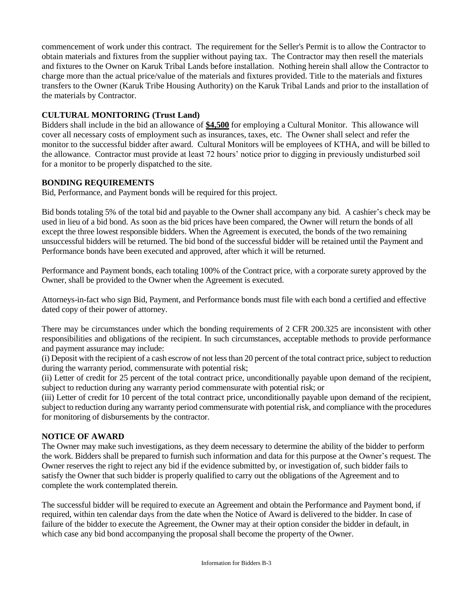commencement of work under this contract. The requirement for the Seller's Permit is to allow the Contractor to obtain materials and fixtures from the supplier without paying tax. The Contractor may then resell the materials and fixtures to the Owner on Karuk Tribal Lands before installation. Nothing herein shall allow the Contractor to charge more than the actual price/value of the materials and fixtures provided. Title to the materials and fixtures transfers to the Owner (Karuk Tribe Housing Authority) on the Karuk Tribal Lands and prior to the installation of the materials by Contractor.

### **CULTURAL MONITORING (Trust Land)**

Bidders shall include in the bid an allowance of **\$4,500** for employing a Cultural Monitor. This allowance will cover all necessary costs of employment such as insurances, taxes, etc. The Owner shall select and refer the monitor to the successful bidder after award. Cultural Monitors will be employees of KTHA, and will be billed to the allowance. Contractor must provide at least 72 hours' notice prior to digging in previously undisturbed soil for a monitor to be properly dispatched to the site.

### **BONDING REQUIREMENTS**

Bid, Performance, and Payment bonds will be required for this project.

Bid bonds totaling 5% of the total bid and payable to the Owner shall accompany any bid. A cashier's check may be used in lieu of a bid bond. As soon as the bid prices have been compared, the Owner will return the bonds of all except the three lowest responsible bidders. When the Agreement is executed, the bonds of the two remaining unsuccessful bidders will be returned. The bid bond of the successful bidder will be retained until the Payment and Performance bonds have been executed and approved, after which it will be returned.

Performance and Payment bonds, each totaling 100% of the Contract price, with a corporate surety approved by the Owner, shall be provided to the Owner when the Agreement is executed.

Attorneys-in-fact who sign Bid, Payment, and Performance bonds must file with each bond a certified and effective dated copy of their power of attorney.

There may be circumstances under which the bonding requirements of 2 CFR 200.325 are inconsistent with other responsibilities and obligations of the recipient. In such circumstances, acceptable methods to provide performance and payment assurance may include:

(i) Deposit with the recipient of a cash escrow of not less than 20 percent of the total contract price, subject to reduction during the warranty period, commensurate with potential risk;

(ii) Letter of credit for 25 percent of the total contract price, unconditionally payable upon demand of the recipient, subject to reduction during any warranty period commensurate with potential risk; or

(iii) Letter of credit for 10 percent of the total contract price, unconditionally payable upon demand of the recipient, subject to reduction during any warranty period commensurate with potential risk, and compliance with the procedures for monitoring of disbursements by the contractor.

### **NOTICE OF AWARD**

The Owner may make such investigations, as they deem necessary to determine the ability of the bidder to perform the work. Bidders shall be prepared to furnish such information and data for this purpose at the Owner's request. The Owner reserves the right to reject any bid if the evidence submitted by, or investigation of, such bidder fails to satisfy the Owner that such bidder is properly qualified to carry out the obligations of the Agreement and to complete the work contemplated therein.

The successful bidder will be required to execute an Agreement and obtain the Performance and Payment bond, if required, within ten calendar days from the date when the Notice of Award is delivered to the bidder. In case of failure of the bidder to execute the Agreement, the Owner may at their option consider the bidder in default, in which case any bid bond accompanying the proposal shall become the property of the Owner.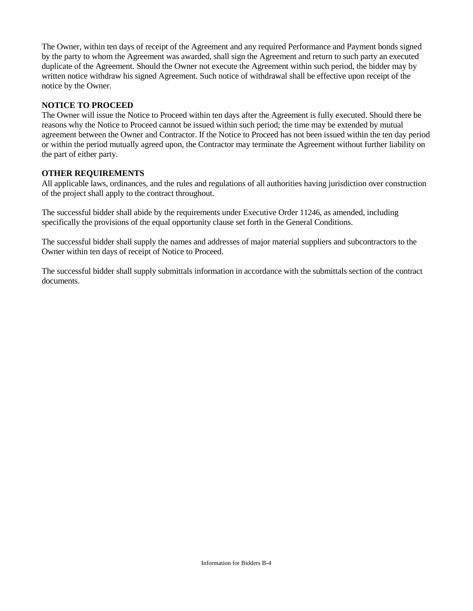The Owner, within ten days of receipt of the Agreement and any required Performance and Payment bonds signed by the party to whom the Agreement was awarded, shall sign the Agreement and return to such party an executed duplicate of the Agreement. Should the Owner not execute the Agreement within such period, the bidder may by written notice withdraw his signed Agreement. Such notice of withdrawal shall be effective upon receipt of the notice by the Owner.

#### **NOTICE TO PROCEED**

The Owner will issue the Notice to Proceed within ten days after the Agreement is fully executed. Should there be reasons why the Notice to Proceed cannot be issued within such period; the time may be extended by mutual agreement between the Owner and Contractor. If the Notice to Proceed has not been issued within the ten day period or within the period mutually agreed upon, the Contractor may terminate the Agreement without further liability on the part of either party.

#### **OTHER REQUIREMENTS**

All applicable laws, ordinances, and the rules and regulations of all authorities having jurisdiction over construction of the project shall apply to the contract throughout.

The successful bidder shall abide by the requirements under Executive Order 11246, as amended, including specifically the provisions of the equal opportunity clause set forth in the General Conditions.

The successful bidder shall supply the names and addresses of major material suppliers and subcontractors to the Owner within ten days of receipt of Notice to Proceed.

The successful bidder shall supply submittals information in accordance with the submittals section of the contract documents.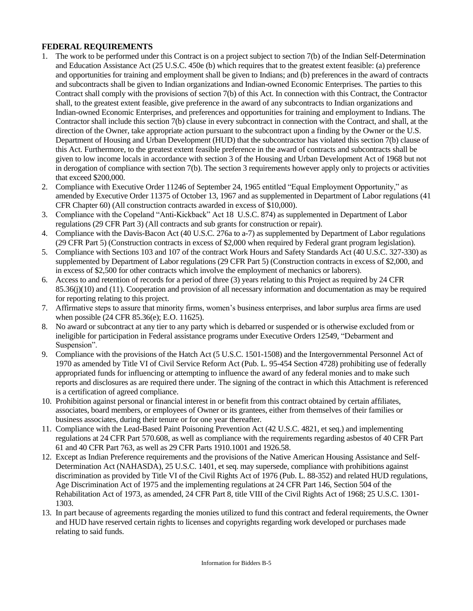### **FEDERAL REQUIREMENTS**

- 1. The work to be performed under this Contract is on a project subject to section 7(b) of the Indian Self-Determination and Education Assistance Act (25 U.S.C. 450e (b) which requires that to the greatest extent feasible: (a) preference and opportunities for training and employment shall be given to Indians; and (b) preferences in the award of contracts and subcontracts shall be given to Indian organizations and Indian-owned Economic Enterprises. The parties to this Contract shall comply with the provisions of section 7(b) of this Act. In connection with this Contract, the Contractor shall, to the greatest extent feasible, give preference in the award of any subcontracts to Indian organizations and Indian-owned Economic Enterprises, and preferences and opportunities for training and employment to Indians. The Contractor shall include this section 7(b) clause in every subcontract in connection with the Contract, and shall, at the direction of the Owner, take appropriate action pursuant to the subcontract upon a finding by the Owner or the U.S. Department of Housing and Urban Development (HUD) that the subcontractor has violated this section 7(b) clause of this Act. Furthermore, to the greatest extent feasible preference in the award of contracts and subcontracts shall be given to low income locals in accordance with section 3 of the Housing and Urban Development Act of 1968 but not in derogation of compliance with section 7(b). The section 3 requirements however apply only to projects or activities that exceed \$200,000.
- 2. Compliance with Executive Order 11246 of September 24, 1965 entitled "Equal Employment Opportunity," as amended by Executive Order 11375 of October 13, 1967 and as supplemented in Department of Labor regulations (41 CFR Chapter 60) (All construction contracts awarded in excess of \$10,000).
- 3. Compliance with the Copeland "Anti-Kickback" Act 18 U.S.C. 874) as supplemented in Department of Labor regulations (29 CFR Part 3) (All contracts and sub grants for construction or repair).
- 4. Compliance with the Davis-Bacon Act (40 U.S.C. 276a to a-7) as supplemented by Department of Labor regulations (29 CFR Part 5) (Construction contracts in excess of \$2,000 when required by Federal grant program legislation).
- 5. Compliance with Sections 103 and 107 of the contract Work Hours and Safety Standards Act (40 U.S.C. 327-330) as supplemented by Department of Labor regulations (29 CFR Part 5) (Construction contracts in excess of \$2,000, and in excess of \$2,500 for other contracts which involve the employment of mechanics or laborers).
- 6. Access to and retention of records for a period of three (3) years relating to this Project as required by 24 CFR 85.36(j)(10) and (11). Cooperation and provision of all necessary information and documentation as may be required for reporting relating to this project.
- 7. Affirmative steps to assure that minority firms, women's business enterprises, and labor surplus area firms are used when possible (24 CFR 85.36(e); E.O. 11625).
- 8. No award or subcontract at any tier to any party which is debarred or suspended or is otherwise excluded from or ineligible for participation in Federal assistance programs under Executive Orders 12549, "Debarment and Suspension".
- 9. Compliance with the provisions of the Hatch Act (5 U.S.C. 1501-1508) and the Intergovernmental Personnel Act of 1970 as amended by Title VI of Civil Service Reform Act (Pub. L. 95-454 Section 4728) prohibiting use of federally appropriated funds for influencing or attempting to influence the award of any federal monies and to make such reports and disclosures as are required there under. The signing of the contract in which this Attachment is referenced is a certification of agreed compliance.
- 10. Prohibition against personal or financial interest in or benefit from this contract obtained by certain affiliates, associates, board members, or employees of Owner or its grantees, either from themselves of their families or business associates, during their tenure or for one year thereafter.
- 11. Compliance with the Lead-Based Paint Poisoning Prevention Act (42 U.S.C. 4821, et seq.) and implementing regulations at 24 CFR Part 570.608, as well as compliance with the requirements regarding asbestos of 40 CFR Part 61 and 40 CFR Part 763, as well as 29 CFR Parts 1910.1001 and 1926.58.
- 12. Except as Indian Preference requirements and the provisions of the Native American Housing Assistance and Self-Determination Act (NAHASDA), 25 U.S.C. 1401, et seq. may supersede, compliance with prohibitions against discrimination as provided by Title VI of the Civil Rights Act of 1976 (Pub. L. 88-352) and related HUD regulations, Age Discrimination Act of 1975 and the implementing regulations at 24 CFR Part 146, Section 504 of the Rehabilitation Act of 1973, as amended, 24 CFR Part 8, title VIII of the Civil Rights Act of 1968; 25 U.S.C. 1301- 1303.
- 13. In part because of agreements regarding the monies utilized to fund this contract and federal requirements, the Owner and HUD have reserved certain rights to licenses and copyrights regarding work developed or purchases made relating to said funds.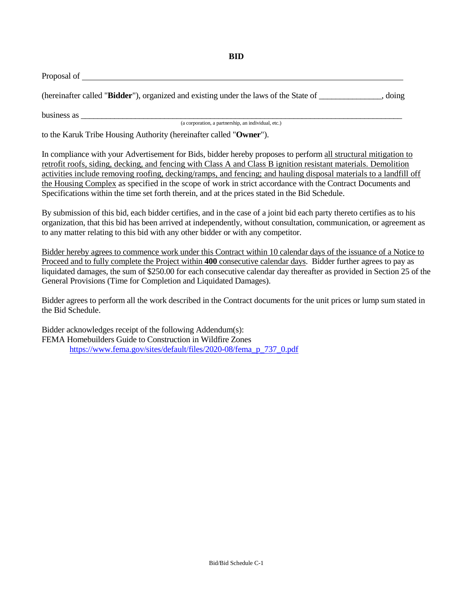| Proposal of                                                                          |       |
|--------------------------------------------------------------------------------------|-------|
| (hereinafter called "Bidder"), organized and existing under the laws of the State of | doing |

business as  $\overline{\phantom{a}}$ 

(a corporation, a partnership, an individual, etc.)

to the Karuk Tribe Housing Authority (hereinafter called "**Owner**").

In compliance with your Advertisement for Bids, bidder hereby proposes to perform all structural mitigation to retrofit roofs, siding, decking, and fencing with Class A and Class B ignition resistant materials. Demolition activities include removing roofing, decking/ramps, and fencing; and hauling disposal materials to a landfill off the Housing Complex as specified in the scope of work in strict accordance with the Contract Documents and Specifications within the time set forth therein, and at the prices stated in the Bid Schedule.

By submission of this bid, each bidder certifies, and in the case of a joint bid each party thereto certifies as to his organization, that this bid has been arrived at independently, without consultation, communication, or agreement as to any matter relating to this bid with any other bidder or with any competitor.

Bidder hereby agrees to commence work under this Contract within 10 calendar days of the issuance of a Notice to Proceed and to fully complete the Project within **400** consecutive calendar days. Bidder further agrees to pay as liquidated damages, the sum of \$250.00 for each consecutive calendar day thereafter as provided in Section 25 of the General Provisions (Time for Completion and Liquidated Damages).

Bidder agrees to perform all the work described in the Contract documents for the unit prices or lump sum stated in the Bid Schedule.

Bidder acknowledges receipt of the following Addendum(s): FEMA Homebuilders Guide to Construction in Wildfire Zones [https://www.fema.gov/sites/default/files/2020-08/fema\\_p\\_737\\_0.pdf](https://www.fema.gov/sites/default/files/2020-08/fema_p_737_0.pdf)

#### **BID**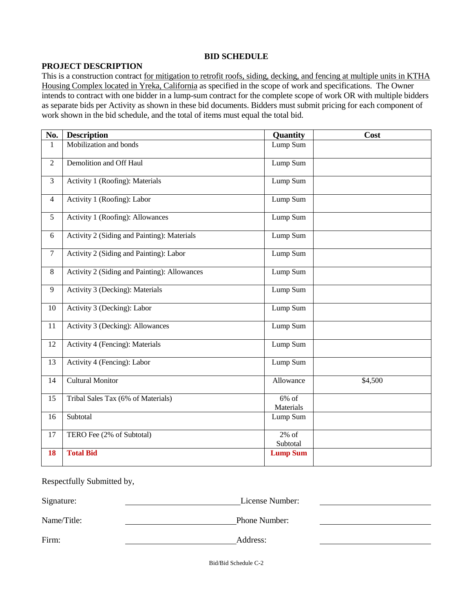#### **BID SCHEDULE**

#### **PROJECT DESCRIPTION**

This is a construction contract for mitigation to retrofit roofs, siding, decking, and fencing at multiple units in KTHA Housing Complex located in Yreka, California as specified in the scope of work and specifications. The Owner intends to contract with one bidder in a lump-sum contract for the complete scope of work OR with multiple bidders as separate bids per Activity as shown in these bid documents. Bidders must submit pricing for each component of work shown in the bid schedule, and the total of items must equal the total bid.

| No.            | <b>Description</b>                           | Quantity              | Cost    |
|----------------|----------------------------------------------|-----------------------|---------|
| $\mathbf{1}$   | Mobilization and bonds                       | Lump Sum              |         |
| $\overline{2}$ | Demolition and Off Haul                      | Lump Sum              |         |
| $\overline{3}$ | Activity 1 (Roofing): Materials              | Lump Sum              |         |
| $\overline{4}$ | Activity 1 (Roofing): Labor                  | Lump Sum              |         |
| 5              | Activity 1 (Roofing): Allowances             | Lump Sum              |         |
| 6              | Activity 2 (Siding and Painting): Materials  | Lump Sum              |         |
| $\tau$         | Activity 2 (Siding and Painting): Labor      | Lump Sum              |         |
| $8\,$          | Activity 2 (Siding and Painting): Allowances | Lump Sum              |         |
| 9              | Activity 3 (Decking): Materials              | Lump Sum              |         |
| 10             | Activity 3 (Decking): Labor                  | Lump Sum              |         |
| 11             | Activity 3 (Decking): Allowances             | Lump Sum              |         |
| 12             | Activity 4 (Fencing): Materials              | Lump Sum              |         |
| 13             | Activity 4 (Fencing): Labor                  | Lump Sum              |         |
| 14             | <b>Cultural Monitor</b>                      | Allowance             | \$4,500 |
| 15             | Tribal Sales Tax (6% of Materials)           | $6\%$ of<br>Materials |         |
| 16             | Subtotal                                     | Lump Sum              |         |
| 17             | TERO Fee (2% of Subtotal)                    | $2\%$ of<br>Subtotal  |         |
| 18             | <b>Total Bid</b>                             | <b>Lump Sum</b>       |         |

Respectfully Submitted by,

Signature: License Number:

Name/Title: Phone Number:

Firm: Address:

Bid/Bid Schedule C-2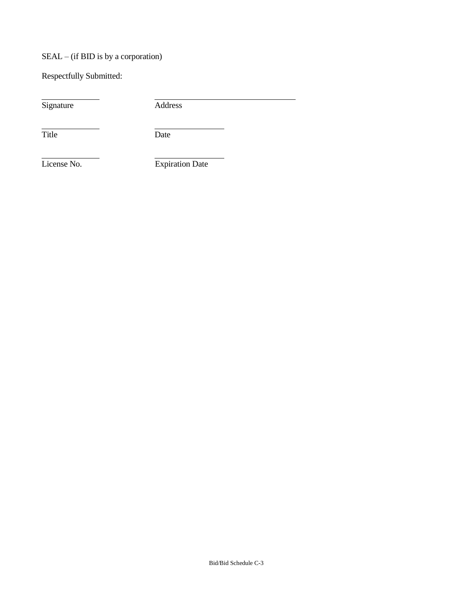# SEAL – (if BID is by a corporation)

Respectfully Submitted:

Signature Address

Title Date

License No. Expiration Date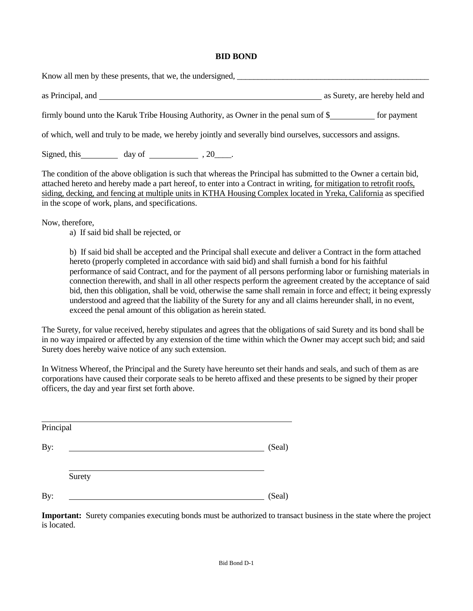#### **BID BOND**

Know all men by these presents, that we, the undersigned, as Principal, and **as Surety, and** as Surety, are hereby held and as Surety, are hereby held and firmly bound unto the Karuk Tribe Housing Authority, as Owner in the penal sum of \$ for payment of which, well and truly to be made, we hereby jointly and severally bind ourselves, successors and assigns.

Signed, this day of  $\frac{1}{20}$ , 20\_\_\_\_\_\_.

The condition of the above obligation is such that whereas the Principal has submitted to the Owner a certain bid, attached hereto and hereby made a part hereof, to enter into a Contract in writing, for mitigation to retrofit roofs, siding, decking, and fencing at multiple units in KTHA Housing Complex located in Yreka, California as specified in the scope of work, plans, and specifications.

Now, therefore,

a) If said bid shall be rejected, or

b) If said bid shall be accepted and the Principal shall execute and deliver a Contract in the form attached hereto (properly completed in accordance with said bid) and shall furnish a bond for his faithful performance of said Contract, and for the payment of all persons performing labor or furnishing materials in connection therewith, and shall in all other respects perform the agreement created by the acceptance of said bid, then this obligation, shall be void, otherwise the same shall remain in force and effect; it being expressly understood and agreed that the liability of the Surety for any and all claims hereunder shall, in no event, exceed the penal amount of this obligation as herein stated.

The Surety, for value received, hereby stipulates and agrees that the obligations of said Surety and its bond shall be in no way impaired or affected by any extension of the time within which the Owner may accept such bid; and said Surety does hereby waive notice of any such extension.

In Witness Whereof, the Principal and the Surety have hereunto set their hands and seals, and such of them as are corporations have caused their corporate seals to be hereto affixed and these presents to be signed by their proper officers, the day and year first set forth above.

| Principal |        |        |
|-----------|--------|--------|
| By:       |        | (Seal) |
|           | Surety |        |
| By:       |        | (Seal) |

**Important:** Surety companies executing bonds must be authorized to transact business in the state where the project is located.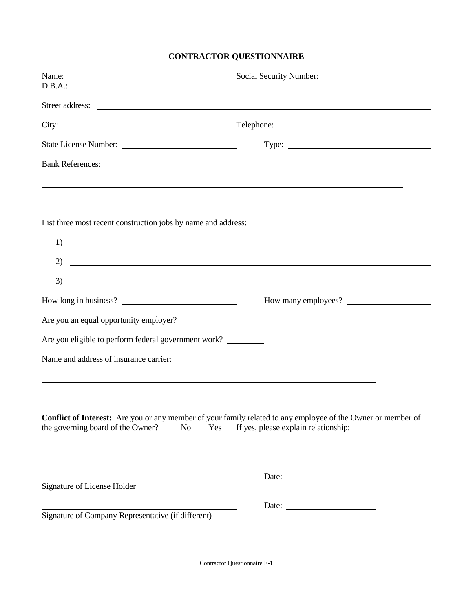# **CONTRACTOR QUESTIONNAIRE**

| Name:                                                                                                                                                                                                                          |                                                                                                                                                                                                                                                 |
|--------------------------------------------------------------------------------------------------------------------------------------------------------------------------------------------------------------------------------|-------------------------------------------------------------------------------------------------------------------------------------------------------------------------------------------------------------------------------------------------|
|                                                                                                                                                                                                                                |                                                                                                                                                                                                                                                 |
|                                                                                                                                                                                                                                |                                                                                                                                                                                                                                                 |
|                                                                                                                                                                                                                                |                                                                                                                                                                                                                                                 |
| State License Number:                                                                                                                                                                                                          |                                                                                                                                                                                                                                                 |
| Bank References: New York Contract the Contract of the Contract of the Contract of the Contract of the Contract of the Contract of the Contract of the Contract of the Contract of the Contract of the Contract of the Contrac |                                                                                                                                                                                                                                                 |
|                                                                                                                                                                                                                                |                                                                                                                                                                                                                                                 |
| ,我们也不会有什么。""我们的人,我们也不会有什么?""我们的人,我们也不会有什么?""我们的人,我们也不会有什么?""我们的人,我们也不会有什么?""我们的人                                                                                                                                               |                                                                                                                                                                                                                                                 |
| List three most recent construction jobs by name and address:                                                                                                                                                                  |                                                                                                                                                                                                                                                 |
| 1)<br><u> Alexandria de la contrada de la contrada de la contrada de la contrada de la contrada de la contrada de la c</u>                                                                                                     |                                                                                                                                                                                                                                                 |
| 2)                                                                                                                                                                                                                             | <u> Andreas Andreas Andreas Andreas Andreas Andreas Andreas Andreas Andreas Andreas Andreas Andreas Andreas Andr</u>                                                                                                                            |
| 3)                                                                                                                                                                                                                             |                                                                                                                                                                                                                                                 |
|                                                                                                                                                                                                                                | <u> Alexandro de la contrada de la contrada de la contrada de la contrada de la contrada de la contrada de la co</u><br>How many employees?                                                                                                     |
|                                                                                                                                                                                                                                |                                                                                                                                                                                                                                                 |
|                                                                                                                                                                                                                                |                                                                                                                                                                                                                                                 |
| Are you eligible to perform federal government work?                                                                                                                                                                           |                                                                                                                                                                                                                                                 |
| Name and address of insurance carrier:                                                                                                                                                                                         |                                                                                                                                                                                                                                                 |
|                                                                                                                                                                                                                                |                                                                                                                                                                                                                                                 |
|                                                                                                                                                                                                                                |                                                                                                                                                                                                                                                 |
| the governing board of the Owner?<br>N <sub>o</sub><br>Yes                                                                                                                                                                     | <b>Conflict of Interest:</b> Are you or any member of your family related to any employee of the Owner or member of<br>If yes, please explain relationship:<br>,我们也不会有什么。""我们的人,我们也不会有什么?""我们的人,我们也不会有什么?""我们的人,我们也不会有什么?""我们的人,我们也不会有什么?""我们的人 |
|                                                                                                                                                                                                                                |                                                                                                                                                                                                                                                 |
| Signature of License Holder                                                                                                                                                                                                    |                                                                                                                                                                                                                                                 |
|                                                                                                                                                                                                                                |                                                                                                                                                                                                                                                 |
| Signature of Company Representative (if different)                                                                                                                                                                             |                                                                                                                                                                                                                                                 |

Contractor Questionnaire E-1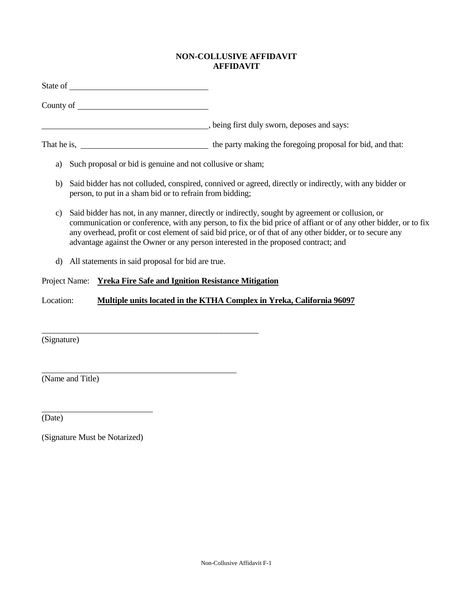### **NON-COLLUSIVE AFFIDAVIT AFFIDAVIT**

|                                                                                    |                                                                                                                                                                                                                                                                                                                                                                                                                       |                                                            | being first duly sworn, deposes and says:                                                               |  |
|------------------------------------------------------------------------------------|-----------------------------------------------------------------------------------------------------------------------------------------------------------------------------------------------------------------------------------------------------------------------------------------------------------------------------------------------------------------------------------------------------------------------|------------------------------------------------------------|---------------------------------------------------------------------------------------------------------|--|
|                                                                                    |                                                                                                                                                                                                                                                                                                                                                                                                                       |                                                            |                                                                                                         |  |
| a)                                                                                 |                                                                                                                                                                                                                                                                                                                                                                                                                       | Such proposal or bid is genuine and not collusive or sham; |                                                                                                         |  |
| b)                                                                                 |                                                                                                                                                                                                                                                                                                                                                                                                                       | person, to put in a sham bid or to refrain from bidding;   | Said bidder has not colluded, conspired, connived or agreed, directly or indirectly, with any bidder or |  |
| $\mathbf{c}$                                                                       | Said bidder has not, in any manner, directly or indirectly, sought by agreement or collusion, or<br>communication or conference, with any person, to fix the bid price of affiant or of any other bidder, or to fix<br>any overhead, profit or cost element of said bid price, or of that of any other bidder, or to secure any<br>advantage against the Owner or any person interested in the proposed contract; and |                                                            |                                                                                                         |  |
| d)                                                                                 |                                                                                                                                                                                                                                                                                                                                                                                                                       | All statements in said proposal for bid are true.          |                                                                                                         |  |
|                                                                                    | Project Name:                                                                                                                                                                                                                                                                                                                                                                                                         | <b>Yreka Fire Safe and Ignition Resistance Mitigation</b>  |                                                                                                         |  |
| Multiple units located in the KTHA Complex in Yreka, California 96097<br>Location: |                                                                                                                                                                                                                                                                                                                                                                                                                       |                                                            |                                                                                                         |  |
| (Signature)                                                                        |                                                                                                                                                                                                                                                                                                                                                                                                                       |                                                            |                                                                                                         |  |
|                                                                                    | (Name and Title)                                                                                                                                                                                                                                                                                                                                                                                                      |                                                            |                                                                                                         |  |

(Date)

(Signature Must be Notarized)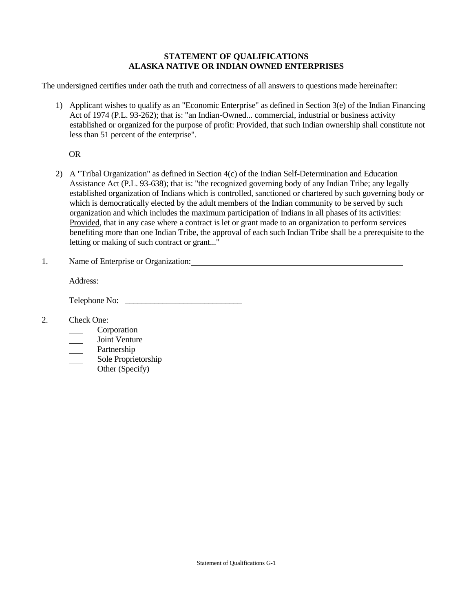#### **STATEMENT OF QUALIFICATIONS ALASKA NATIVE OR INDIAN OWNED ENTERPRISES**

The undersigned certifies under oath the truth and correctness of all answers to questions made hereinafter:

1) Applicant wishes to qualify as an "Economic Enterprise" as defined in Section 3(e) of the Indian Financing Act of 1974 (P.L. 93-262); that is: "an Indian-Owned... commercial, industrial or business activity established or organized for the purpose of profit: Provided, that such Indian ownership shall constitute not less than 51 percent of the enterprise".

OR

- 2) A "Tribal Organization" as defined in Section 4(c) of the Indian Self-Determination and Education Assistance Act (P.L. 93-638); that is: "the recognized governing body of any Indian Tribe; any legally established organization of Indians which is controlled, sanctioned or chartered by such governing body or which is democratically elected by the adult members of the Indian community to be served by such organization and which includes the maximum participation of Indians in all phases of its activities: Provided, that in any case where a contract is let or grant made to an organization to perform services benefiting more than one Indian Tribe, the approval of each such Indian Tribe shall be a prerequisite to the letting or making of such contract or grant..."
- 1. Name of Enterprise or Organization:

|    | Address:                                                                                            |
|----|-----------------------------------------------------------------------------------------------------|
|    | Telephone No:                                                                                       |
| 2. | Check One:<br>Corporation<br>Joint Venture<br>Partnership<br>Sole Proprietorship<br>Other (Specify) |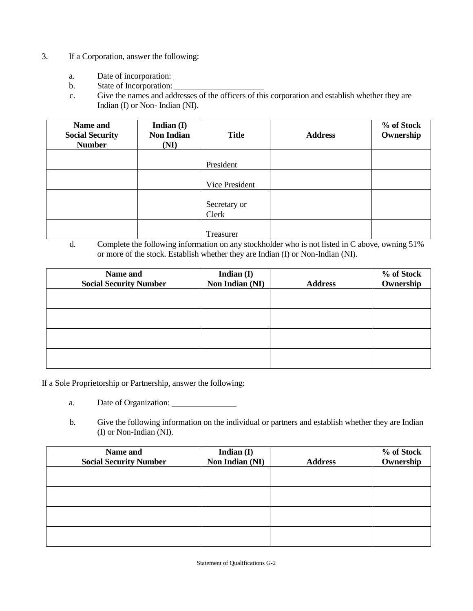- 3. If a Corporation, answer the following:
	- a. Date of incorporation:
	- b. State of Incorporation:
	- c. Give the names and addresses of the officers of this corporation and establish whether they are Indian (I) or Non- Indian (NI).

| Name and<br><b>Social Security</b><br><b>Number</b> | Indian $(I)$<br><b>Non Indian</b><br>(NI) | <b>Title</b>          | <b>Address</b> | % of Stock<br>Ownership |
|-----------------------------------------------------|-------------------------------------------|-----------------------|----------------|-------------------------|
|                                                     |                                           | President             |                |                         |
|                                                     |                                           | Vice President        |                |                         |
|                                                     |                                           | Secretary or<br>Clerk |                |                         |
|                                                     |                                           | Treasurer             |                |                         |

d. Complete the following information on any stockholder who is not listed in C above, owning 51% or more of the stock. Establish whether they are Indian (I) or Non-Indian (NI).

| Name and<br><b>Social Security Number</b> | Indian (I)<br>Non Indian (NI) | <b>Address</b> | % of Stock<br>Ownership |
|-------------------------------------------|-------------------------------|----------------|-------------------------|
|                                           |                               |                |                         |
|                                           |                               |                |                         |
|                                           |                               |                |                         |
|                                           |                               |                |                         |

If a Sole Proprietorship or Partnership, answer the following:

- a. Date of Organization:
- b. Give the following information on the individual or partners and establish whether they are Indian (I) or Non-Indian (NI).

| Name and                      | Indian $(I)$    |                | % of Stock |
|-------------------------------|-----------------|----------------|------------|
| <b>Social Security Number</b> | Non Indian (NI) | <b>Address</b> | Ownership  |
|                               |                 |                |            |
|                               |                 |                |            |
|                               |                 |                |            |
|                               |                 |                |            |
|                               |                 |                |            |
|                               |                 |                |            |
|                               |                 |                |            |
|                               |                 |                |            |

Statement of Qualifications G-2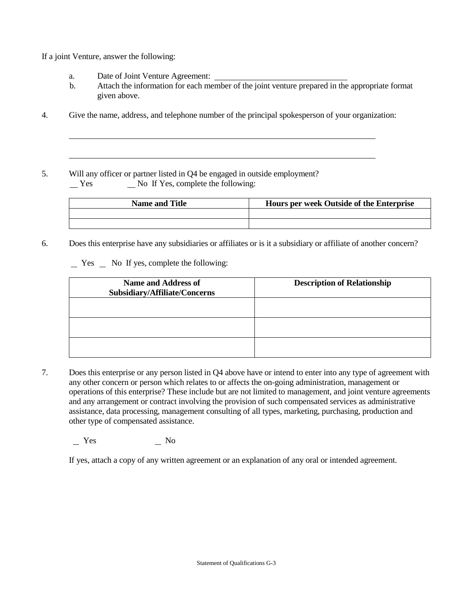If a joint Venture, answer the following:

- a. Date of Joint Venture Agreement:
- b. Attach the information for each member of the joint venture prepared in the appropriate format given above.
- 4. Give the name, address, and telephone number of the principal spokesperson of your organization:

5. Will any officer or partner listed in Q4 be engaged in outside employment?  $Y$ es  $\qquad \qquad$  No If Yes, complete the following:

| <b>Name and Title</b> | Hours per week Outside of the Enterprise |
|-----------------------|------------------------------------------|
|                       |                                          |
|                       |                                          |

6. Does this enterprise have any subsidiaries or affiliates or is it a subsidiary or affiliate of another concern?

 $\Gamma$  Yes  $\Gamma$  No If yes, complete the following:

| <b>Name and Address of</b><br>Subsidiary/Affiliate/Concerns | <b>Description of Relationship</b> |
|-------------------------------------------------------------|------------------------------------|
|                                                             |                                    |
|                                                             |                                    |
|                                                             |                                    |

7. Does this enterprise or any person listed in Q4 above have or intend to enter into any type of agreement with any other concern or person which relates to or affects the on-going administration, management or operations of this enterprise? These include but are not limited to management, and joint venture agreements and any arrangement or contract involving the provision of such compensated services as administrative assistance, data processing, management consulting of all types, marketing, purchasing, production and other type of compensated assistance.

No No No

If yes, attach a copy of any written agreement or an explanation of any oral or intended agreement.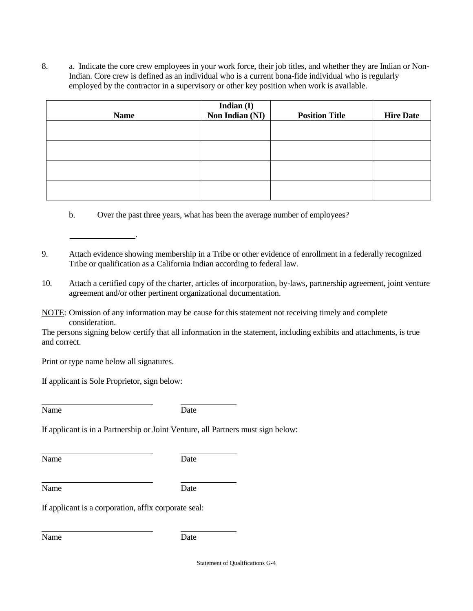8. a. Indicate the core crew employees in your work force, their job titles, and whether they are Indian or Non-Indian. Core crew is defined as an individual who is a current bona-fide individual who is regularly employed by the contractor in a supervisory or other key position when work is available.

| <b>Name</b> | Indian (I)<br>Non Indian (NI) | <b>Position Title</b> | <b>Hire Date</b> |
|-------------|-------------------------------|-----------------------|------------------|
|             |                               |                       |                  |
|             |                               |                       |                  |
|             |                               |                       |                  |
|             |                               |                       |                  |

- b. Over the past three years, what has been the average number of employees?
- 9. Attach evidence showing membership in a Tribe or other evidence of enrollment in a federally recognized Tribe or qualification as a California Indian according to federal law.
- 10. Attach a certified copy of the charter, articles of incorporation, by-laws, partnership agreement, joint venture agreement and/or other pertinent organizational documentation.
- NOTE: Omission of any information may be cause for this statement not receiving timely and complete consideration.

The persons signing below certify that all information in the statement, including exhibits and attachments, is true and correct.

Print or type name below all signatures.

If applicant is Sole Proprietor, sign below:

.

Name Date

If applicant is in a Partnership or Joint Venture, all Partners must sign below:

Name Date

Name Date

If applicant is a corporation, affix corporate seal:

Name Date

Statement of Qualifications G-4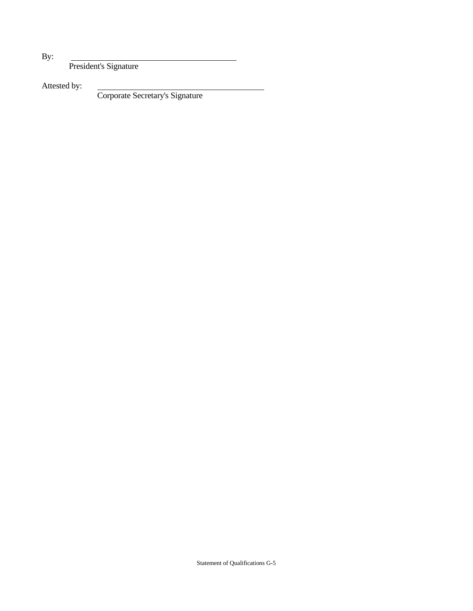By:

President's Signature

Attested by:

Corporate Secretary's Signature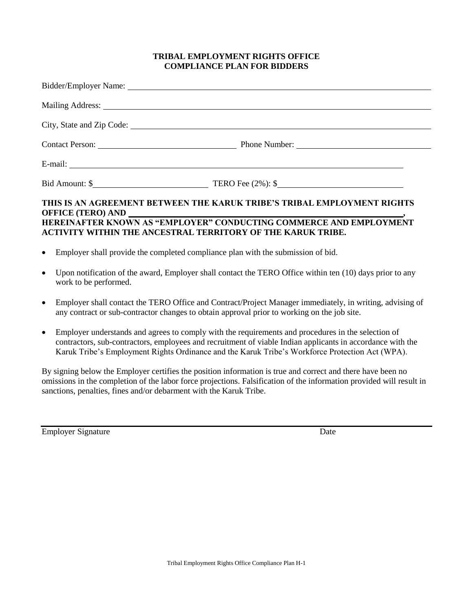#### **TRIBAL EMPLOYMENT RIGHTS OFFICE COMPLIANCE PLAN FOR BIDDERS**

|                                                                                    | Bidder/Employer Name: Lawrence and Manual Communication of the Manual Communication of the Manual Communication of the Manual Communication of the Manual Communication of the Manual Communication of the Manual Communicatio |
|------------------------------------------------------------------------------------|--------------------------------------------------------------------------------------------------------------------------------------------------------------------------------------------------------------------------------|
|                                                                                    | Mailing Address: National Address: National Address: National Address: National Address: National Address: National Address: National Address: National Address: National Address: National Address: National Address: Nationa |
|                                                                                    |                                                                                                                                                                                                                                |
|                                                                                    | Contact Person: <u>Number:</u> Phone Number: 2004                                                                                                                                                                              |
|                                                                                    |                                                                                                                                                                                                                                |
|                                                                                    |                                                                                                                                                                                                                                |
| <b>ACTIVITY WITHIN THE ANCESTRAL TERRITORY OF THE KARUK TRIBE.</b>                 | THIS IS AN AGREEMENT BETWEEN THE KARUK TRIBE'S TRIBAL EMPLOYMENT RIGHTS<br><b>HEREINAFTER KNOWN AS "EMPLOYER" CONDUCTING COMMERCE AND EMPLOYMENT</b>                                                                           |
| • Employer shall provide the completed compliance plan with the submission of bid. |                                                                                                                                                                                                                                |

- Upon notification of the award, Employer shall contact the TERO Office within ten (10) days prior to any work to be performed.
- Employer shall contact the TERO Office and Contract/Project Manager immediately, in writing, advising of any contract or sub-contractor changes to obtain approval prior to working on the job site.
- Employer understands and agrees to comply with the requirements and procedures in the selection of contractors, sub-contractors, employees and recruitment of viable Indian applicants in accordance with the Karuk Tribe's Employment Rights Ordinance and the Karuk Tribe's Workforce Protection Act (WPA).

By signing below the Employer certifies the position information is true and correct and there have been no omissions in the completion of the labor force projections. Falsification of the information provided will result in sanctions, penalties, fines and/or debarment with the Karuk Tribe.

Employer Signature Date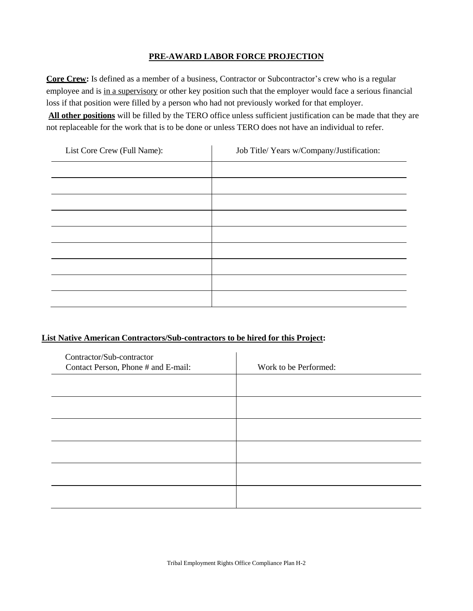### **PRE-AWARD LABOR FORCE PROJECTION**

**Core Crew:** Is defined as a member of a business, Contractor or Subcontractor's crew who is a regular employee and is in a supervisory or other key position such that the employer would face a serious financial loss if that position were filled by a person who had not previously worked for that employer. **All other positions** will be filled by the TERO office unless sufficient justification can be made that they are not replaceable for the work that is to be done or unless TERO does not have an individual to refer.

| List Core Crew (Full Name): | Job Title/ Years w/Company/Justification: |
|-----------------------------|-------------------------------------------|
|                             |                                           |
|                             |                                           |
|                             |                                           |
|                             |                                           |
|                             |                                           |
|                             |                                           |
|                             |                                           |
|                             |                                           |
|                             |                                           |

#### **List Native American Contractors/Sub-contractors to be hired for this Project:**

| Contractor/Sub-contractor<br>Contact Person, Phone # and E-mail: | Work to be Performed: |
|------------------------------------------------------------------|-----------------------|
|                                                                  |                       |
|                                                                  |                       |
|                                                                  |                       |
|                                                                  |                       |
|                                                                  |                       |
|                                                                  |                       |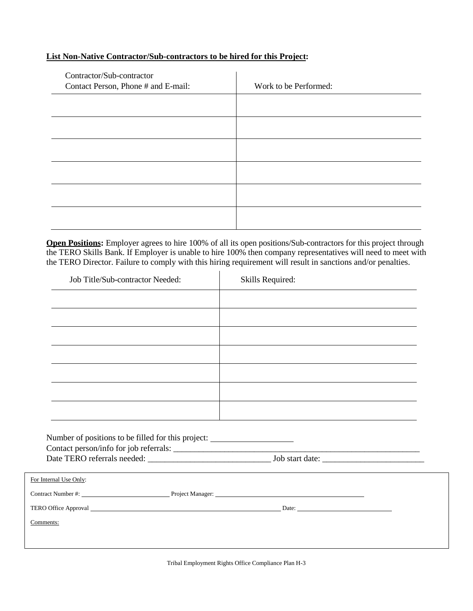# **List Non-Native Contractor/Sub-contractors to be hired for this Project:**

| Contractor/Sub-contractor<br>Contact Person, Phone # and E-mail: | Work to be Performed: |
|------------------------------------------------------------------|-----------------------|
|                                                                  |                       |
|                                                                  |                       |
|                                                                  |                       |
|                                                                  |                       |
|                                                                  |                       |
|                                                                  |                       |

**Open Positions:** Employer agrees to hire 100% of all its open positions/Sub-contractors for this project through the TERO Skills Bank. If Employer is unable to hire 100% then company representatives will need to meet with the TERO Director. Failure to comply with this hiring requirement will result in sanctions and/or penalties.

| Job Title/Sub-contractor Needed:                                                 | Skills Required: |  |
|----------------------------------------------------------------------------------|------------------|--|
|                                                                                  |                  |  |
|                                                                                  |                  |  |
|                                                                                  |                  |  |
|                                                                                  |                  |  |
|                                                                                  |                  |  |
|                                                                                  |                  |  |
|                                                                                  |                  |  |
|                                                                                  |                  |  |
| Number of positions to be filled for this project: _____________________________ |                  |  |
|                                                                                  |                  |  |
|                                                                                  |                  |  |
| For Internal Use Only:                                                           |                  |  |
|                                                                                  |                  |  |
|                                                                                  |                  |  |
| Comments:                                                                        |                  |  |

Tribal Employment Rights Office Compliance Plan H-3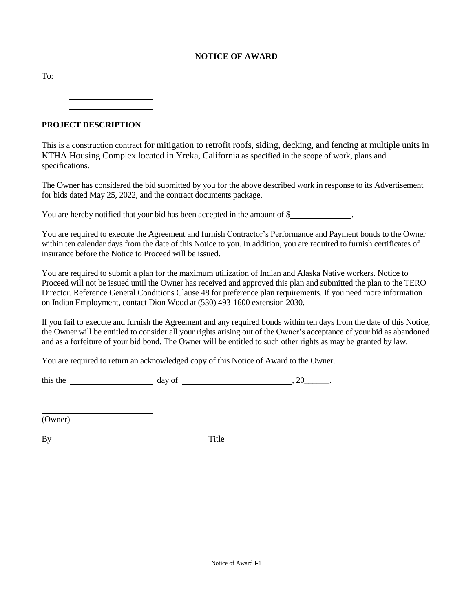### **NOTICE OF AWARD**

To:

**PROJECT DESCRIPTION**

This is a construction contract for mitigation to retrofit roofs, siding, decking, and fencing at multiple units in KTHA Housing Complex located in Yreka, California as specified in the scope of work, plans and specifications.

The Owner has considered the bid submitted by you for the above described work in response to its Advertisement for bids dated May 25, 2022, and the contract documents package.

You are hereby notified that your bid has been accepted in the amount of \$

You are required to execute the Agreement and furnish Contractor's Performance and Payment bonds to the Owner within ten calendar days from the date of this Notice to you. In addition, you are required to furnish certificates of insurance before the Notice to Proceed will be issued.

You are required to submit a plan for the maximum utilization of Indian and Alaska Native workers. Notice to Proceed will not be issued until the Owner has received and approved this plan and submitted the plan to the TERO Director. Reference General Conditions Clause 48 for preference plan requirements. If you need more information on Indian Employment, contact Dion Wood at (530) 493-1600 extension 2030.

If you fail to execute and furnish the Agreement and any required bonds within ten days from the date of this Notice, the Owner will be entitled to consider all your rights arising out of the Owner's acceptance of your bid as abandoned and as a forfeiture of your bid bond. The Owner will be entitled to such other rights as may be granted by law.

You are required to return an acknowledged copy of this Notice of Award to the Owner.

this the  $\qquad \qquad \text{day of} \qquad \qquad \text{0}$ 

(Owner)

By <u>International By Title</u>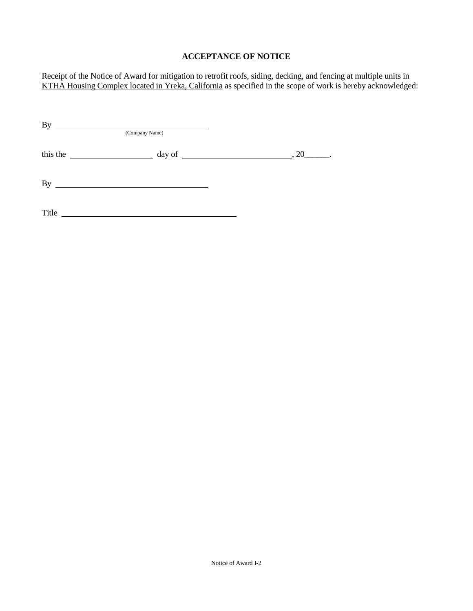# **ACCEPTANCE OF NOTICE**

Receipt of the Notice of Award for mitigation to retrofit roofs, siding, decking, and fencing at multiple units in KTHA Housing Complex located in Yreka, California as specified in the scope of work is hereby acknowledged:

| <b>By</b><br>(Company Name)                         |                                                                                                 |  |
|-----------------------------------------------------|-------------------------------------------------------------------------------------------------|--|
| this the<br><u> 1989 - Johann Barbara, martxa a</u> |                                                                                                 |  |
| <b>By</b>                                           | the contract of the contract of the contract of the contract of the contract of the contract of |  |
| Title                                               |                                                                                                 |  |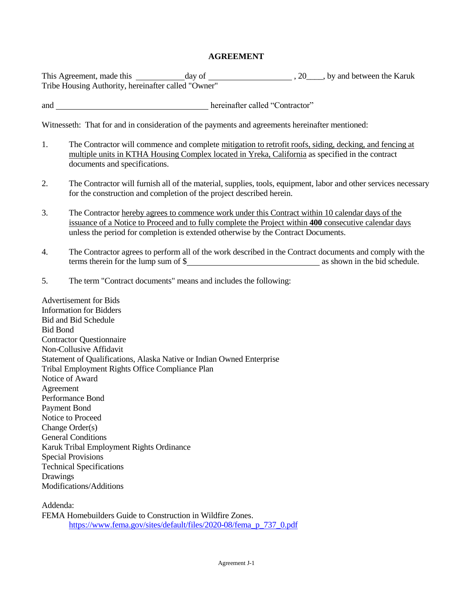#### **AGREEMENT**

This Agreement, made this day of , 20\_\_\_\_, by and between the Karuk Tribe Housing Authority, hereinafter called "Owner"

and hereinafter called "Contractor"

Witnesseth: That for and in consideration of the payments and agreements hereinafter mentioned:

- 1. The Contractor will commence and complete mitigation to retrofit roofs, siding, decking, and fencing at multiple units in KTHA Housing Complex located in Yreka, California as specified in the contract documents and specifications.
- 2. The Contractor will furnish all of the material, supplies, tools, equipment, labor and other services necessary for the construction and completion of the project described herein.
- 3. The Contractor hereby agrees to commence work under this Contract within 10 calendar days of the issuance of a Notice to Proceed and to fully complete the Project within **400** consecutive calendar days unless the period for completion is extended otherwise by the Contract Documents.
- 4. The Contractor agrees to perform all of the work described in the Contract documents and comply with the terms therein for the lump sum of \$
- 5. The term "Contract documents" means and includes the following:

Advertisement for Bids Information for Bidders Bid and Bid Schedule Bid Bond Contractor Questionnaire Non-Collusive Affidavit Statement of Qualifications, Alaska Native or Indian Owned Enterprise Tribal Employment Rights Office Compliance Plan Notice of Award Agreement Performance Bond Payment Bond Notice to Proceed Change Order(s) General Conditions Karuk Tribal Employment Rights Ordinance Special Provisions Technical Specifications Drawings Modifications/Additions

Addenda: FEMA Homebuilders Guide to Construction in Wildfire Zones. [https://www.fema.gov/sites/default/files/2020-08/fema\\_p\\_737\\_0.pdf](https://www.fema.gov/sites/default/files/2020-08/fema_p_737_0.pdf)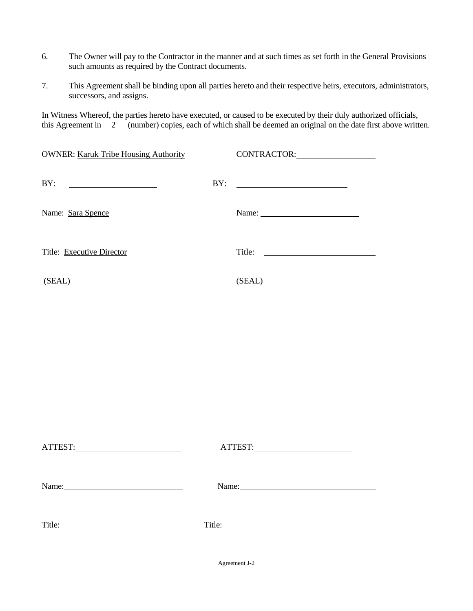- 6. The Owner will pay to the Contractor in the manner and at such times as set forth in the General Provisions such amounts as required by the Contract documents.
- 7. This Agreement shall be binding upon all parties hereto and their respective heirs, executors, administrators, successors, and assigns.

In Witness Whereof, the parties hereto have executed, or caused to be executed by their duly authorized officials, this Agreement in  $\frac{2}{\sqrt{2}}$  (number) copies, each of which shall be deemed an original on the date first above written.

| <b>OWNER: Karuk Tribe Housing Authority</b> | CONTRACTOR: |
|---------------------------------------------|-------------|
| BY:                                         |             |
| Name: Sara Spence                           |             |
| Title: Executive Director                   | Title:      |
| (SEAL)                                      | (SEAL)      |
|                                             |             |
|                                             |             |

| Name:<br><u> 1989 - Johann Harry Harry Harry Harry Harry Harry Harry Harry Harry Harry Harry Harry Harry Harry Harry Harry</u> |        |
|--------------------------------------------------------------------------------------------------------------------------------|--------|
|                                                                                                                                | Title: |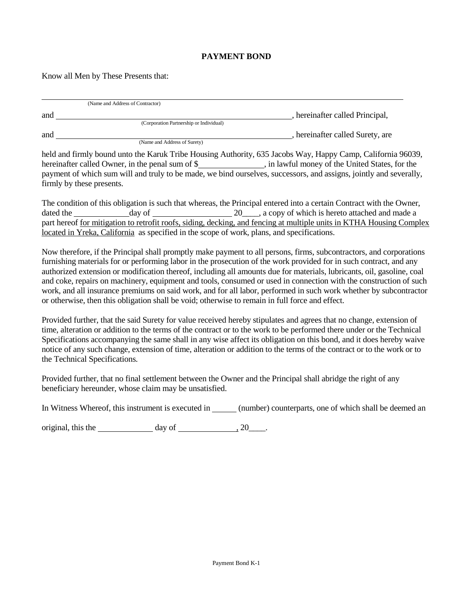#### **PAYMENT BOND**

Know all Men by These Presents that:

|     | (Name and Address of Contractor)        |                                |
|-----|-----------------------------------------|--------------------------------|
| and |                                         | hereinafter called Principal,  |
|     | (Corporation Partnership or Individual) |                                |
| and |                                         | hereinafter called Surety, are |
|     | (Name and Address of Surety)            |                                |

held and firmly bound unto the Karuk Tribe Housing Authority, 635 Jacobs Way, Happy Camp, California 96039, hereinafter called Owner, in the penal sum of \$\_\_\_\_\_\_\_\_\_\_\_\_\_\_\_\_, in lawful money of the United States, for the payment of which sum will and truly to be made, we bind ourselves, successors, and assigns, jointly and severally, firmly by these presents.

The condition of this obligation is such that whereas, the Principal entered into a certain Contract with the Owner, dated the day of  $20$ , a copy of which is hereto attached and made a part hereof for mitigation to retrofit roofs, siding, decking, and fencing at multiple units in KTHA Housing Complex located in Yreka, California as specified in the scope of work, plans, and specifications.

Now therefore, if the Principal shall promptly make payment to all persons, firms, subcontractors, and corporations furnishing materials for or performing labor in the prosecution of the work provided for in such contract, and any authorized extension or modification thereof, including all amounts due for materials, lubricants, oil, gasoline, coal and coke, repairs on machinery, equipment and tools, consumed or used in connection with the construction of such work, and all insurance premiums on said work, and for all labor, performed in such work whether by subcontractor or otherwise, then this obligation shall be void; otherwise to remain in full force and effect.

Provided further, that the said Surety for value received hereby stipulates and agrees that no change, extension of time, alteration or addition to the terms of the contract or to the work to be performed there under or the Technical Specifications accompanying the same shall in any wise affect its obligation on this bond, and it does hereby waive notice of any such change, extension of time, alteration or addition to the terms of the contract or to the work or to the Technical Specifications.

Provided further, that no final settlement between the Owner and the Principal shall abridge the right of any beneficiary hereunder, whose claim may be unsatisfied.

In Witness Whereof, this instrument is executed in (number) counterparts, one of which shall be deemed an

original, this the  $\_\_\_\_\_\$  day of  $\_\_\_\_\_\_\_\_\.\_20\_\_\_\.\_$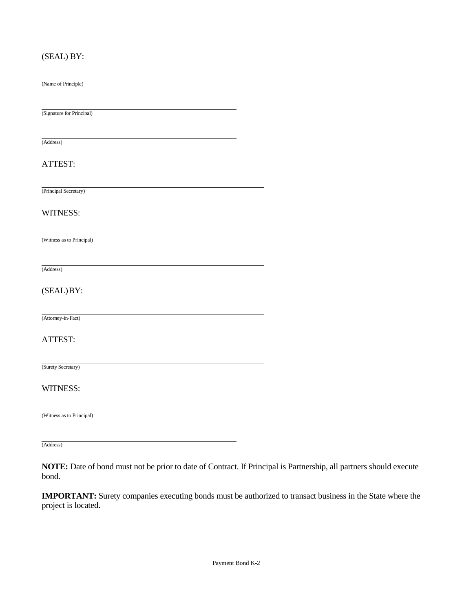### (SEAL) BY:

(Name of Principle)

(Signature for Principal)

(Address)

#### ATTEST:

(Principal Secretary)

#### WITNESS:

(Witness as to Principal)

(Address)

#### (SEAL)BY:

(Attorney-in-Fact)

#### ATTEST:

(Surety Secretary)

#### WITNESS:

(Witness as to Principal)

(Address)

**NOTE:** Date of bond must not be prior to date of Contract. If Principal is Partnership, all partners should execute bond.

**IMPORTANT:** Surety companies executing bonds must be authorized to transact business in the State where the project is located.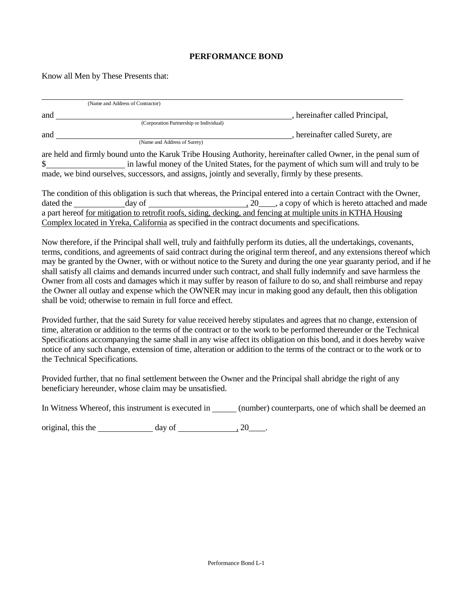#### **PERFORMANCE BOND**

Know all Men by These Presents that:

| (Name and Address of Contractor) |                                                                                                                 |
|----------------------------------|-----------------------------------------------------------------------------------------------------------------|
| and                              | , hereinafter called Principal,                                                                                 |
|                                  | (Corporation Partnership or Individual)                                                                         |
| and                              | , hereinafter called Surety, are                                                                                |
| (Name and Address of Surety)     |                                                                                                                 |
|                                  | are held and firmly bound unto the Karuk Tribe Housing Authority, hereinafter called Owner, in the penal sum of |
|                                  | in lawful money of the United States, for the payment of which sum will and truly to be                         |

made, we bind ourselves, successors, and assigns, jointly and severally, firmly by these presents.

The condition of this obligation is such that whereas, the Principal entered into a certain Contract with the Owner, dated the day of  $\frac{1}{20}$ , a copy of which is hereto attached and made a part hereof for mitigation to retrofit roofs, siding, decking, and fencing at multiple units in KTHA Housing Complex located in Yreka, California as specified in the contract documents and specifications.

Now therefore, if the Principal shall well, truly and faithfully perform its duties, all the undertakings, covenants, terms, conditions, and agreements of said contract during the original term thereof, and any extensions thereof which may be granted by the Owner, with or without notice to the Surety and during the one year guaranty period, and if he shall satisfy all claims and demands incurred under such contract, and shall fully indemnify and save harmless the Owner from all costs and damages which it may suffer by reason of failure to do so, and shall reimburse and repay the Owner all outlay and expense which the OWNER may incur in making good any default, then this obligation shall be void; otherwise to remain in full force and effect.

Provided further, that the said Surety for value received hereby stipulates and agrees that no change, extension of time, alteration or addition to the terms of the contract or to the work to be performed thereunder or the Technical Specifications accompanying the same shall in any wise affect its obligation on this bond, and it does hereby waive notice of any such change, extension of time, alteration or addition to the terms of the contract or to the work or to the Technical Specifications.

Provided further, that no final settlement between the Owner and the Principal shall abridge the right of any beneficiary hereunder, whose claim may be unsatisfied.

In Witness Whereof, this instrument is executed in (number) counterparts, one of which shall be deemed an

original, this the  $\_\_\_\_\_\$  day of  $\_\_\_\_\_\_\_\_\_\.\_20\_\_\_\.\_$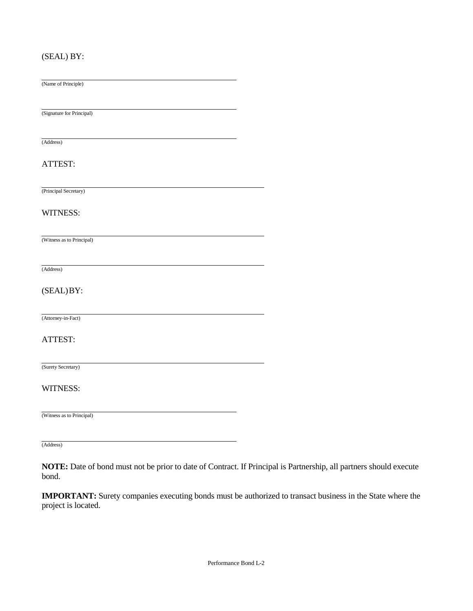### (SEAL) BY:

(Name of Principle)

(Signature for Principal)

(Address)

#### ATTEST:

(Principal Secretary)

#### WITNESS:

(Witness as to Principal)

(Address)

#### (SEAL)BY:

(Attorney-in-Fact)

#### ATTEST:

(Surety Secretary)

#### WITNESS:

(Witness as to Principal)

(Address)

**NOTE:** Date of bond must not be prior to date of Contract. If Principal is Partnership, all partners should execute bond.

**IMPORTANT:** Surety companies executing bonds must be authorized to transact business in the State where the project is located.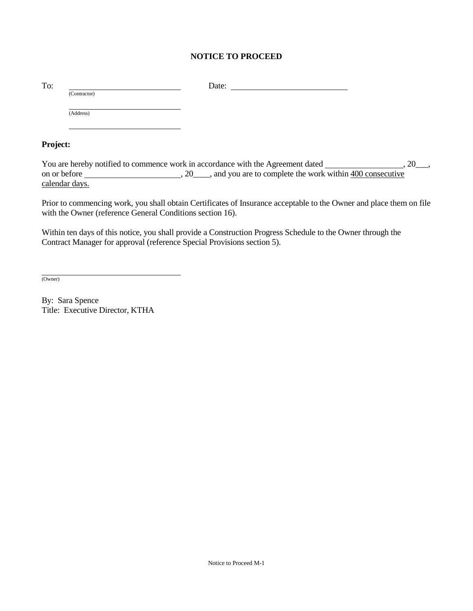### **NOTICE TO PROCEED**

|              | Date: |  |
|--------------|-------|--|
| (Contractor) |       |  |
| (Address)    |       |  |
|              |       |  |
|              |       |  |

#### **Project:**

You are hereby notified to commence work in accordance with the Agreement dated \_\_\_\_\_\_\_\_\_\_\_\_\_\_\_\_, 20\_\_\_, on or before  $\frac{1}{2}$ , 20\_\_\_, and you are to complete the work within 400 consecutive calendar days.

Prior to commencing work, you shall obtain Certificates of Insurance acceptable to the Owner and place them on file with the Owner (reference General Conditions section 16).

Within ten days of this notice, you shall provide a Construction Progress Schedule to the Owner through the Contract Manager for approval (reference Special Provisions section 5).

(Owner)

By: Sara Spence Title: Executive Director, KTHA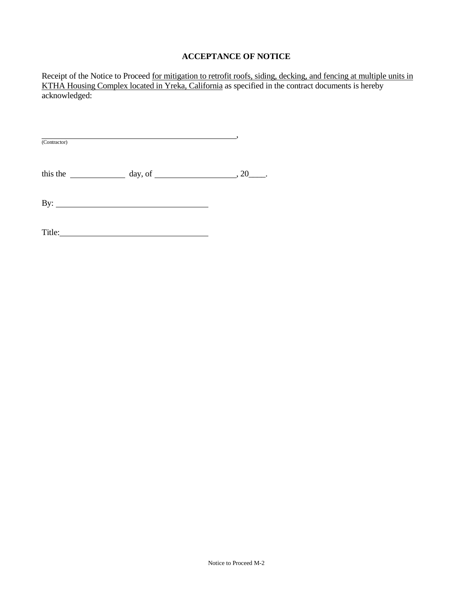### **ACCEPTANCE OF NOTICE**

Receipt of the Notice to Proceed for mitigation to retrofit roofs, siding, decking, and fencing at multiple units in KTHA Housing Complex located in Yreka, California as specified in the contract documents is hereby acknowledged:

, and the contract of  $\overline{\phantom{a}}$ (Contractor)

this the  $\frac{day}{xy}$ , of  $\frac{20}{xy}$ .

By:

Title: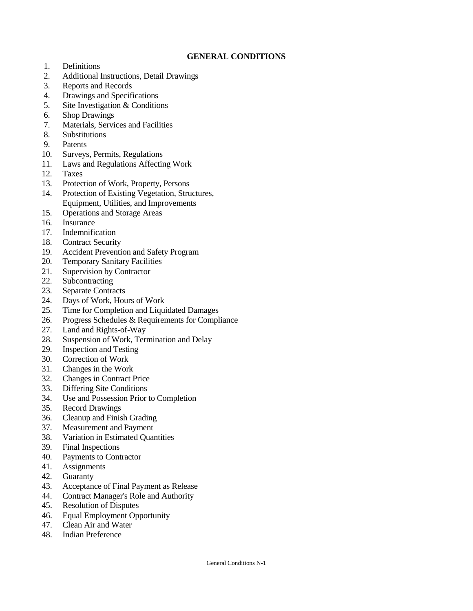#### **GENERAL CONDITIONS**

- 1. Definitions
- 2. Additional Instructions, Detail Drawings
- 3. Reports and Records
- 4. Drawings and Specifications
- 5. Site Investigation & Conditions
- 6. Shop Drawings
- 7. Materials, Services and Facilities
- 8. Substitutions
- 9. Patents
- 10. Surveys, Permits, Regulations
- 11. Laws and Regulations Affecting Work
- 12. Taxes
- 13. Protection of Work, Property, Persons
- 14. Protection of Existing Vegetation, Structures, Equipment, Utilities, and Improvements
- 15. Operations and Storage Areas
- 16. Insurance
- 17. Indemnification
- 18. Contract Security
- 19. Accident Prevention and Safety Program
- 20. Temporary Sanitary Facilities
- 21. Supervision by Contractor
- 22. Subcontracting
- 23. Separate Contracts
- 24. Days of Work, Hours of Work
- 25. Time for Completion and Liquidated Damages
- 26. Progress Schedules & Requirements for Compliance
- 27. Land and Rights-of-Way
- 28. Suspension of Work, Termination and Delay
- 29. Inspection and Testing
- 30. Correction of Work
- 31. Changes in the Work
- 32. Changes in Contract Price
- 33. Differing Site Conditions
- 34. Use and Possession Prior to Completion
- 35. Record Drawings
- 36. Cleanup and Finish Grading
- 37. Measurement and Payment
- 38. Variation in Estimated Quantities
- 39. Final Inspections
- 40. Payments to Contractor
- 41. Assignments
- 42. Guaranty
- 43. Acceptance of Final Payment as Release
- 44. Contract Manager's Role and Authority
- 45. Resolution of Disputes
- 46. Equal Employment Opportunity
- 47. Clean Air and Water
- 48. Indian Preference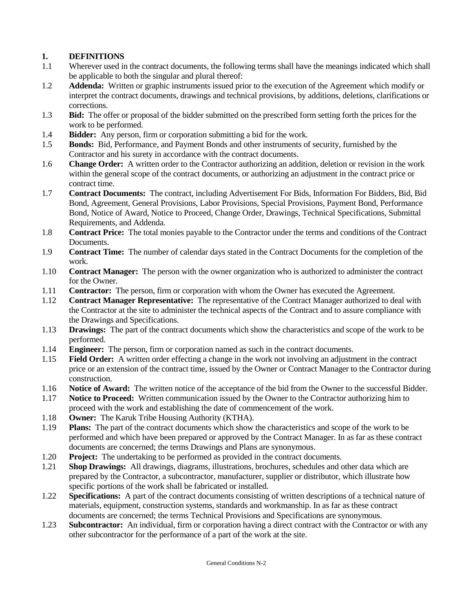### **1. DEFINITIONS**

- 1.1 Wherever used in the contract documents, the following terms shall have the meanings indicated which shall be applicable to both the singular and plural thereof:
- 1.2 **Addenda:** Written or graphic instruments issued prior to the execution of the Agreement which modify or interpret the contract documents, drawings and technical provisions, by additions, deletions, clarifications or corrections.
- 1.3 **Bid:** The offer or proposal of the bidder submitted on the prescribed form setting forth the prices for the work to be performed.
- 1.4 **Bidder:** Any person, firm or corporation submitting a bid for the work.
- 1.5 **Bonds:** Bid, Performance, and Payment Bonds and other instruments of security, furnished by the Contractor and his surety in accordance with the contract documents.
- 1.6 **Change Order:** A written order to the Contractor authorizing an addition, deletion or revision in the work within the general scope of the contract documents, or authorizing an adjustment in the contract price or contract time.
- 1.7 **Contract Documents:** The contract, including Advertisement For Bids, Information For Bidders, Bid, Bid Bond, Agreement, General Provisions, Labor Provisions, Special Provisions, Payment Bond, Performance Bond, Notice of Award, Notice to Proceed, Change Order, Drawings, Technical Specifications, Submittal Requirements, and Addenda.
- 1.8 **Contract Price:** The total monies payable to the Contractor under the terms and conditions of the Contract Documents.
- 1.9 **Contract Time:** The number of calendar days stated in the Contract Documents for the completion of the work.
- 1.10 **Contract Manager:** The person with the owner organization who is authorized to administer the contract for the Owner.
- 1.11 **Contractor:** The person, firm or corporation with whom the Owner has executed the Agreement.
- 1.12 **Contract Manager Representative:** The representative of the Contract Manager authorized to deal with the Contractor at the site to administer the technical aspects of the Contract and to assure compliance with the Drawings and Specifications.
- 1.13 **Drawings:** The part of the contract documents which show the characteristics and scope of the work to be performed.
- 1.14 **Engineer:** The person, firm or corporation named as such in the contract documents.
- 1.15 **Field Order:** A written order effecting a change in the work not involving an adjustment in the contract price or an extension of the contract time, issued by the Owner or Contract Manager to the Contractor during construction.
- 1.16 **Notice of Award:** The written notice of the acceptance of the bid from the Owner to the successful Bidder.
- 1.17 **Notice to Proceed:** Written communication issued by the Owner to the Contractor authorizing him to proceed with the work and establishing the date of commencement of the work.
- 1.18 **Owner:** The Karuk Tribe Housing Authority (KTHA).
- 1.19 **Plans:** The part of the contract documents which show the characteristics and scope of the work to be performed and which have been prepared or approved by the Contract Manager. In as far as these contract documents are concerned; the terms Drawings and Plans are synonymous.
- 1.20 **Project:** The undertaking to be performed as provided in the contract documents.
- 1.21 **Shop Drawings:** All drawings, diagrams, illustrations, brochures, schedules and other data which are prepared by the Contractor, a subcontractor, manufacturer, supplier or distributor, which illustrate how specific portions of the work shall be fabricated or installed.
- 1.22 **Specifications:** A part of the contract documents consisting of written descriptions of a technical nature of materials, equipment, construction systems, standards and workmanship. In as far as these contract documents are concerned; the terms Technical Provisions and Specifications are synonymous.
- 1.23 **Subcontractor:** An individual, firm or corporation having a direct contract with the Contractor or with any other subcontractor for the performance of a part of the work at the site.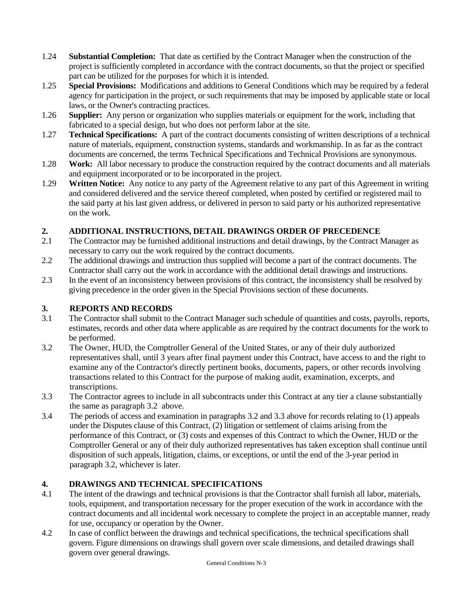- 1.24 **Substantial Completion:** That date as certified by the Contract Manager when the construction of the project is sufficiently completed in accordance with the contract documents, so that the project or specified part can be utilized for the purposes for which it is intended.
- 1.25 **Special Provisions:** Modifications and additions to General Conditions which may be required by a federal agency for participation in the project, or such requirements that may be imposed by applicable state or local laws, or the Owner's contracting practices.
- 1.26 **Supplier:** Any person or organization who supplies materials or equipment for the work, including that fabricated to a special design, but who does not perform labor at the site.
- 1.27 **Technical Specifications:** A part of the contract documents consisting of written descriptions of a technical nature of materials, equipment, construction systems, standards and workmanship. In as far as the contract documents are concerned, the terms Technical Specifications and Technical Provisions are synonymous.
- 1.28 **Work:** All labor necessary to produce the construction required by the contract documents and all materials and equipment incorporated or to be incorporated in the project.
- 1.29 **Written Notice:** Any notice to any party of the Agreement relative to any part of this Agreement in writing and considered delivered and the service thereof completed, when posted by certified or registered mail to the said party at his last given address, or delivered in person to said party or his authorized representative on the work.

### **2. ADDITIONAL INSTRUCTIONS, DETAIL DRAWINGS ORDER OF PRECEDENCE**

- 2.1 The Contractor may be furnished additional instructions and detail drawings, by the Contract Manager as necessary to carry out the work required by the contract documents.
- 2.2 The additional drawings and instruction thus supplied will become a part of the contract documents. The Contractor shall carry out the work in accordance with the additional detail drawings and instructions.
- 2.3 In the event of an inconsistency between provisions of this contract, the inconsistency shall be resolved by giving precedence in the order given in the Special Provisions section of these documents.

### **3. REPORTS AND RECORDS**

- 3.1 The Contractor shall submit to the Contract Manager such schedule of quantities and costs, payrolls, reports, estimates, records and other data where applicable as are required by the contract documents for the work to be performed.
- 3.2 The Owner, HUD, the Comptroller General of the United States, or any of their duly authorized representatives shall, until 3 years after final payment under this Contract, have access to and the right to examine any of the Contractor's directly pertinent books, documents, papers, or other records involving transactions related to this Contract for the purpose of making audit, examination, excerpts, and transcriptions.
- 3.3 The Contractor agrees to include in all subcontracts under this Contract at any tier a clause substantially the same as paragraph 3.2 above.
- 3.4 The periods of access and examination in paragraphs 3.2 and 3.3 above for records relating to (1) appeals under the Disputes clause of this Contract, (2) litigation or settlement of claims arising from the performance of this Contract, or (3) costs and expenses of this Contract to which the Owner, HUD or the Comptroller General or any of their duly authorized representatives has taken exception shall continue until disposition of such appeals, litigation, claims, or exceptions, or until the end of the 3-year period in paragraph 3.2, whichever is later.

# **4. DRAWINGS AND TECHNICAL SPECIFICATIONS**

- 4.1 The intent of the drawings and technical provisions is that the Contractor shall furnish all labor, materials, tools, equipment, and transportation necessary for the proper execution of the work in accordance with the contract documents and all incidental work necessary to complete the project in an acceptable manner, ready for use, occupancy or operation by the Owner.
- 4.2 In case of conflict between the drawings and technical specifications, the technical specifications shall govern. Figure dimensions on drawings shall govern over scale dimensions, and detailed drawings shall govern over general drawings.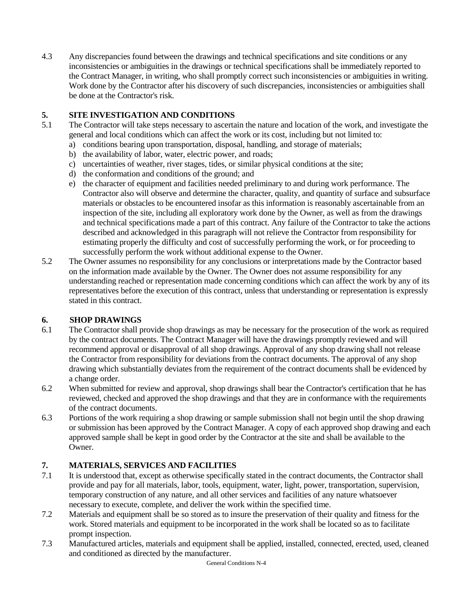4.3 Any discrepancies found between the drawings and technical specifications and site conditions or any inconsistencies or ambiguities in the drawings or technical specifications shall be immediately reported to the Contract Manager, in writing, who shall promptly correct such inconsistencies or ambiguities in writing. Work done by the Contractor after his discovery of such discrepancies, inconsistencies or ambiguities shall be done at the Contractor's risk.

### **5. SITE INVESTIGATION AND CONDITIONS**

- 5.1 The Contractor will take steps necessary to ascertain the nature and location of the work, and investigate the general and local conditions which can affect the work or its cost, including but not limited to:
	- a) conditions bearing upon transportation, disposal, handling, and storage of materials;
	- b) the availability of labor, water, electric power, and roads;
	- c) uncertainties of weather, river stages, tides, or similar physical conditions at the site;
	- d) the conformation and conditions of the ground; and
	- e) the character of equipment and facilities needed preliminary to and during work performance. The Contractor also will observe and determine the character, quality, and quantity of surface and subsurface materials or obstacles to be encountered insofar as this information is reasonably ascertainable from an inspection of the site, including all exploratory work done by the Owner, as well as from the drawings and technical specifications made a part of this contract. Any failure of the Contractor to take the actions described and acknowledged in this paragraph will not relieve the Contractor from responsibility for estimating properly the difficulty and cost of successfully performing the work, or for proceeding to successfully perform the work without additional expense to the Owner.
- 5.2 The Owner assumes no responsibility for any conclusions or interpretations made by the Contractor based on the information made available by the Owner. The Owner does not assume responsibility for any understanding reached or representation made concerning conditions which can affect the work by any of its representatives before the execution of this contract, unless that understanding or representation is expressly stated in this contract.

### **6. SHOP DRAWINGS**

- 6.1 The Contractor shall provide shop drawings as may be necessary for the prosecution of the work as required by the contract documents. The Contract Manager will have the drawings promptly reviewed and will recommend approval or disapproval of all shop drawings. Approval of any shop drawing shall not release the Contractor from responsibility for deviations from the contract documents. The approval of any shop drawing which substantially deviates from the requirement of the contract documents shall be evidenced by a change order.
- 6.2 When submitted for review and approval, shop drawings shall bear the Contractor's certification that he has reviewed, checked and approved the shop drawings and that they are in conformance with the requirements of the contract documents.
- 6.3 Portions of the work requiring a shop drawing or sample submission shall not begin until the shop drawing or submission has been approved by the Contract Manager. A copy of each approved shop drawing and each approved sample shall be kept in good order by the Contractor at the site and shall be available to the Owner.

### **7. MATERIALS, SERVICES AND FACILITIES**

- 7.1 It is understood that, except as otherwise specifically stated in the contract documents, the Contractor shall provide and pay for all materials, labor, tools, equipment, water, light, power, transportation, supervision, temporary construction of any nature, and all other services and facilities of any nature whatsoever necessary to execute, complete, and deliver the work within the specified time.
- 7.2 Materials and equipment shall be so stored as to insure the preservation of their quality and fitness for the work. Stored materials and equipment to be incorporated in the work shall be located so as to facilitate prompt inspection.
- 7.3 Manufactured articles, materials and equipment shall be applied, installed, connected, erected, used, cleaned and conditioned as directed by the manufacturer.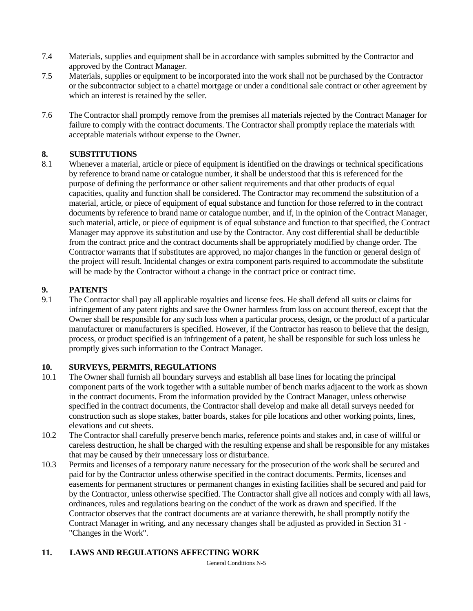- 7.4 Materials, supplies and equipment shall be in accordance with samples submitted by the Contractor and approved by the Contract Manager.
- 7.5 Materials, supplies or equipment to be incorporated into the work shall not be purchased by the Contractor or the subcontractor subject to a chattel mortgage or under a conditional sale contract or other agreement by which an interest is retained by the seller.
- 7.6 The Contractor shall promptly remove from the premises all materials rejected by the Contract Manager for failure to comply with the contract documents. The Contractor shall promptly replace the materials with acceptable materials without expense to the Owner.

### **8. SUBSTITUTIONS**

8.1 Whenever a material, article or piece of equipment is identified on the drawings or technical specifications by reference to brand name or catalogue number, it shall be understood that this is referenced for the purpose of defining the performance or other salient requirements and that other products of equal capacities, quality and function shall be considered. The Contractor may recommend the substitution of a material, article, or piece of equipment of equal substance and function for those referred to in the contract documents by reference to brand name or catalogue number, and if, in the opinion of the Contract Manager, such material, article, or piece of equipment is of equal substance and function to that specified, the Contract Manager may approve its substitution and use by the Contractor. Any cost differential shall be deductible from the contract price and the contract documents shall be appropriately modified by change order. The Contractor warrants that if substitutes are approved, no major changes in the function or general design of the project will result. Incidental changes or extra component parts required to accommodate the substitute will be made by the Contractor without a change in the contract price or contract time.

# **9. PATENTS**

9.1 The Contractor shall pay all applicable royalties and license fees. He shall defend all suits or claims for infringement of any patent rights and save the Owner harmless from loss on account thereof, except that the Owner shall be responsible for any such loss when a particular process, design, or the product of a particular manufacturer or manufacturers is specified. However, if the Contractor has reason to believe that the design, process, or product specified is an infringement of a patent, he shall be responsible for such loss unless he promptly gives such information to the Contract Manager.

# **10. SURVEYS, PERMITS, REGULATIONS**

- 10.1 The Owner shall furnish all boundary surveys and establish all base lines for locating the principal component parts of the work together with a suitable number of bench marks adjacent to the work as shown in the contract documents. From the information provided by the Contract Manager, unless otherwise specified in the contract documents, the Contractor shall develop and make all detail surveys needed for construction such as slope stakes, batter boards, stakes for pile locations and other working points, lines, elevations and cut sheets.
- 10.2 The Contractor shall carefully preserve bench marks, reference points and stakes and, in case of willful or careless destruction, he shall be charged with the resulting expense and shall be responsible for any mistakes that may be caused by their unnecessary loss or disturbance.
- 10.3 Permits and licenses of a temporary nature necessary for the prosecution of the work shall be secured and paid for by the Contractor unless otherwise specified in the contract documents. Permits, licenses and easements for permanent structures or permanent changes in existing facilities shall be secured and paid for by the Contractor, unless otherwise specified. The Contractor shall give all notices and comply with all laws, ordinances, rules and regulations bearing on the conduct of the work as drawn and specified. If the Contractor observes that the contract documents are at variance therewith, he shall promptly notify the Contract Manager in writing, and any necessary changes shall be adjusted as provided in Section 31 - "Changes in the Work".

### **11. LAWS AND REGULATIONS AFFECTING WORK**

General Conditions N-5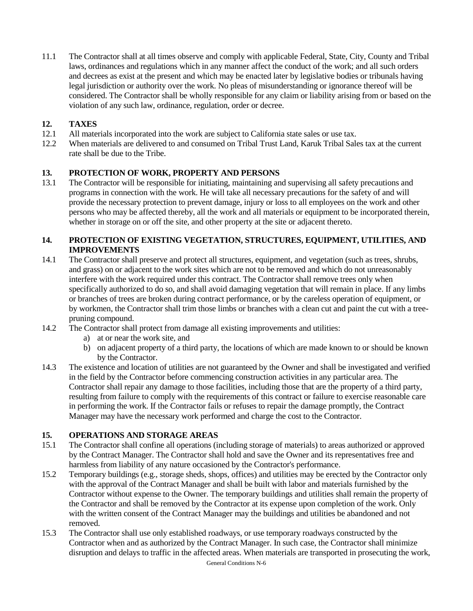11.1 The Contractor shall at all times observe and comply with applicable Federal, State, City, County and Tribal laws, ordinances and regulations which in any manner affect the conduct of the work; and all such orders and decrees as exist at the present and which may be enacted later by legislative bodies or tribunals having legal jurisdiction or authority over the work. No pleas of misunderstanding or ignorance thereof will be considered. The Contractor shall be wholly responsible for any claim or liability arising from or based on the violation of any such law, ordinance, regulation, order or decree.

# **12. TAXES**

- 12.1 All materials incorporated into the work are subject to California state sales or use tax.
- 12.2 When materials are delivered to and consumed on Tribal Trust Land, Karuk Tribal Sales tax at the current rate shall be due to the Tribe.

#### **13. PROTECTION OF WORK, PROPERTY AND PERSONS**

13.1 The Contractor will be responsible for initiating, maintaining and supervising all safety precautions and programs in connection with the work. He will take all necessary precautions for the safety of and will provide the necessary protection to prevent damage, injury or loss to all employees on the work and other persons who may be affected thereby, all the work and all materials or equipment to be incorporated therein, whether in storage on or off the site, and other property at the site or adjacent thereto.

#### **14. PROTECTION OF EXISTING VEGETATION, STRUCTURES, EQUIPMENT, UTILITIES, AND IMPROVEMENTS**

- 14.1 The Contractor shall preserve and protect all structures, equipment, and vegetation (such as trees, shrubs, and grass) on or adjacent to the work sites which are not to be removed and which do not unreasonably interfere with the work required under this contract. The Contractor shall remove trees only when specifically authorized to do so, and shall avoid damaging vegetation that will remain in place. If any limbs or branches of trees are broken during contract performance, or by the careless operation of equipment, or by workmen, the Contractor shall trim those limbs or branches with a clean cut and paint the cut with a treepruning compound.
- 14.2 The Contractor shall protect from damage all existing improvements and utilities:
	- a) at or near the work site, and
	- b) on adjacent property of a third party, the locations of which are made known to or should be known by the Contractor.
- 14.3 The existence and location of utilities are not guaranteed by the Owner and shall be investigated and verified in the field by the Contractor before commencing construction activities in any particular area. The Contractor shall repair any damage to those facilities, including those that are the property of a third party, resulting from failure to comply with the requirements of this contract or failure to exercise reasonable care in performing the work. If the Contractor fails or refuses to repair the damage promptly, the Contract Manager may have the necessary work performed and charge the cost to the Contractor.

### **15. OPERATIONS AND STORAGE AREAS**

- 15.1 The Contractor shall confine all operations (including storage of materials) to areas authorized or approved by the Contract Manager. The Contractor shall hold and save the Owner and its representatives free and harmless from liability of any nature occasioned by the Contractor's performance.
- 15.2 Temporary buildings (e.g., storage sheds, shops, offices) and utilities may be erected by the Contractor only with the approval of the Contract Manager and shall be built with labor and materials furnished by the Contractor without expense to the Owner. The temporary buildings and utilities shall remain the property of the Contractor and shall be removed by the Contractor at its expense upon completion of the work. Only with the written consent of the Contract Manager may the buildings and utilities be abandoned and not removed.
- 15.3 The Contractor shall use only established roadways, or use temporary roadways constructed by the Contractor when and as authorized by the Contract Manager. In such case, the Contractor shall minimize disruption and delays to traffic in the affected areas. When materials are transported in prosecuting the work,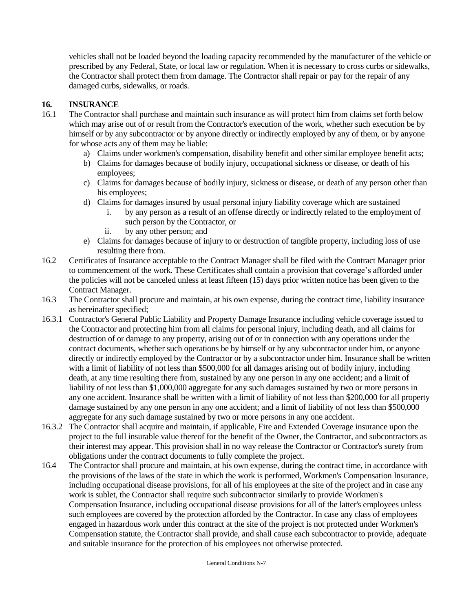vehicles shall not be loaded beyond the loading capacity recommended by the manufacturer of the vehicle or prescribed by any Federal, State, or local law or regulation. When it is necessary to cross curbs or sidewalks, the Contractor shall protect them from damage. The Contractor shall repair or pay for the repair of any damaged curbs, sidewalks, or roads.

### **16. INSURANCE**

- 16.1 The Contractor shall purchase and maintain such insurance as will protect him from claims set forth below which may arise out of or result from the Contractor's execution of the work, whether such execution be by himself or by any subcontractor or by anyone directly or indirectly employed by any of them, or by anyone for whose acts any of them may be liable:
	- a) Claims under workmen's compensation, disability benefit and other similar employee benefit acts;
	- b) Claims for damages because of bodily injury, occupational sickness or disease, or death of his employees;
	- c) Claims for damages because of bodily injury, sickness or disease, or death of any person other than his employees;
	- d) Claims for damages insured by usual personal injury liability coverage which are sustained
		- i. by any person as a result of an offense directly or indirectly related to the employment of such person by the Contractor, or
		- ii. by any other person; and
	- e) Claims for damages because of injury to or destruction of tangible property, including loss of use resulting there from.
- 16.2 Certificates of Insurance acceptable to the Contract Manager shall be filed with the Contract Manager prior to commencement of the work. These Certificates shall contain a provision that coverage's afforded under the policies will not be canceled unless at least fifteen (15) days prior written notice has been given to the Contract Manager.
- 16.3 The Contractor shall procure and maintain, at his own expense, during the contract time, liability insurance as hereinafter specified;
- 16.3.1 Contractor's General Public Liability and Property Damage Insurance including vehicle coverage issued to the Contractor and protecting him from all claims for personal injury, including death, and all claims for destruction of or damage to any property, arising out of or in connection with any operations under the contract documents, whether such operations be by himself or by any subcontractor under him, or anyone directly or indirectly employed by the Contractor or by a subcontractor under him. Insurance shall be written with a limit of liability of not less than \$500,000 for all damages arising out of bodily injury, including death, at any time resulting there from, sustained by any one person in any one accident; and a limit of liability of not less than \$1,000,000 aggregate for any such damages sustained by two or more persons in any one accident. Insurance shall be written with a limit of liability of not less than \$200,000 for all property damage sustained by any one person in any one accident; and a limit of liability of not less than \$500,000 aggregate for any such damage sustained by two or more persons in any one accident.
- 16.3.2 The Contractor shall acquire and maintain, if applicable, Fire and Extended Coverage insurance upon the project to the full insurable value thereof for the benefit of the Owner, the Contractor, and subcontractors as their interest may appear. This provision shall in no way release the Contractor or Contractor's surety from obligations under the contract documents to fully complete the project.
- 16.4 The Contractor shall procure and maintain, at his own expense, during the contract time, in accordance with the provisions of the laws of the state in which the work is performed, Workmen's Compensation Insurance, including occupational disease provisions, for all of his employees at the site of the project and in case any work is sublet, the Contractor shall require such subcontractor similarly to provide Workmen's Compensation Insurance, including occupational disease provisions for all of the latter's employees unless such employees are covered by the protection afforded by the Contractor. In case any class of employees engaged in hazardous work under this contract at the site of the project is not protected under Workmen's Compensation statute, the Contractor shall provide, and shall cause each subcontractor to provide, adequate and suitable insurance for the protection of his employees not otherwise protected.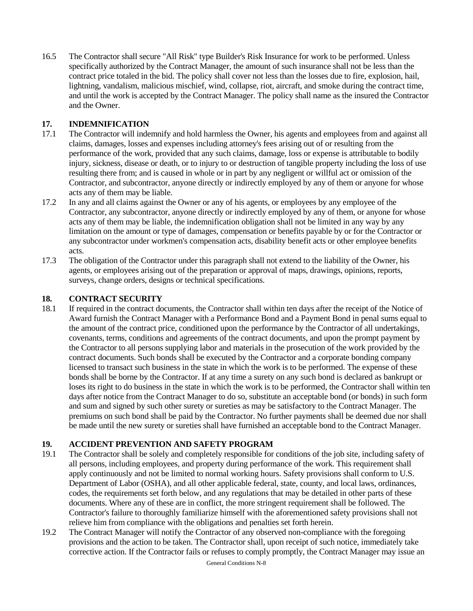16.5 The Contractor shall secure "All Risk" type Builder's Risk Insurance for work to be performed. Unless specifically authorized by the Contract Manager, the amount of such insurance shall not be less than the contract price totaled in the bid. The policy shall cover not less than the losses due to fire, explosion, hail, lightning, vandalism, malicious mischief, wind, collapse, riot, aircraft, and smoke during the contract time, and until the work is accepted by the Contract Manager. The policy shall name as the insured the Contractor and the Owner.

#### **17. INDEMNIFICATION**

- 17.1 The Contractor will indemnify and hold harmless the Owner, his agents and employees from and against all claims, damages, losses and expenses including attorney's fees arising out of or resulting from the performance of the work, provided that any such claims, damage, loss or expense is attributable to bodily injury, sickness, disease or death, or to injury to or destruction of tangible property including the loss of use resulting there from; and is caused in whole or in part by any negligent or willful act or omission of the Contractor, and subcontractor, anyone directly or indirectly employed by any of them or anyone for whose acts any of them may be liable.
- 17.2 In any and all claims against the Owner or any of his agents, or employees by any employee of the Contractor, any subcontractor, anyone directly or indirectly employed by any of them, or anyone for whose acts any of them may be liable, the indemnification obligation shall not be limited in any way by any limitation on the amount or type of damages, compensation or benefits payable by or for the Contractor or any subcontractor under workmen's compensation acts, disability benefit acts or other employee benefits acts.
- 17.3 The obligation of the Contractor under this paragraph shall not extend to the liability of the Owner, his agents, or employees arising out of the preparation or approval of maps, drawings, opinions, reports, surveys, change orders, designs or technical specifications.

#### **18. CONTRACT SECURITY**

18.1 If required in the contract documents, the Contractor shall within ten days after the receipt of the Notice of Award furnish the Contract Manager with a Performance Bond and a Payment Bond in penal sums equal to the amount of the contract price, conditioned upon the performance by the Contractor of all undertakings, covenants, terms, conditions and agreements of the contract documents, and upon the prompt payment by the Contractor to all persons supplying labor and materials in the prosecution of the work provided by the contract documents. Such bonds shall be executed by the Contractor and a corporate bonding company licensed to transact such business in the state in which the work is to be performed. The expense of these bonds shall be borne by the Contractor. If at any time a surety on any such bond is declared as bankrupt or loses its right to do business in the state in which the work is to be performed, the Contractor shall within ten days after notice from the Contract Manager to do so, substitute an acceptable bond (or bonds) in such form and sum and signed by such other surety or sureties as may be satisfactory to the Contract Manager. The premiums on such bond shall be paid by the Contractor. No further payments shall be deemed due nor shall be made until the new surety or sureties shall have furnished an acceptable bond to the Contract Manager.

### **19. ACCIDENT PREVENTION AND SAFETY PROGRAM**

- 19.1 The Contractor shall be solely and completely responsible for conditions of the job site, including safety of all persons, including employees, and property during performance of the work. This requirement shall apply continuously and not be limited to normal working hours. Safety provisions shall conform to U.S. Department of Labor (OSHA), and all other applicable federal, state, county, and local laws, ordinances, codes, the requirements set forth below, and any regulations that may be detailed in other parts of these documents. Where any of these are in conflict, the more stringent requirement shall be followed. The Contractor's failure to thoroughly familiarize himself with the aforementioned safety provisions shall not relieve him from compliance with the obligations and penalties set forth herein.
- 19.2 The Contract Manager will notify the Contractor of any observed non-compliance with the foregoing provisions and the action to be taken. The Contractor shall, upon receipt of such notice, immediately take corrective action. If the Contractor fails or refuses to comply promptly, the Contract Manager may issue an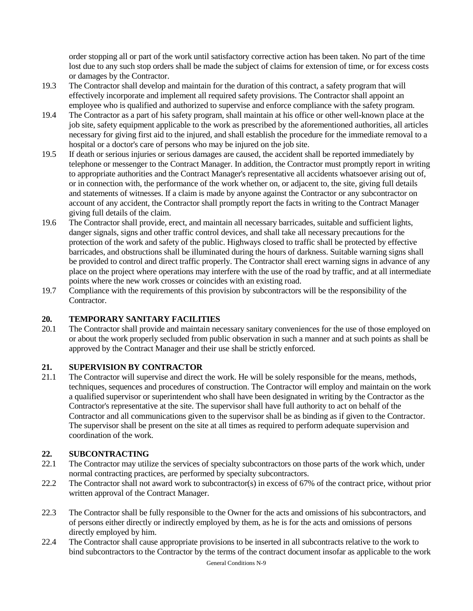order stopping all or part of the work until satisfactory corrective action has been taken. No part of the time lost due to any such stop orders shall be made the subject of claims for extension of time, or for excess costs or damages by the Contractor.

- 19.3 The Contractor shall develop and maintain for the duration of this contract, a safety program that will effectively incorporate and implement all required safety provisions. The Contractor shall appoint an employee who is qualified and authorized to supervise and enforce compliance with the safety program.
- 19.4 The Contractor as a part of his safety program, shall maintain at his office or other well-known place at the job site, safety equipment applicable to the work as prescribed by the aforementioned authorities, all articles necessary for giving first aid to the injured, and shall establish the procedure for the immediate removal to a hospital or a doctor's care of persons who may be injured on the job site.
- 19.5 If death or serious injuries or serious damages are caused, the accident shall be reported immediately by telephone or messenger to the Contract Manager. In addition, the Contractor must promptly report in writing to appropriate authorities and the Contract Manager's representative all accidents whatsoever arising out of, or in connection with, the performance of the work whether on, or adjacent to, the site, giving full details and statements of witnesses. If a claim is made by anyone against the Contractor or any subcontractor on account of any accident, the Contractor shall promptly report the facts in writing to the Contract Manager giving full details of the claim.
- 19.6 The Contractor shall provide, erect, and maintain all necessary barricades, suitable and sufficient lights, danger signals, signs and other traffic control devices, and shall take all necessary precautions for the protection of the work and safety of the public. Highways closed to traffic shall be protected by effective barricades, and obstructions shall be illuminated during the hours of darkness. Suitable warning signs shall be provided to control and direct traffic properly. The Contractor shall erect warning signs in advance of any place on the project where operations may interfere with the use of the road by traffic, and at all intermediate points where the new work crosses or coincides with an existing road.
- 19.7 Compliance with the requirements of this provision by subcontractors will be the responsibility of the Contractor.

### **20. TEMPORARY SANITARY FACILITIES**

20.1 The Contractor shall provide and maintain necessary sanitary conveniences for the use of those employed on or about the work properly secluded from public observation in such a manner and at such points as shall be approved by the Contract Manager and their use shall be strictly enforced.

### **21. SUPERVISION BY CONTRACTOR**

21.1 The Contractor will supervise and direct the work. He will be solely responsible for the means, methods, techniques, sequences and procedures of construction. The Contractor will employ and maintain on the work a qualified supervisor or superintendent who shall have been designated in writing by the Contractor as the Contractor's representative at the site. The supervisor shall have full authority to act on behalf of the Contractor and all communications given to the supervisor shall be as binding as if given to the Contractor. The supervisor shall be present on the site at all times as required to perform adequate supervision and coordination of the work.

### **22. SUBCONTRACTING**

- 22.1 The Contractor may utilize the services of specialty subcontractors on those parts of the work which, under normal contracting practices, are performed by specialty subcontractors.
- 22.2 The Contractor shall not award work to subcontractor(s) in excess of 67% of the contract price, without prior written approval of the Contract Manager.
- 22.3 The Contractor shall be fully responsible to the Owner for the acts and omissions of his subcontractors, and of persons either directly or indirectly employed by them, as he is for the acts and omissions of persons directly employed by him.
- 22.4 The Contractor shall cause appropriate provisions to be inserted in all subcontracts relative to the work to bind subcontractors to the Contractor by the terms of the contract document insofar as applicable to the work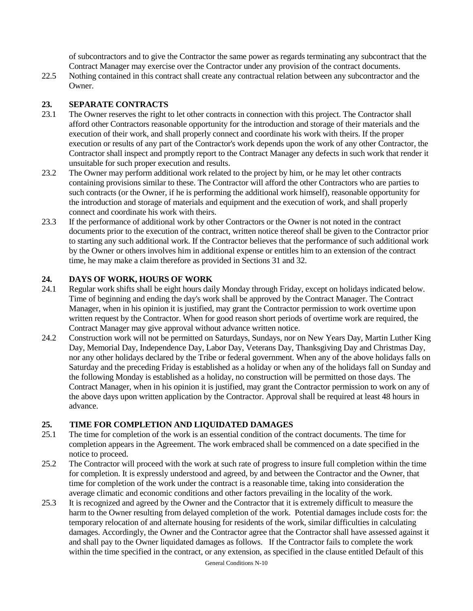of subcontractors and to give the Contractor the same power as regards terminating any subcontract that the Contract Manager may exercise over the Contractor under any provision of the contract documents.

22.5 Nothing contained in this contract shall create any contractual relation between any subcontractor and the Owner.

### **23. SEPARATE CONTRACTS**

- 23.1 The Owner reserves the right to let other contracts in connection with this project. The Contractor shall afford other Contractors reasonable opportunity for the introduction and storage of their materials and the execution of their work, and shall properly connect and coordinate his work with theirs. If the proper execution or results of any part of the Contractor's work depends upon the work of any other Contractor, the Contractor shall inspect and promptly report to the Contract Manager any defects in such work that render it unsuitable for such proper execution and results.
- 23.2 The Owner may perform additional work related to the project by him, or he may let other contracts containing provisions similar to these. The Contractor will afford the other Contractors who are parties to such contracts (or the Owner, if he is performing the additional work himself), reasonable opportunity for the introduction and storage of materials and equipment and the execution of work, and shall properly connect and coordinate his work with theirs.
- 23.3 If the performance of additional work by other Contractors or the Owner is not noted in the contract documents prior to the execution of the contract, written notice thereof shall be given to the Contractor prior to starting any such additional work. If the Contractor believes that the performance of such additional work by the Owner or others involves him in additional expense or entitles him to an extension of the contract time, he may make a claim therefore as provided in Sections 31 and 32.

### **24. DAYS OF WORK, HOURS OF WORK**

- 24.1 Regular work shifts shall be eight hours daily Monday through Friday, except on holidays indicated below. Time of beginning and ending the day's work shall be approved by the Contract Manager. The Contract Manager, when in his opinion it is justified, may grant the Contractor permission to work overtime upon written request by the Contractor. When for good reason short periods of overtime work are required, the Contract Manager may give approval without advance written notice.
- 24.2 Construction work will not be permitted on Saturdays, Sundays, nor on New Years Day, Martin Luther King Day, Memorial Day, Independence Day, Labor Day, Veterans Day, Thanksgiving Day and Christmas Day, nor any other holidays declared by the Tribe or federal government. When any of the above holidays falls on Saturday and the preceding Friday is established as a holiday or when any of the holidays fall on Sunday and the following Monday is established as a holiday, no construction will be permitted on those days. The Contract Manager, when in his opinion it is justified, may grant the Contractor permission to work on any of the above days upon written application by the Contractor. Approval shall be required at least 48 hours in advance.

### **25. TIME FOR COMPLETION AND LIQUIDATED DAMAGES**

- 25.1 The time for completion of the work is an essential condition of the contract documents. The time for completion appears in the Agreement. The work embraced shall be commenced on a date specified in the notice to proceed.
- 25.2 The Contractor will proceed with the work at such rate of progress to insure full completion within the time for completion. It is expressly understood and agreed, by and between the Contractor and the Owner, that time for completion of the work under the contract is a reasonable time, taking into consideration the average climatic and economic conditions and other factors prevailing in the locality of the work.
- 25.3 It is recognized and agreed by the Owner and the Contractor that it is extremely difficult to measure the harm to the Owner resulting from delayed completion of the work. Potential damages include costs for: the temporary relocation of and alternate housing for residents of the work, similar difficulties in calculating damages. Accordingly, the Owner and the Contractor agree that the Contractor shall have assessed against it and shall pay to the Owner liquidated damages as follows. If the Contractor fails to complete the work within the time specified in the contract, or any extension, as specified in the clause entitled Default of this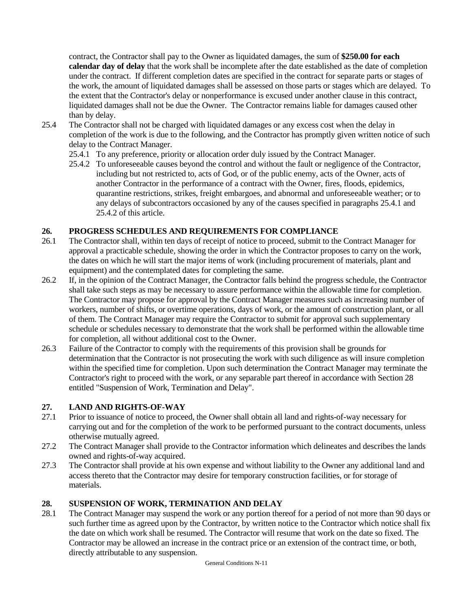contract, the Contractor shall pay to the Owner as liquidated damages, the sum of **\$250.00 for each calendar day of delay** that the work shall be incomplete after the date established as the date of completion under the contract. If different completion dates are specified in the contract for separate parts or stages of the work, the amount of liquidated damages shall be assessed on those parts or stages which are delayed. To the extent that the Contractor's delay or nonperformance is excused under another clause in this contract, liquidated damages shall not be due the Owner. The Contractor remains liable for damages caused other than by delay.

- 25.4 The Contractor shall not be charged with liquidated damages or any excess cost when the delay in completion of the work is due to the following, and the Contractor has promptly given written notice of such delay to the Contract Manager.
	- 25.4.1 To any preference, priority or allocation order duly issued by the Contract Manager.
	- 25.4.2 To unforeseeable causes beyond the control and without the fault or negligence of the Contractor, including but not restricted to, acts of God, or of the public enemy, acts of the Owner, acts of another Contractor in the performance of a contract with the Owner, fires, floods, epidemics, quarantine restrictions, strikes, freight embargoes, and abnormal and unforeseeable weather; or to any delays of subcontractors occasioned by any of the causes specified in paragraphs 25.4.1 and 25.4.2 of this article.

### **26. PROGRESS SCHEDULES AND REQUIREMENTS FOR COMPLIANCE**

- 26.1 The Contractor shall, within ten days of receipt of notice to proceed, submit to the Contract Manager for approval a practicable schedule, showing the order in which the Contractor proposes to carry on the work, the dates on which he will start the major items of work (including procurement of materials, plant and equipment) and the contemplated dates for completing the same.
- 26.2 If, in the opinion of the Contract Manager, the Contractor falls behind the progress schedule, the Contractor shall take such steps as may be necessary to assure performance within the allowable time for completion. The Contractor may propose for approval by the Contract Manager measures such as increasing number of workers, number of shifts, or overtime operations, days of work, or the amount of construction plant, or all of them. The Contract Manager may require the Contractor to submit for approval such supplementary schedule or schedules necessary to demonstrate that the work shall be performed within the allowable time for completion, all without additional cost to the Owner.
- 26.3 Failure of the Contractor to comply with the requirements of this provision shall be grounds for determination that the Contractor is not prosecuting the work with such diligence as will insure completion within the specified time for completion. Upon such determination the Contract Manager may terminate the Contractor's right to proceed with the work, or any separable part thereof in accordance with Section 28 entitled "Suspension of Work, Termination and Delay".

### **27. LAND AND RIGHTS-OF-WAY**

- 27.1 Prior to issuance of notice to proceed, the Owner shall obtain all land and rights-of-way necessary for carrying out and for the completion of the work to be performed pursuant to the contract documents, unless otherwise mutually agreed.
- 27.2 The Contract Manager shall provide to the Contractor information which delineates and describes the lands owned and rights-of-way acquired.
- 27.3 The Contractor shall provide at his own expense and without liability to the Owner any additional land and access thereto that the Contractor may desire for temporary construction facilities, or for storage of materials.

# **28. SUSPENSION OF WORK, TERMINATION AND DELAY**

28.1 The Contract Manager may suspend the work or any portion thereof for a period of not more than 90 days or such further time as agreed upon by the Contractor, by written notice to the Contractor which notice shall fix the date on which work shall be resumed. The Contractor will resume that work on the date so fixed. The Contractor may be allowed an increase in the contract price or an extension of the contract time, or both, directly attributable to any suspension.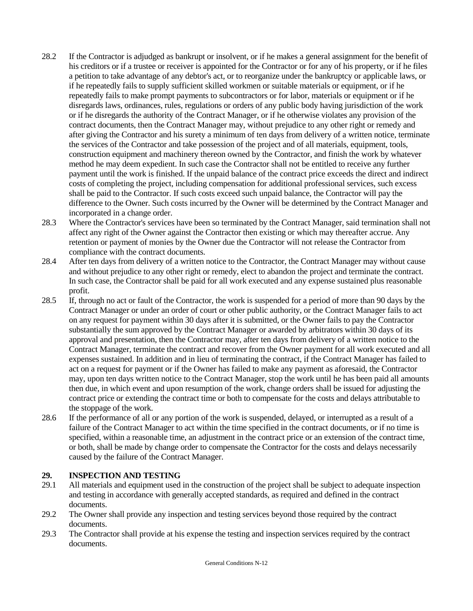- 28.2 If the Contractor is adjudged as bankrupt or insolvent, or if he makes a general assignment for the benefit of his creditors or if a trustee or receiver is appointed for the Contractor or for any of his property, or if he files a petition to take advantage of any debtor's act, or to reorganize under the bankruptcy or applicable laws, or if he repeatedly fails to supply sufficient skilled workmen or suitable materials or equipment, or if he repeatedly fails to make prompt payments to subcontractors or for labor, materials or equipment or if he disregards laws, ordinances, rules, regulations or orders of any public body having jurisdiction of the work or if he disregards the authority of the Contract Manager, or if he otherwise violates any provision of the contract documents, then the Contract Manager may, without prejudice to any other right or remedy and after giving the Contractor and his surety a minimum of ten days from delivery of a written notice, terminate the services of the Contractor and take possession of the project and of all materials, equipment, tools, construction equipment and machinery thereon owned by the Contractor, and finish the work by whatever method he may deem expedient. In such case the Contractor shall not be entitled to receive any further payment until the work is finished. If the unpaid balance of the contract price exceeds the direct and indirect costs of completing the project, including compensation for additional professional services, such excess shall be paid to the Contractor. If such costs exceed such unpaid balance, the Contractor will pay the difference to the Owner. Such costs incurred by the Owner will be determined by the Contract Manager and incorporated in a change order.
- 28.3 Where the Contractor's services have been so terminated by the Contract Manager, said termination shall not affect any right of the Owner against the Contractor then existing or which may thereafter accrue. Any retention or payment of monies by the Owner due the Contractor will not release the Contractor from compliance with the contract documents.
- 28.4 After ten days from delivery of a written notice to the Contractor, the Contract Manager may without cause and without prejudice to any other right or remedy, elect to abandon the project and terminate the contract. In such case, the Contractor shall be paid for all work executed and any expense sustained plus reasonable profit.
- 28.5 If, through no act or fault of the Contractor, the work is suspended for a period of more than 90 days by the Contract Manager or under an order of court or other public authority, or the Contract Manager fails to act on any request for payment within 30 days after it is submitted, or the Owner fails to pay the Contractor substantially the sum approved by the Contract Manager or awarded by arbitrators within 30 days of its approval and presentation, then the Contractor may, after ten days from delivery of a written notice to the Contract Manager, terminate the contract and recover from the Owner payment for all work executed and all expenses sustained. In addition and in lieu of terminating the contract, if the Contract Manager has failed to act on a request for payment or if the Owner has failed to make any payment as aforesaid, the Contractor may, upon ten days written notice to the Contract Manager, stop the work until he has been paid all amounts then due, in which event and upon resumption of the work, change orders shall be issued for adjusting the contract price or extending the contract time or both to compensate for the costs and delays attributable to the stoppage of the work.
- 28.6 If the performance of all or any portion of the work is suspended, delayed, or interrupted as a result of a failure of the Contract Manager to act within the time specified in the contract documents, or if no time is specified, within a reasonable time, an adjustment in the contract price or an extension of the contract time, or both, shall be made by change order to compensate the Contractor for the costs and delays necessarily caused by the failure of the Contract Manager.

### **29. INSPECTION AND TESTING**

- 29.1 All materials and equipment used in the construction of the project shall be subject to adequate inspection and testing in accordance with generally accepted standards, as required and defined in the contract documents.
- 29.2 The Owner shall provide any inspection and testing services beyond those required by the contract documents.
- 29.3 The Contractor shall provide at his expense the testing and inspection services required by the contract documents.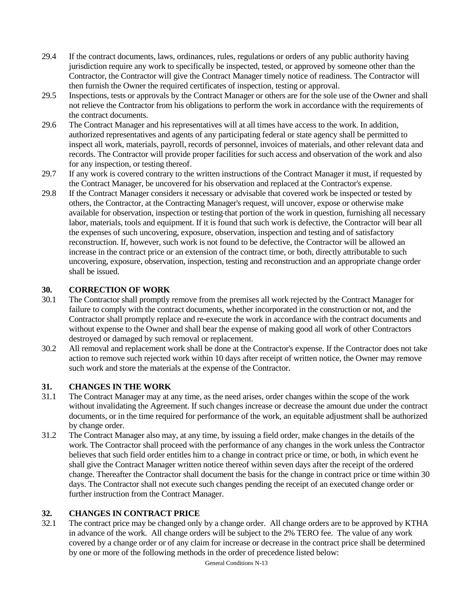- 29.4 If the contract documents, laws, ordinances, rules, regulations or orders of any public authority having jurisdiction require any work to specifically be inspected, tested, or approved by someone other than the Contractor, the Contractor will give the Contract Manager timely notice of readiness. The Contractor will then furnish the Owner the required certificates of inspection, testing or approval.
- 29.5 Inspections, tests or approvals by the Contract Manager or others are for the sole use of the Owner and shall not relieve the Contractor from his obligations to perform the work in accordance with the requirements of the contract documents.
- 29.6 The Contract Manager and his representatives will at all times have access to the work. In addition, authorized representatives and agents of any participating federal or state agency shall be permitted to inspect all work, materials, payroll, records of personnel, invoices of materials, and other relevant data and records. The Contractor will provide proper facilities for such access and observation of the work and also for any inspection, or testing thereof.
- 29.7 If any work is covered contrary to the written instructions of the Contract Manager it must, if requested by the Contract Manager, be uncovered for his observation and replaced at the Contractor's expense.
- 29.8 If the Contract Manager considers it necessary or advisable that covered work be inspected or tested by others, the Contractor, at the Contracting Manager's request, will uncover, expose or otherwise make available for observation, inspection or testing that portion of the work in question, furnishing all necessary labor, materials, tools and equipment. If it is found that such work is defective, the Contractor will bear all the expenses of such uncovering, exposure, observation, inspection and testing and of satisfactory reconstruction. If, however, such work is not found to be defective, the Contractor will be allowed an increase in the contract price or an extension of the contract time, or both, directly attributable to such uncovering, exposure, observation, inspection, testing and reconstruction and an appropriate change order shall be issued.

### **30. CORRECTION OF WORK**

- 30.1 The Contractor shall promptly remove from the premises all work rejected by the Contract Manager for failure to comply with the contract documents, whether incorporated in the construction or not, and the Contractor shall promptly replace and re-execute the work in accordance with the contract documents and without expense to the Owner and shall bear the expense of making good all work of other Contractors destroyed or damaged by such removal or replacement.
- 30.2 All removal and replacement work shall be done at the Contractor's expense. If the Contractor does not take action to remove such rejected work within 10 days after receipt of written notice, the Owner may remove such work and store the materials at the expense of the Contractor.

#### **31. CHANGES IN THE WORK**

- 31.1 The Contract Manager may at any time, as the need arises, order changes within the scope of the work without invalidating the Agreement. If such changes increase or decrease the amount due under the contract documents, or in the time required for performance of the work, an equitable adjustment shall be authorized by change order.
- 31.2 The Contract Manager also may, at any time, by issuing a field order, make changes in the details of the work. The Contractor shall proceed with the performance of any changes in the work unless the Contractor believes that such field order entitles him to a change in contract price or time, or both, in which event he shall give the Contract Manager written notice thereof within seven days after the receipt of the ordered change. Thereafter the Contractor shall document the basis for the change in contract price or time within 30 days. The Contractor shall not execute such changes pending the receipt of an executed change order or further instruction from the Contract Manager.

#### **32. CHANGES IN CONTRACT PRICE**

32.1 The contract price may be changed only by a change order. All change orders are to be approved by KTHA in advance of the work. All change orders will be subject to the 2% TERO fee. The value of any work covered by a change order or of any claim for increase or decrease in the contract price shall be determined by one or more of the following methods in the order of precedence listed below: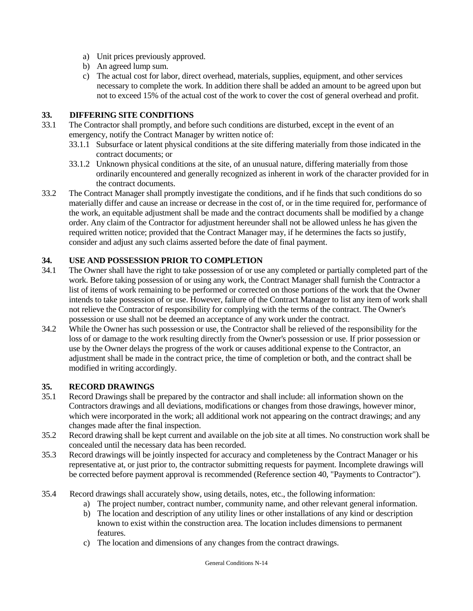- a) Unit prices previously approved.
- b) An agreed lump sum.
- c) The actual cost for labor, direct overhead, materials, supplies, equipment, and other services necessary to complete the work. In addition there shall be added an amount to be agreed upon but not to exceed 15% of the actual cost of the work to cover the cost of general overhead and profit.

#### **33. DIFFERING SITE CONDITIONS**

- 33.1 The Contractor shall promptly, and before such conditions are disturbed, except in the event of an emergency, notify the Contract Manager by written notice of:
	- 33.1.1 Subsurface or latent physical conditions at the site differing materially from those indicated in the contract documents; or
	- 33.1.2 Unknown physical conditions at the site, of an unusual nature, differing materially from those ordinarily encountered and generally recognized as inherent in work of the character provided for in the contract documents.
- 33.2 The Contract Manager shall promptly investigate the conditions, and if he finds that such conditions do so materially differ and cause an increase or decrease in the cost of, or in the time required for, performance of the work, an equitable adjustment shall be made and the contract documents shall be modified by a change order. Any claim of the Contractor for adjustment hereunder shall not be allowed unless he has given the required written notice; provided that the Contract Manager may, if he determines the facts so justify, consider and adjust any such claims asserted before the date of final payment.

### **34. USE AND POSSESSION PRIOR TO COMPLETION**

- 34.1 The Owner shall have the right to take possession of or use any completed or partially completed part of the work. Before taking possession of or using any work, the Contract Manager shall furnish the Contractor a list of items of work remaining to be performed or corrected on those portions of the work that the Owner intends to take possession of or use. However, failure of the Contract Manager to list any item of work shall not relieve the Contractor of responsibility for complying with the terms of the contract. The Owner's possession or use shall not be deemed an acceptance of any work under the contract.
- 34.2 While the Owner has such possession or use, the Contractor shall be relieved of the responsibility for the loss of or damage to the work resulting directly from the Owner's possession or use. If prior possession or use by the Owner delays the progress of the work or causes additional expense to the Contractor, an adjustment shall be made in the contract price, the time of completion or both, and the contract shall be modified in writing accordingly.

#### **35. RECORD DRAWINGS**

- 35.1 Record Drawings shall be prepared by the contractor and shall include: all information shown on the Contractors drawings and all deviations, modifications or changes from those drawings, however minor, which were incorporated in the work; all additional work not appearing on the contract drawings; and any changes made after the final inspection.
- 35.2 Record drawing shall be kept current and available on the job site at all times. No construction work shall be concealed until the necessary data has been recorded.
- 35.3 Record drawings will be jointly inspected for accuracy and completeness by the Contract Manager or his representative at, or just prior to, the contractor submitting requests for payment. Incomplete drawings will be corrected before payment approval is recommended (Reference section 40, "Payments to Contractor").
- 35.4 Record drawings shall accurately show, using details, notes, etc., the following information:
	- a) The project number, contract number, community name, and other relevant general information.
	- b) The location and description of any utility lines or other installations of any kind or description known to exist within the construction area. The location includes dimensions to permanent features.
	- c) The location and dimensions of any changes from the contract drawings.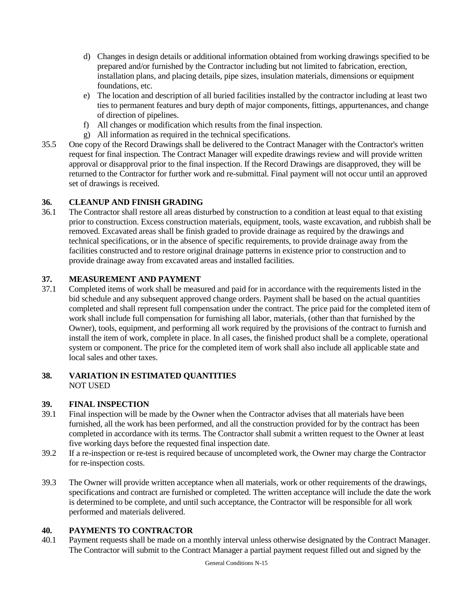- d) Changes in design details or additional information obtained from working drawings specified to be prepared and/or furnished by the Contractor including but not limited to fabrication, erection, installation plans, and placing details, pipe sizes, insulation materials, dimensions or equipment foundations, etc.
- e) The location and description of all buried facilities installed by the contractor including at least two ties to permanent features and bury depth of major components, fittings, appurtenances, and change of direction of pipelines.
- f) All changes or modification which results from the final inspection.
- g) All information as required in the technical specifications.
- 35.5 One copy of the Record Drawings shall be delivered to the Contract Manager with the Contractor's written request for final inspection. The Contract Manager will expedite drawings review and will provide written approval or disapproval prior to the final inspection. If the Record Drawings are disapproved, they will be returned to the Contractor for further work and re-submittal. Final payment will not occur until an approved set of drawings is received.

### **36. CLEANUP AND FINISH GRADING**

36.1 The Contractor shall restore all areas disturbed by construction to a condition at least equal to that existing prior to construction. Excess construction materials, equipment, tools, waste excavation, and rubbish shall be removed. Excavated areas shall be finish graded to provide drainage as required by the drawings and technical specifications, or in the absence of specific requirements, to provide drainage away from the facilities constructed and to restore original drainage patterns in existence prior to construction and to provide drainage away from excavated areas and installed facilities.

### **37. MEASUREMENT AND PAYMENT**

37.1 Completed items of work shall be measured and paid for in accordance with the requirements listed in the bid schedule and any subsequent approved change orders. Payment shall be based on the actual quantities completed and shall represent full compensation under the contract. The price paid for the completed item of work shall include full compensation for furnishing all labor, materials, (other than that furnished by the Owner), tools, equipment, and performing all work required by the provisions of the contract to furnish and install the item of work, complete in place. In all cases, the finished product shall be a complete, operational system or component. The price for the completed item of work shall also include all applicable state and local sales and other taxes.

### **38. VARIATION IN ESTIMATED QUANTITIES** NOT USED

### **39. FINAL INSPECTION**

- 39.1 Final inspection will be made by the Owner when the Contractor advises that all materials have been furnished, all the work has been performed, and all the construction provided for by the contract has been completed in accordance with its terms. The Contractor shall submit a written request to the Owner at least five working days before the requested final inspection date.
- 39.2 If a re-inspection or re-test is required because of uncompleted work, the Owner may charge the Contractor for re-inspection costs.
- 39.3 The Owner will provide written acceptance when all materials, work or other requirements of the drawings, specifications and contract are furnished or completed. The written acceptance will include the date the work is determined to be complete, and until such acceptance, the Contractor will be responsible for all work performed and materials delivered.

### **40. PAYMENTS TO CONTRACTOR**

40.1 Payment requests shall be made on a monthly interval unless otherwise designated by the Contract Manager. The Contractor will submit to the Contract Manager a partial payment request filled out and signed by the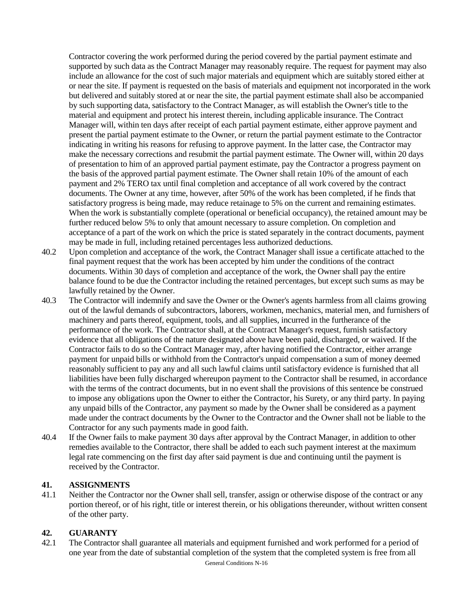Contractor covering the work performed during the period covered by the partial payment estimate and supported by such data as the Contract Manager may reasonably require. The request for payment may also include an allowance for the cost of such major materials and equipment which are suitably stored either at or near the site. If payment is requested on the basis of materials and equipment not incorporated in the work but delivered and suitably stored at or near the site, the partial payment estimate shall also be accompanied by such supporting data, satisfactory to the Contract Manager, as will establish the Owner's title to the material and equipment and protect his interest therein, including applicable insurance. The Contract Manager will, within ten days after receipt of each partial payment estimate, either approve payment and present the partial payment estimate to the Owner, or return the partial payment estimate to the Contractor indicating in writing his reasons for refusing to approve payment. In the latter case, the Contractor may make the necessary corrections and resubmit the partial payment estimate. The Owner will, within 20 days of presentation to him of an approved partial payment estimate, pay the Contractor a progress payment on the basis of the approved partial payment estimate. The Owner shall retain 10% of the amount of each payment and 2% TERO tax until final completion and acceptance of all work covered by the contract documents. The Owner at any time, however, after 50% of the work has been completed, if he finds that satisfactory progress is being made, may reduce retainage to 5% on the current and remaining estimates. When the work is substantially complete (operational or beneficial occupancy), the retained amount may be further reduced below 5% to only that amount necessary to assure completion. On completion and acceptance of a part of the work on which the price is stated separately in the contract documents, payment may be made in full, including retained percentages less authorized deductions.

- 40.2 Upon completion and acceptance of the work, the Contract Manager shall issue a certificate attached to the final payment request that the work has been accepted by him under the conditions of the contract documents. Within 30 days of completion and acceptance of the work, the Owner shall pay the entire balance found to be due the Contractor including the retained percentages, but except such sums as may be lawfully retained by the Owner.
- 40.3 The Contractor will indemnify and save the Owner or the Owner's agents harmless from all claims growing out of the lawful demands of subcontractors, laborers, workmen, mechanics, material men, and furnishers of machinery and parts thereof, equipment, tools, and all supplies, incurred in the furtherance of the performance of the work. The Contractor shall, at the Contract Manager's request, furnish satisfactory evidence that all obligations of the nature designated above have been paid, discharged, or waived. If the Contractor fails to do so the Contract Manager may, after having notified the Contractor, either arrange payment for unpaid bills or withhold from the Contractor's unpaid compensation a sum of money deemed reasonably sufficient to pay any and all such lawful claims until satisfactory evidence is furnished that all liabilities have been fully discharged whereupon payment to the Contractor shall be resumed, in accordance with the terms of the contract documents, but in no event shall the provisions of this sentence be construed to impose any obligations upon the Owner to either the Contractor, his Surety, or any third party. In paying any unpaid bills of the Contractor, any payment so made by the Owner shall be considered as a payment made under the contract documents by the Owner to the Contractor and the Owner shall not be liable to the Contractor for any such payments made in good faith.
- 40.4 If the Owner fails to make payment 30 days after approval by the Contract Manager, in addition to other remedies available to the Contractor, there shall be added to each such payment interest at the maximum legal rate commencing on the first day after said payment is due and continuing until the payment is received by the Contractor.

#### **41. ASSIGNMENTS**

41.1 Neither the Contractor nor the Owner shall sell, transfer, assign or otherwise dispose of the contract or any portion thereof, or of his right, title or interest therein, or his obligations thereunder, without written consent of the other party.

### **42. GUARANTY**

42.1 The Contractor shall guarantee all materials and equipment furnished and work performed for a period of one year from the date of substantial completion of the system that the completed system is free from all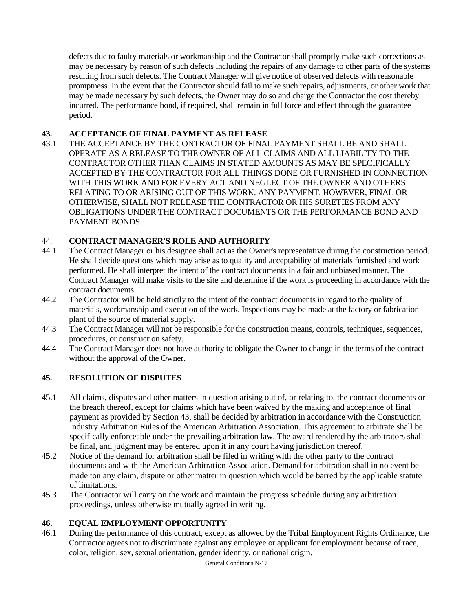defects due to faulty materials or workmanship and the Contractor shall promptly make such corrections as may be necessary by reason of such defects including the repairs of any damage to other parts of the systems resulting from such defects. The Contract Manager will give notice of observed defects with reasonable promptness. In the event that the Contractor should fail to make such repairs, adjustments, or other work that may be made necessary by such defects, the Owner may do so and charge the Contractor the cost thereby incurred. The performance bond, if required, shall remain in full force and effect through the guarantee period.

### **43. ACCEPTANCE OF FINAL PAYMENT AS RELEASE**

43.1 THE ACCEPTANCE BY THE CONTRACTOR OF FINAL PAYMENT SHALL BE AND SHALL OPERATE AS A RELEASE TO THE OWNER OF ALL CLAIMS AND ALL LIABILITY TO THE CONTRACTOR OTHER THAN CLAIMS IN STATED AMOUNTS AS MAY BE SPECIFICALLY ACCEPTED BY THE CONTRACTOR FOR ALL THINGS DONE OR FURNISHED IN CONNECTION WITH THIS WORK AND FOR EVERY ACT AND NEGLECT OF THE OWNER AND OTHERS RELATING TO OR ARISING OUT OF THIS WORK. ANY PAYMENT, HOWEVER, FINAL OR OTHERWISE, SHALL NOT RELEASE THE CONTRACTOR OR HIS SURETIES FROM ANY OBLIGATIONS UNDER THE CONTRACT DOCUMENTS OR THE PERFORMANCE BOND AND PAYMENT BONDS.

### 44. **CONTRACT MANAGER'S ROLE AND AUTHORITY**

- 44.1 The Contract Manager or his designee shall act as the Owner's representative during the construction period. He shall decide questions which may arise as to quality and acceptability of materials furnished and work performed. He shall interpret the intent of the contract documents in a fair and unbiased manner. The Contract Manager will make visits to the site and determine if the work is proceeding in accordance with the contract documents.
- 44.2 The Contractor will be held strictly to the intent of the contract documents in regard to the quality of materials, workmanship and execution of the work. Inspections may be made at the factory or fabrication plant of the source of material supply.
- 44.3 The Contract Manager will not be responsible for the construction means, controls, techniques, sequences, procedures, or construction safety.
- 44.4 The Contract Manager does not have authority to obligate the Owner to change in the terms of the contract without the approval of the Owner.

### **45. RESOLUTION OF DISPUTES**

- 45.1 All claims, disputes and other matters in question arising out of, or relating to, the contract documents or the breach thereof, except for claims which have been waived by the making and acceptance of final payment as provided by Section 43, shall be decided by arbitration in accordance with the Construction Industry Arbitration Rules of the American Arbitration Association. This agreement to arbitrate shall be specifically enforceable under the prevailing arbitration law. The award rendered by the arbitrators shall be final, and judgment may be entered upon it in any court having jurisdiction thereof.
- 45.2 Notice of the demand for arbitration shall be filed in writing with the other party to the contract documents and with the American Arbitration Association. Demand for arbitration shall in no event be made ton any claim, dispute or other matter in question which would be barred by the applicable statute of limitations.
- 45.3 The Contractor will carry on the work and maintain the progress schedule during any arbitration proceedings, unless otherwise mutually agreed in writing.

### **46. EQUAL EMPLOYMENT OPPORTUNITY**

46.1 During the performance of this contract, except as allowed by the Tribal Employment Rights Ordinance, the Contractor agrees not to discriminate against any employee or applicant for employment because of race, color, religion, sex, sexual orientation, gender identity, or national origin.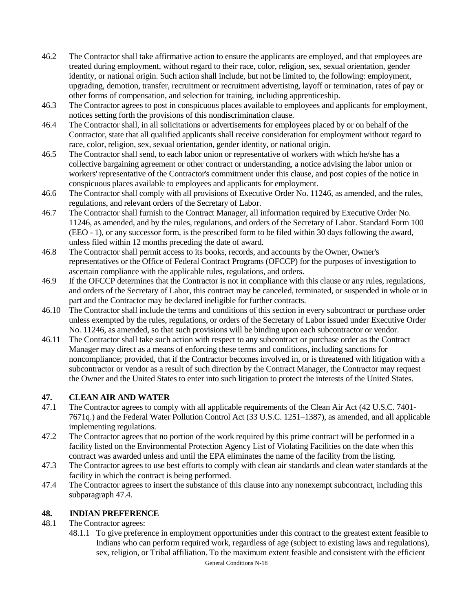- 46.2 The Contractor shall take affirmative action to ensure the applicants are employed, and that employees are treated during employment, without regard to their race, color, religion, sex, sexual orientation, gender identity, or national origin. Such action shall include, but not be limited to, the following: employment, upgrading, demotion, transfer, recruitment or recruitment advertising, layoff or termination, rates of pay or other forms of compensation, and selection for training, including apprenticeship.
- 46.3 The Contractor agrees to post in conspicuous places available to employees and applicants for employment, notices setting forth the provisions of this nondiscrimination clause.
- 46.4 The Contractor shall, in all solicitations or advertisements for employees placed by or on behalf of the Contractor, state that all qualified applicants shall receive consideration for employment without regard to race, color, religion, sex, sexual orientation, gender identity, or national origin.
- 46.5 The Contractor shall send, to each labor union or representative of workers with which he/she has a collective bargaining agreement or other contract or understanding, a notice advising the labor union or workers' representative of the Contractor's commitment under this clause, and post copies of the notice in conspicuous places available to employees and applicants for employment.
- 46.6 The Contractor shall comply with all provisions of Executive Order No. 11246, as amended, and the rules, regulations, and relevant orders of the Secretary of Labor.
- 46.7 The Contractor shall furnish to the Contract Manager, all information required by Executive Order No. 11246, as amended, and by the rules, regulations, and orders of the Secretary of Labor. Standard Form 100 (EEO - 1), or any successor form, is the prescribed form to be filed within 30 days following the award, unless filed within 12 months preceding the date of award.
- 46.8 The Contractor shall permit access to its books, records, and accounts by the Owner, Owner's representatives or the Office of Federal Contract Programs (OFCCP) for the purposes of investigation to ascertain compliance with the applicable rules, regulations, and orders.
- 46.9 If the OFCCP determines that the Contractor is not in compliance with this clause or any rules, regulations, and orders of the Secretary of Labor, this contract may be canceled, terminated, or suspended in whole or in part and the Contractor may be declared ineligible for further contracts.
- 46.10 The Contractor shall include the terms and conditions of this section in every subcontract or purchase order unless exempted by the rules, regulations, or orders of the Secretary of Labor issued under Executive Order No. 11246, as amended, so that such provisions will be binding upon each subcontractor or vendor.
- 46.11 The Contractor shall take such action with respect to any subcontract or purchase order as the Contract Manager may direct as a means of enforcing these terms and conditions, including sanctions for noncompliance; provided, that if the Contractor becomes involved in, or is threatened with litigation with a subcontractor or vendor as a result of such direction by the Contract Manager, the Contractor may request the Owner and the United States to enter into such litigation to protect the interests of the United States.

### **47. CLEAN AIR AND WATER**

- 47.1 The Contractor agrees to comply with all applicable requirements of the Clean Air Act (42 U.S.C. 7401- 7671q.) and the Federal Water Pollution Control Act (33 U.S.C. 1251–1387), as amended, and all applicable implementing regulations.
- 47.2 The Contractor agrees that no portion of the work required by this prime contract will be performed in a facility listed on the Environmental Protection Agency List of Violating Facilities on the date when this contract was awarded unless and until the EPA eliminates the name of the facility from the listing.
- 47.3 The Contractor agrees to use best efforts to comply with clean air standards and clean water standards at the facility in which the contract is being performed.
- 47.4 The Contractor agrees to insert the substance of this clause into any nonexempt subcontract, including this subparagraph 47.4.

### **48. INDIAN PREFERENCE**

### 48.1 The Contractor agrees:

48.1.1 To give preference in employment opportunities under this contract to the greatest extent feasible to Indians who can perform required work, regardless of age (subject to existing laws and regulations), sex, religion, or Tribal affiliation. To the maximum extent feasible and consistent with the efficient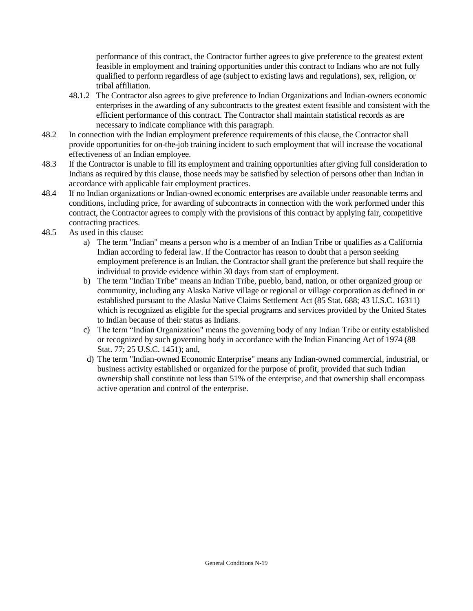performance of this contract, the Contractor further agrees to give preference to the greatest extent feasible in employment and training opportunities under this contract to Indians who are not fully qualified to perform regardless of age (subject to existing laws and regulations), sex, religion, or tribal affiliation.

- 48.1.2 The Contractor also agrees to give preference to Indian Organizations and Indian-owners economic enterprises in the awarding of any subcontracts to the greatest extent feasible and consistent with the efficient performance of this contract. The Contractor shall maintain statistical records as are necessary to indicate compliance with this paragraph.
- 48.2 In connection with the Indian employment preference requirements of this clause, the Contractor shall provide opportunities for on-the-job training incident to such employment that will increase the vocational effectiveness of an Indian employee.
- 48.3 If the Contractor is unable to fill its employment and training opportunities after giving full consideration to Indians as required by this clause, those needs may be satisfied by selection of persons other than Indian in accordance with applicable fair employment practices.
- 48.4 If no Indian organizations or Indian-owned economic enterprises are available under reasonable terms and conditions, including price, for awarding of subcontracts in connection with the work performed under this contract, the Contractor agrees to comply with the provisions of this contract by applying fair, competitive contracting practices.
- 48.5 As used in this clause:
	- a) The term "Indian" means a person who is a member of an Indian Tribe or qualifies as a California Indian according to federal law. If the Contractor has reason to doubt that a person seeking employment preference is an Indian, the Contractor shall grant the preference but shall require the individual to provide evidence within 30 days from start of employment.
	- b) The term "Indian Tribe" means an Indian Tribe, pueblo, band, nation, or other organized group or community, including any Alaska Native village or regional or village corporation as defined in or established pursuant to the Alaska Native Claims Settlement Act (85 Stat. 688; 43 U.S.C. 16311) which is recognized as eligible for the special programs and services provided by the United States to Indian because of their status as Indians.
	- c) The term "Indian Organization" means the governing body of any Indian Tribe or entity established or recognized by such governing body in accordance with the Indian Financing Act of 1974 (88 Stat. 77; 25 U.S.C. 1451); and,
	- d) The term "Indian-owned Economic Enterprise" means any Indian-owned commercial, industrial, or business activity established or organized for the purpose of profit, provided that such Indian ownership shall constitute not less than 51% of the enterprise, and that ownership shall encompass active operation and control of the enterprise.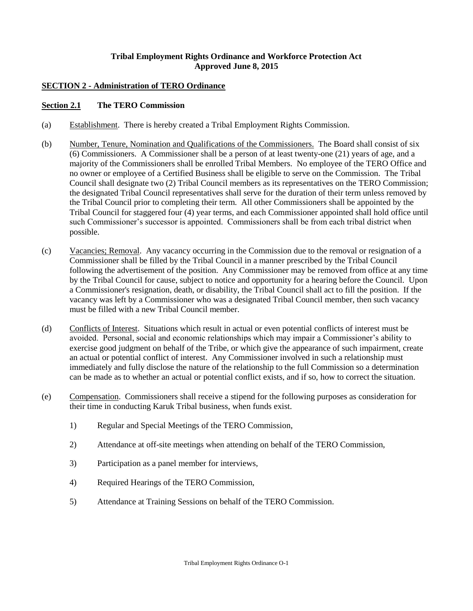#### **Tribal Employment Rights Ordinance and Workforce Protection Act Approved June 8, 2015**

#### **SECTION 2 - Administration of TERO Ordinance**

#### **Section 2.1 The TERO Commission**

- (a) Establishment. There is hereby created a Tribal Employment Rights Commission.
- (b) Number, Tenure, Nomination and Qualifications of the Commissioners. The Board shall consist of six (6) Commissioners. A Commissioner shall be a person of at least twenty-one (21) years of age, and a majority of the Commissioners shall be enrolled Tribal Members. No employee of the TERO Office and no owner or employee of a Certified Business shall be eligible to serve on the Commission. The Tribal Council shall designate two (2) Tribal Council members as its representatives on the TERO Commission; the designated Tribal Council representatives shall serve for the duration of their term unless removed by the Tribal Council prior to completing their term. All other Commissioners shall be appointed by the Tribal Council for staggered four (4) year terms, and each Commissioner appointed shall hold office until such Commissioner's successor is appointed. Commissioners shall be from each tribal district when possible.
- (c) Vacancies; Removal. Any vacancy occurring in the Commission due to the removal or resignation of a Commissioner shall be filled by the Tribal Council in a manner prescribed by the Tribal Council following the advertisement of the position. Any Commissioner may be removed from office at any time by the Tribal Council for cause, subject to notice and opportunity for a hearing before the Council. Upon a Commissioner's resignation, death, or disability, the Tribal Council shall act to fill the position. If the vacancy was left by a Commissioner who was a designated Tribal Council member, then such vacancy must be filled with a new Tribal Council member.
- (d) Conflicts of Interest. Situations which result in actual or even potential conflicts of interest must be avoided. Personal, social and economic relationships which may impair a Commissioner's ability to exercise good judgment on behalf of the Tribe, or which give the appearance of such impairment, create an actual or potential conflict of interest. Any Commissioner involved in such a relationship must immediately and fully disclose the nature of the relationship to the full Commission so a determination can be made as to whether an actual or potential conflict exists, and if so, how to correct the situation.
- (e) Compensation. Commissioners shall receive a stipend for the following purposes as consideration for their time in conducting Karuk Tribal business, when funds exist.
	- 1) Regular and Special Meetings of the TERO Commission,
	- 2) Attendance at off-site meetings when attending on behalf of the TERO Commission,
	- 3) Participation as a panel member for interviews,
	- 4) Required Hearings of the TERO Commission,
	- 5) Attendance at Training Sessions on behalf of the TERO Commission.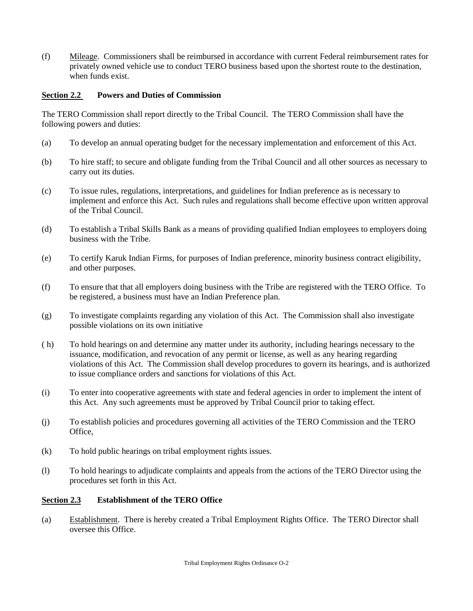(f) Mileage. Commissioners shall be reimbursed in accordance with current Federal reimbursement rates for privately owned vehicle use to conduct TERO business based upon the shortest route to the destination, when funds exist.

#### **Section 2.2 Powers and Duties of Commission**

The TERO Commission shall report directly to the Tribal Council. The TERO Commission shall have the following powers and duties:

- (a) To develop an annual operating budget for the necessary implementation and enforcement of this Act.
- (b) To hire staff; to secure and obligate funding from the Tribal Council and all other sources as necessary to carry out its duties.
- (c) To issue rules, regulations, interpretations, and guidelines for Indian preference as is necessary to implement and enforce this Act. Such rules and regulations shall become effective upon written approval of the Tribal Council.
- (d) To establish a Tribal Skills Bank as a means of providing qualified Indian employees to employers doing business with the Tribe.
- (e) To certify Karuk Indian Firms, for purposes of Indian preference, minority business contract eligibility, and other purposes.
- (f) To ensure that that all employers doing business with the Tribe are registered with the TERO Office. To be registered, a business must have an Indian Preference plan.
- (g) To investigate complaints regarding any violation of this Act. The Commission shall also investigate possible violations on its own initiative
- ( h) To hold hearings on and determine any matter under its authority, including hearings necessary to the issuance, modification, and revocation of any permit or license, as well as any hearing regarding violations of this Act. The Commission shall develop procedures to govern its hearings, and is authorized to issue compliance orders and sanctions for violations of this Act.
- (i) To enter into cooperative agreements with state and federal agencies in order to implement the intent of this Act. Any such agreements must be approved by Tribal Council prior to taking effect.
- (j) To establish policies and procedures governing all activities of the TERO Commission and the TERO Office,
- (k) To hold public hearings on tribal employment rights issues.
- (l) To hold hearings to adjudicate complaints and appeals from the actions of the TERO Director using the procedures set forth in this Act.

#### **Section 2.3 Establishment of the TERO Office**

(a) Establishment. There is hereby created a Tribal Employment Rights Office. The TERO Director shall oversee this Office.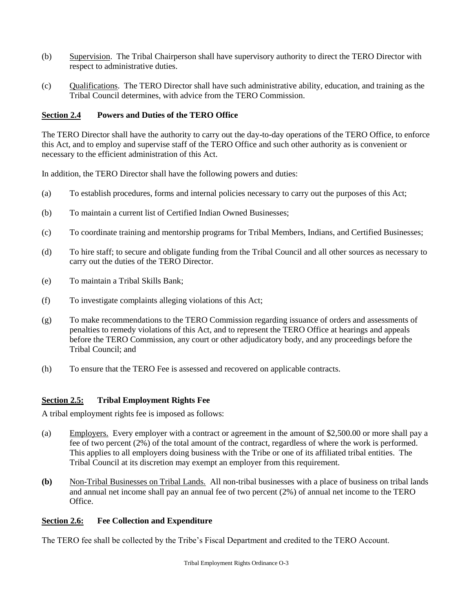- (b) Supervision. The Tribal Chairperson shall have supervisory authority to direct the TERO Director with respect to administrative duties.
- (c) Qualifications. The TERO Director shall have such administrative ability, education, and training as the Tribal Council determines, with advice from the TERO Commission.

### **Section 2.4 Powers and Duties of the TERO Office**

The TERO Director shall have the authority to carry out the day-to-day operations of the TERO Office, to enforce this Act, and to employ and supervise staff of the TERO Office and such other authority as is convenient or necessary to the efficient administration of this Act.

In addition, the TERO Director shall have the following powers and duties:

- (a) To establish procedures, forms and internal policies necessary to carry out the purposes of this Act;
- (b) To maintain a current list of Certified Indian Owned Businesses;
- (c) To coordinate training and mentorship programs for Tribal Members, Indians, and Certified Businesses;
- (d) To hire staff; to secure and obligate funding from the Tribal Council and all other sources as necessary to carry out the duties of the TERO Director.
- (e) To maintain a Tribal Skills Bank;
- (f) To investigate complaints alleging violations of this Act;
- (g) To make recommendations to the TERO Commission regarding issuance of orders and assessments of penalties to remedy violations of this Act, and to represent the TERO Office at hearings and appeals before the TERO Commission, any court or other adjudicatory body, and any proceedings before the Tribal Council; and
- (h) To ensure that the TERO Fee is assessed and recovered on applicable contracts.

### **Section 2.5: Tribal Employment Rights Fee**

A tribal employment rights fee is imposed as follows:

- (a) Employers. Every employer with a contract or agreement in the amount of \$2,500.00 or more shall pay a fee of two percent (2%) of the total amount of the contract, regardless of where the work is performed. This applies to all employers doing business with the Tribe or one of its affiliated tribal entities. The Tribal Council at its discretion may exempt an employer from this requirement.
- **(b)** Non-Tribal Businesses on Tribal Lands. All non-tribal businesses with a place of business on tribal lands and annual net income shall pay an annual fee of two percent (2%) of annual net income to the TERO Office.

#### **Section 2.6: Fee Collection and Expenditure**

The TERO fee shall be collected by the Tribe's Fiscal Department and credited to the TERO Account.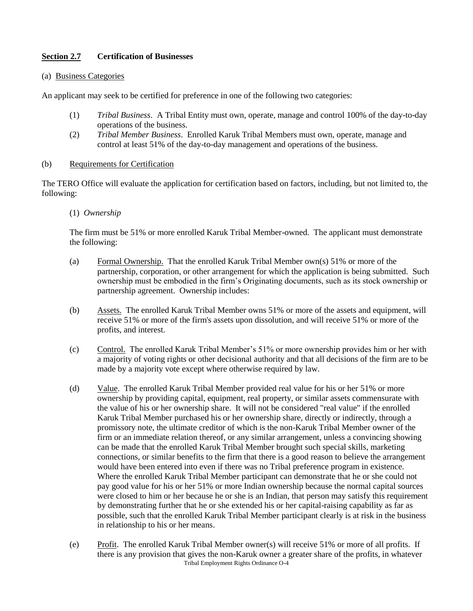#### **Section 2.7 Certification of Businesses**

#### (a) Business Categories

An applicant may seek to be certified for preference in one of the following two categories:

- (1) *Tribal Business*. A Tribal Entity must own, operate, manage and control 100% of the day-to-day operations of the business.
- (2) *Tribal Member Business*. Enrolled Karuk Tribal Members must own, operate, manage and control at least 51% of the day-to-day management and operations of the business.

#### (b) Requirements for Certification

The TERO Office will evaluate the application for certification based on factors, including, but not limited to, the following:

#### (1) *Ownership*

The firm must be 51% or more enrolled Karuk Tribal Member-owned. The applicant must demonstrate the following:

- (a) Formal Ownership. That the enrolled Karuk Tribal Member own(s) 51% or more of the partnership, corporation, or other arrangement for which the application is being submitted. Such ownership must be embodied in the firm's Originating documents, such as its stock ownership or partnership agreement. Ownership includes:
- (b) Assets. The enrolled Karuk Tribal Member owns 51% or more of the assets and equipment, will receive 51% or more of the firm's assets upon dissolution, and will receive 51% or more of the profits, and interest.
- (c) Control. The enrolled Karuk Tribal Member's 51% or more ownership provides him or her with a majority of voting rights or other decisional authority and that all decisions of the firm are to be made by a majority vote except where otherwise required by law.
- (d) Value. The enrolled Karuk Tribal Member provided real value for his or her 51% or more ownership by providing capital, equipment, real property, or similar assets commensurate with the value of his or her ownership share. It will not be considered "real value" if the enrolled Karuk Tribal Member purchased his or her ownership share, directly or indirectly, through a promissory note, the ultimate creditor of which is the non-Karuk Tribal Member owner of the firm or an immediate relation thereof, or any similar arrangement, unless a convincing showing can be made that the enrolled Karuk Tribal Member brought such special skills, marketing connections, or similar benefits to the firm that there is a good reason to believe the arrangement would have been entered into even if there was no Tribal preference program in existence. Where the enrolled Karuk Tribal Member participant can demonstrate that he or she could not pay good value for his or her 51% or more Indian ownership because the normal capital sources were closed to him or her because he or she is an Indian, that person may satisfy this requirement by demonstrating further that he or she extended his or her capital-raising capability as far as possible, such that the enrolled Karuk Tribal Member participant clearly is at risk in the business in relationship to his or her means.
- Tribal Employment Rights Ordinance O-4 (e) Profit. The enrolled Karuk Tribal Member owner(s) will receive 51% or more of all profits. If there is any provision that gives the non-Karuk owner a greater share of the profits, in whatever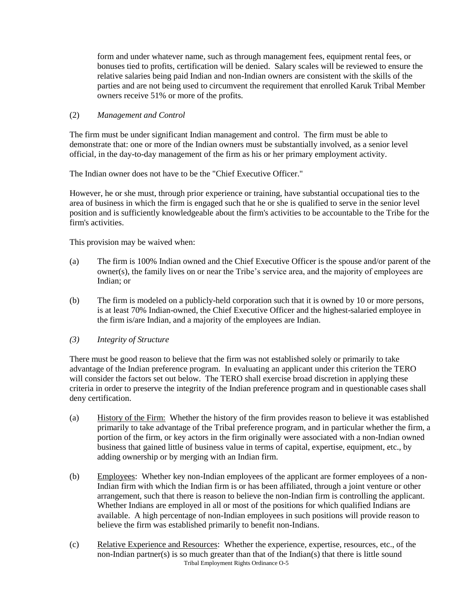form and under whatever name, such as through management fees, equipment rental fees, or bonuses tied to profits, certification will be denied. Salary scales will be reviewed to ensure the relative salaries being paid Indian and non-Indian owners are consistent with the skills of the parties and are not being used to circumvent the requirement that enrolled Karuk Tribal Member owners receive 51% or more of the profits.

#### (2) *Management and Control*

The firm must be under significant Indian management and control. The firm must be able to demonstrate that: one or more of the Indian owners must be substantially involved, as a senior level official, in the day-to-day management of the firm as his or her primary employment activity.

The Indian owner does not have to be the "Chief Executive Officer."

However, he or she must, through prior experience or training, have substantial occupational ties to the area of business in which the firm is engaged such that he or she is qualified to serve in the senior level position and is sufficiently knowledgeable about the firm's activities to be accountable to the Tribe for the firm's activities.

This provision may be waived when:

- (a) The firm is 100% Indian owned and the Chief Executive Officer is the spouse and/or parent of the owner(s), the family lives on or near the Tribe's service area, and the majority of employees are Indian; or
- (b) The firm is modeled on a publicly-held corporation such that it is owned by 10 or more persons, is at least 70% Indian-owned, the Chief Executive Officer and the highest-salaried employee in the firm is/are Indian, and a majority of the employees are Indian.
- *(3) Integrity of Structure*

There must be good reason to believe that the firm was not established solely or primarily to take advantage of the Indian preference program. In evaluating an applicant under this criterion the TERO will consider the factors set out below. The TERO shall exercise broad discretion in applying these criteria in order to preserve the integrity of the Indian preference program and in questionable cases shall deny certification.

- (a) History of the Firm: Whether the history of the firm provides reason to believe it was established primarily to take advantage of the Tribal preference program, and in particular whether the firm, a portion of the firm, or key actors in the firm originally were associated with a non-Indian owned business that gained little of business value in terms of capital, expertise, equipment, etc., by adding ownership or by merging with an Indian firm.
- (b) Employees: Whether key non-Indian employees of the applicant are former employees of a non-Indian firm with which the Indian firm is or has been affiliated, through a joint venture or other arrangement, such that there is reason to believe the non-Indian firm is controlling the applicant. Whether Indians are employed in all or most of the positions for which qualified Indians are available. A high percentage of non-Indian employees in such positions will provide reason to believe the firm was established primarily to benefit non-Indians.
- Tribal Employment Rights Ordinance O-5 (c) Relative Experience and Resources: Whether the experience, expertise, resources, etc., of the non-Indian partner(s) is so much greater than that of the Indian(s) that there is little sound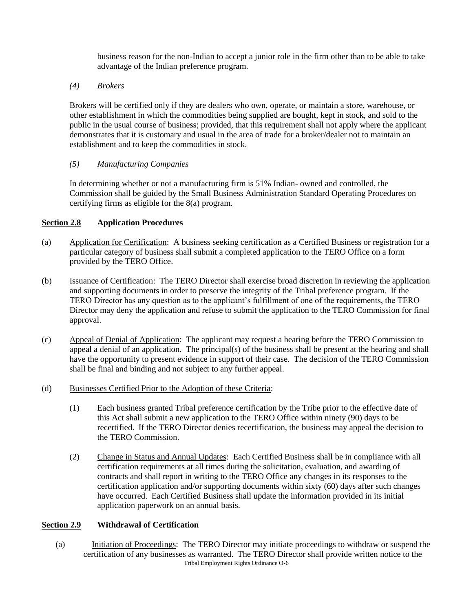business reason for the non-Indian to accept a junior role in the firm other than to be able to take advantage of the Indian preference program.

*(4) Brokers* 

Brokers will be certified only if they are dealers who own, operate, or maintain a store, warehouse, or other establishment in which the commodities being supplied are bought, kept in stock, and sold to the public in the usual course of business; provided, that this requirement shall not apply where the applicant demonstrates that it is customary and usual in the area of trade for a broker/dealer not to maintain an establishment and to keep the commodities in stock.

#### *(5) Manufacturing Companies*

In determining whether or not a manufacturing firm is 51% Indian- owned and controlled, the Commission shall be guided by the Small Business Administration Standard Operating Procedures on certifying firms as eligible for the 8(a) program.

### **Section 2.8 Application Procedures**

- (a) Application for Certification: A business seeking certification as a Certified Business or registration for a particular category of business shall submit a completed application to the TERO Office on a form provided by the TERO Office.
- (b) Issuance of Certification: The TERO Director shall exercise broad discretion in reviewing the application and supporting documents in order to preserve the integrity of the Tribal preference program. If the TERO Director has any question as to the applicant's fulfillment of one of the requirements, the TERO Director may deny the application and refuse to submit the application to the TERO Commission for final approval.
- (c) Appeal of Denial of Application: The applicant may request a hearing before the TERO Commission to appeal a denial of an application. The principal(s) of the business shall be present at the hearing and shall have the opportunity to present evidence in support of their case. The decision of the TERO Commission shall be final and binding and not subject to any further appeal.
- (d) Businesses Certified Prior to the Adoption of these Criteria:
	- (1) Each business granted Tribal preference certification by the Tribe prior to the effective date of this Act shall submit a new application to the TERO Office within ninety (90) days to be recertified. If the TERO Director denies recertification, the business may appeal the decision to the TERO Commission.
	- (2) Change in Status and Annual Updates: Each Certified Business shall be in compliance with all certification requirements at all times during the solicitation, evaluation, and awarding of contracts and shall report in writing to the TERO Office any changes in its responses to the certification application and/or supporting documents within sixty (60) days after such changes have occurred. Each Certified Business shall update the information provided in its initial application paperwork on an annual basis.

#### **Section 2.9 Withdrawal of Certification**

Tribal Employment Rights Ordinance O-6 (a) Initiation of Proceedings: The TERO Director may initiate proceedings to withdraw or suspend the certification of any businesses as warranted. The TERO Director shall provide written notice to the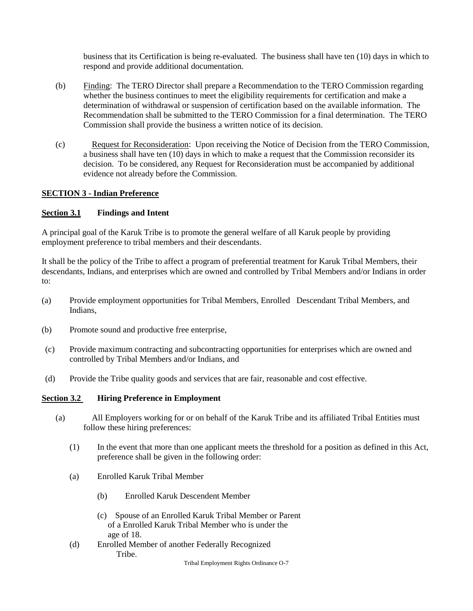business that its Certification is being re-evaluated. The business shall have ten (10) days in which to respond and provide additional documentation.

- (b) Finding: The TERO Director shall prepare a Recommendation to the TERO Commission regarding whether the business continues to meet the eligibility requirements for certification and make a determination of withdrawal or suspension of certification based on the available information. The Recommendation shall be submitted to the TERO Commission for a final determination. The TERO Commission shall provide the business a written notice of its decision.
- (c) Request for Reconsideration: Upon receiving the Notice of Decision from the TERO Commission, a business shall have ten (10) days in which to make a request that the Commission reconsider its decision. To be considered, any Request for Reconsideration must be accompanied by additional evidence not already before the Commission.

#### **SECTION 3 - Indian Preference**

#### **Section 3.1 Findings and Intent**

A principal goal of the Karuk Tribe is to promote the general welfare of all Karuk people by providing employment preference to tribal members and their descendants.

It shall be the policy of the Tribe to affect a program of preferential treatment for Karuk Tribal Members, their descendants, Indians, and enterprises which are owned and controlled by Tribal Members and/or Indians in order to:

- (a) Provide employment opportunities for Tribal Members, Enrolled Descendant Tribal Members, and Indians,
- (b) Promote sound and productive free enterprise,
- (c) Provide maximum contracting and subcontracting opportunities for enterprises which are owned and controlled by Tribal Members and/or Indians, and
- (d) Provide the Tribe quality goods and services that are fair, reasonable and cost effective.

#### **Section 3.2 Hiring Preference in Employment**

- (a) All Employers working for or on behalf of the Karuk Tribe and its affiliated Tribal Entities must follow these hiring preferences:
	- (1) In the event that more than one applicant meets the threshold for a position as defined in this Act, preference shall be given in the following order:
	- (a) Enrolled Karuk Tribal Member
		- (b) Enrolled Karuk Descendent Member
		- (c) Spouse of an Enrolled Karuk Tribal Member or Parent of a Enrolled Karuk Tribal Member who is under the age of 18.
	- (d) Enrolled Member of another Federally Recognized Tribe.

Tribal Employment Rights Ordinance O-7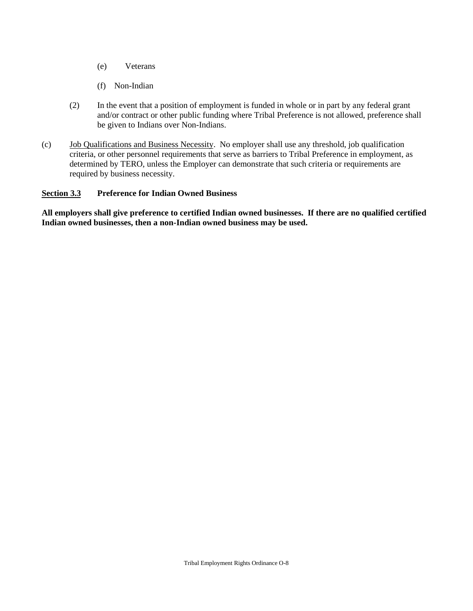- (e) Veterans
- (f) Non-Indian
- (2) In the event that a position of employment is funded in whole or in part by any federal grant and/or contract or other public funding where Tribal Preference is not allowed, preference shall be given to Indians over Non-Indians.
- (c) Job Qualifications and Business Necessity. No employer shall use any threshold, job qualification criteria, or other personnel requirements that serve as barriers to Tribal Preference in employment, as determined by TERO, unless the Employer can demonstrate that such criteria or requirements are required by business necessity.

#### **Section 3.3 Preference for Indian Owned Business**

**All employers shall give preference to certified Indian owned businesses. If there are no qualified certified Indian owned businesses, then a non-Indian owned business may be used.**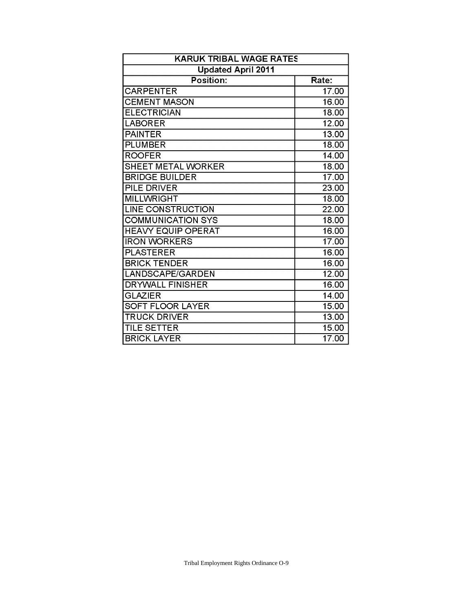| <b>KARUK TRIBAL WAGE RATES</b><br><b>Updated April 2011</b> |       |
|-------------------------------------------------------------|-------|
|                                                             |       |
| <b>CARPENTER</b>                                            | 17.00 |
| <b>CEMENT MASON</b>                                         | 16.00 |
| <b>ELECTRICIAN</b>                                          | 18.00 |
| <b>LABORER</b>                                              | 12.00 |
| <b>PAINTER</b>                                              | 13.00 |
| <b>PLUMBER</b>                                              | 18.00 |
| <b>ROOFER</b>                                               | 14.00 |
| <b>SHEET METAL WORKER</b>                                   | 18.00 |
| <b>BRIDGE BUILDER</b>                                       | 17.00 |
| <b>PILE DRIVER</b>                                          | 23.00 |
| <b>MILLWRIGHT</b>                                           | 18.00 |
| <b>LINE CONSTRUCTION</b>                                    | 22.00 |
| <b>COMMUNICATION SYS</b>                                    | 18.00 |
| <b>HEAVY EQUIP OPERAT</b>                                   | 16.00 |
| <b>IRON WORKERS</b>                                         | 17.00 |
| <b>PLASTERER</b>                                            | 16.00 |
| <b>BRICK TENDER</b>                                         | 16.00 |
| LANDSCAPE/GARDEN                                            | 12.00 |
| <b>DRYWALL FINISHER</b>                                     | 16.00 |
| <b>GLAZIER</b>                                              | 14.00 |
| <b>SOFT FLOOR LAYER</b>                                     | 15.00 |
| <b>TRUCK DRIVER</b>                                         | 13.00 |
| <b>TILE SETTER</b>                                          | 15.00 |
| <b>BRICK LAYER</b>                                          | 17.00 |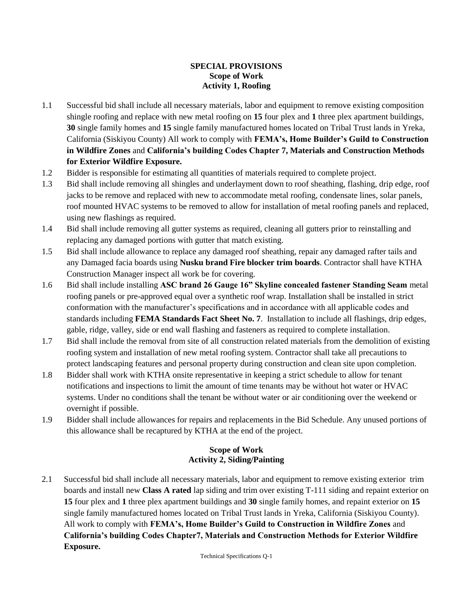#### **SPECIAL PROVISIONS Scope of Work Activity 1, Roofing**

- 1.1 Successful bid shall include all necessary materials, labor and equipment to remove existing composition shingle roofing and replace with new metal roofing on **15** four plex and **1** three plex apartment buildings, **30** single family homes and **15** single family manufactured homes located on Tribal Trust lands in Yreka, California (Siskiyou County) All work to comply with **FEMA's, Home Builder's Guild to Construction in Wildfire Zones** and **California's building Codes Chapter 7, Materials and Construction Methods for Exterior Wildfire Exposure.**
- 1.2 Bidder is responsible for estimating all quantities of materials required to complete project.
- 1.3 Bid shall include removing all shingles and underlayment down to roof sheathing, flashing, drip edge, roof jacks to be remove and replaced with new to accommodate metal roofing, condensate lines, solar panels, roof mounted HVAC systems to be removed to allow for installation of metal roofing panels and replaced, using new flashings as required.
- 1.4 Bid shall include removing all gutter systems as required, cleaning all gutters prior to reinstalling and replacing any damaged portions with gutter that match existing.
- 1.5 Bid shall include allowance to replace any damaged roof sheathing, repair any damaged rafter tails and any Damaged facia boards using **Nusku brand Fire blocker trim boards**. Contractor shall have KTHA Construction Manager inspect all work be for covering.
- 1.6 Bid shall include installing **ASC brand 26 Gauge 16" Skyline concealed fastener Standing Seam** metal roofing panels or pre-approved equal over a synthetic roof wrap. Installation shall be installed in strict conformation with the manufacturer's specifications and in accordance with all applicable codes and standards including **FEMA Standards Fact Sheet No. 7**. Installation to include all flashings, drip edges, gable, ridge, valley, side or end wall flashing and fasteners as required to complete installation.
- 1.7 Bid shall include the removal from site of all construction related materials from the demolition of existing roofing system and installation of new metal roofing system. Contractor shall take all precautions to protect landscaping features and personal property during construction and clean site upon completion.
- 1.8 Bidder shall work with KTHA onsite representative in keeping a strict schedule to allow for tenant notifications and inspections to limit the amount of time tenants may be without hot water or HVAC systems. Under no conditions shall the tenant be without water or air conditioning over the weekend or overnight if possible.
- 1.9 Bidder shall include allowances for repairs and replacements in the Bid Schedule. Any unused portions of this allowance shall be recaptured by KTHA at the end of the project.

### **Scope of Work Activity 2, Siding/Painting**

2.1 Successful bid shall include all necessary materials, labor and equipment to remove existing exterior trim boards and install new **Class A rated** lap siding and trim over existing T-111 siding and repaint exterior on **15** four plex and **1** three plex apartment buildings and **30** single family homes, and repaint exterior on **15**  single family manufactured homes located on Tribal Trust lands in Yreka, California (Siskiyou County). All work to comply with **FEMA's, Home Builder's Guild to Construction in Wildfire Zones** and **California's building Codes Chapter7, Materials and Construction Methods for Exterior Wildfire Exposure.**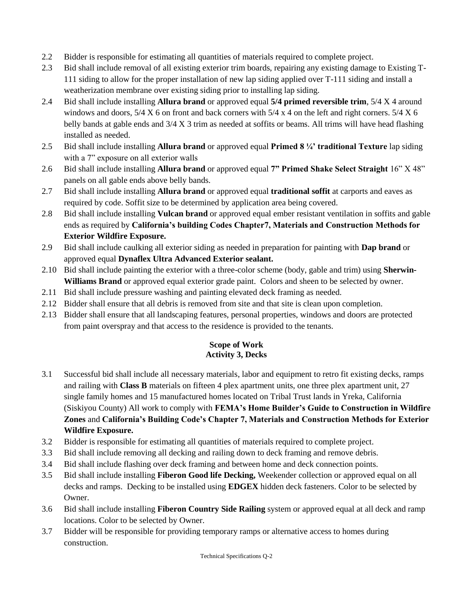- 2.2 Bidder is responsible for estimating all quantities of materials required to complete project.
- 2.3 Bid shall include removal of all existing exterior trim boards, repairing any existing damage to Existing T-111 siding to allow for the proper installation of new lap siding applied over T-111 siding and install a weatherization membrane over existing siding prior to installing lap siding.
- 2.4 Bid shall include installing **Allura brand** or approved equal **5/4 primed reversible trim**, 5/4 X 4 around windows and doors, 5/4 X 6 on front and back corners with 5/4 x 4 on the left and right corners. 5/4 X 6 belly bands at gable ends and 3/4 X 3 trim as needed at soffits or beams. All trims will have head flashing installed as needed.
- 2.5 Bid shall include installing **Allura brand** or approved equal **Primed 8 ¼' traditional Texture** lap siding with a 7" exposure on all exterior walls
- 2.6 Bid shall include installing **Allura brand** or approved equal **7" Primed Shake Select Straight** 16" X 48" panels on all gable ends above belly bands.
- 2.7 Bid shall include installing **Allura brand** or approved equal **traditional soffit** at carports and eaves as required by code. Soffit size to be determined by application area being covered.
- 2.8 Bid shall include installing **Vulcan brand** or approved equal ember resistant ventilation in soffits and gable ends as required by **California's building Codes Chapter7, Materials and Construction Methods for Exterior Wildfire Exposure.**
- 2.9 Bid shall include caulking all exterior siding as needed in preparation for painting with **Dap brand** or approved equal **Dynaflex Ultra Advanced Exterior sealant.**
- 2.10 Bid shall include painting the exterior with a three-color scheme (body, gable and trim) using **Sherwin-Williams Brand** or approved equal exterior grade paint. Colors and sheen to be selected by owner.
- 2.11 Bid shall include pressure washing and painting elevated deck framing as needed.
- 2.12 Bidder shall ensure that all debris is removed from site and that site is clean upon completion.
- 2.13 Bidder shall ensure that all landscaping features, personal properties, windows and doors are protected from paint overspray and that access to the residence is provided to the tenants.

### **Scope of Work Activity 3, Decks**

- 3.1 Successful bid shall include all necessary materials, labor and equipment to retro fit existing decks, ramps and railing with **Class B** materials on fifteen 4 plex apartment units, one three plex apartment unit, 27 single family homes and 15 manufactured homes located on Tribal Trust lands in Yreka, California (Siskiyou County) All work to comply with **FEMA's Home Builder's Guide to Construction in Wildfire Zones** and **California's Building Code's Chapter 7, Materials and Construction Methods for Exterior Wildfire Exposure.**
- 3.2 Bidder is responsible for estimating all quantities of materials required to complete project.
- 3.3 Bid shall include removing all decking and railing down to deck framing and remove debris.
- 3.4 Bid shall include flashing over deck framing and between home and deck connection points.
- 3.5 Bid shall include installing **Fiberon Good life Decking,** Weekender collection or approved equal on all decks and ramps. Decking to be installed using **EDGEX** hidden deck fasteners. Color to be selected by Owner.
- 3.6 Bid shall include installing **Fiberon Country Side Railing** system or approved equal at all deck and ramp locations. Color to be selected by Owner.
- 3.7 Bidder will be responsible for providing temporary ramps or alternative access to homes during construction.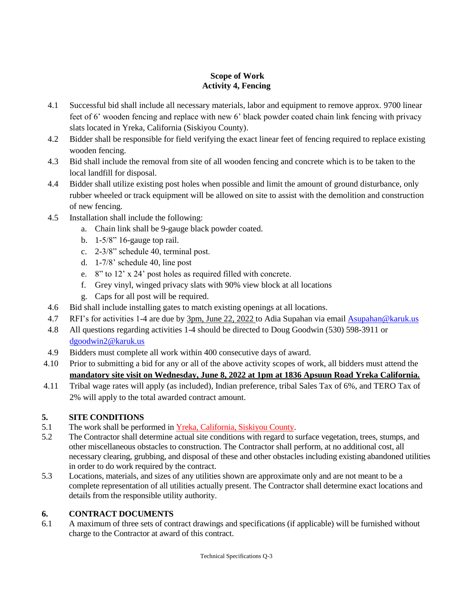### **Scope of Work Activity 4, Fencing**

- 4.1 Successful bid shall include all necessary materials, labor and equipment to remove approx. 9700 linear feet of 6' wooden fencing and replace with new 6' black powder coated chain link fencing with privacy slats located in Yreka, California (Siskiyou County).
- 4.2 Bidder shall be responsible for field verifying the exact linear feet of fencing required to replace existing wooden fencing.
- 4.3 Bid shall include the removal from site of all wooden fencing and concrete which is to be taken to the local landfill for disposal.
- 4.4 Bidder shall utilize existing post holes when possible and limit the amount of ground disturbance, only rubber wheeled or track equipment will be allowed on site to assist with the demolition and construction of new fencing.
- 4.5 Installation shall include the following:
	- a. Chain link shall be 9-gauge black powder coated.
	- b. 1-5/8" 16-gauge top rail.
	- c. 2-3/8" schedule 40, terminal post.
	- d. 1-7/8' schedule 40, line post
	- e. 8" to 12' x 24' post holes as required filled with concrete.
	- f. Grey vinyl, winged privacy slats with 90% view block at all locations
	- g. Caps for all post will be required.
- 4.6 Bid shall include installing gates to match existing openings at all locations.
- 4.7 RFI's for activities 1-4 are due by 3pm, June 22, 2022 to Adia Supahan via email [Asupahan@karuk.us](mailto:Asupahan@karuk.us)
- 4.8 All questions regarding activities 1-4 should be directed to Doug Goodwin (530) 598-3911 or [dgoodwin2@karuk.us](mailto:dgoodwin2@karuk.us)
- 4.9 Bidders must complete all work within 400 consecutive days of award.
- 4.10 Prior to submitting a bid for any or all of the above activity scopes of work, all bidders must attend the **mandatory site visit on Wednesday, June 8, 2022 at 1pm at 1836 Apsuun Road Yreka California.**
- 4.11 Tribal wage rates will apply (as included), Indian preference, tribal Sales Tax of 6%, and TERO Tax of 2% will apply to the total awarded contract amount.

# **5. SITE CONDITIONS**

- 5.1 The work shall be performed in Yreka, California, Siskiyou County.
- 5.2 The Contractor shall determine actual site conditions with regard to surface vegetation, trees, stumps, and other miscellaneous obstacles to construction. The Contractor shall perform, at no additional cost, all necessary clearing, grubbing, and disposal of these and other obstacles including existing abandoned utilities in order to do work required by the contract.
- 5.3 Locations, materials, and sizes of any utilities shown are approximate only and are not meant to be a complete representation of all utilities actually present. The Contractor shall determine exact locations and details from the responsible utility authority.

### **6. CONTRACT DOCUMENTS**

6.1 A maximum of three sets of contract drawings and specifications (if applicable) will be furnished without charge to the Contractor at award of this contract.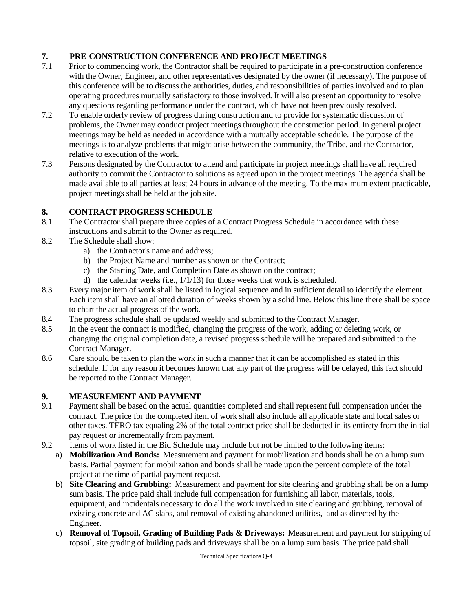# **7. PRE-CONSTRUCTION CONFERENCE AND PROJECT MEETINGS**

- 7.1 Prior to commencing work, the Contractor shall be required to participate in a pre-construction conference with the Owner, Engineer, and other representatives designated by the owner (if necessary). The purpose of this conference will be to discuss the authorities, duties, and responsibilities of parties involved and to plan operating procedures mutually satisfactory to those involved. It will also present an opportunity to resolve any questions regarding performance under the contract, which have not been previously resolved.
- 7.2 To enable orderly review of progress during construction and to provide for systematic discussion of problems, the Owner may conduct project meetings throughout the construction period. In general project meetings may be held as needed in accordance with a mutually acceptable schedule. The purpose of the meetings is to analyze problems that might arise between the community, the Tribe, and the Contractor, relative to execution of the work.
- 7.3 Persons designated by the Contractor to attend and participate in project meetings shall have all required authority to commit the Contractor to solutions as agreed upon in the project meetings. The agenda shall be made available to all parties at least 24 hours in advance of the meeting. To the maximum extent practicable, project meetings shall be held at the job site.

### **8. CONTRACT PROGRESS SCHEDULE**

- 8.1 The Contractor shall prepare three copies of a Contract Progress Schedule in accordance with these instructions and submit to the Owner as required.
- 8.2 The Schedule shall show:
	- a) the Contractor's name and address;
	- b) the Project Name and number as shown on the Contract;
	- c) the Starting Date, and Completion Date as shown on the contract;
	- d) the calendar weeks (i.e., 1/1/13) for those weeks that work is scheduled.
- 8.3 Every major item of work shall be listed in logical sequence and in sufficient detail to identify the element. Each item shall have an allotted duration of weeks shown by a solid line. Below this line there shall be space to chart the actual progress of the work.
- 8.4 The progress schedule shall be updated weekly and submitted to the Contract Manager.
- 8.5 In the event the contract is modified, changing the progress of the work, adding or deleting work, or changing the original completion date, a revised progress schedule will be prepared and submitted to the Contract Manager.
- 8.6 Care should be taken to plan the work in such a manner that it can be accomplished as stated in this schedule. If for any reason it becomes known that any part of the progress will be delayed, this fact should be reported to the Contract Manager.

### **9. MEASUREMENT AND PAYMENT**

- 9.1 Payment shall be based on the actual quantities completed and shall represent full compensation under the contract. The price for the completed item of work shall also include all applicable state and local sales or other taxes. TERO tax equaling 2% of the total contract price shall be deducted in its entirety from the initial pay request or incrementally from payment.
- 9.2 Items of work listed in the Bid Schedule may include but not be limited to the following items:
	- a) **Mobilization And Bonds:** Measurement and payment for mobilization and bonds shall be on a lump sum basis. Partial payment for mobilization and bonds shall be made upon the percent complete of the total project at the time of partial payment request.
		- b) **Site Clearing and Grubbing:** Measurement and payment for site clearing and grubbing shall be on a lump sum basis. The price paid shall include full compensation for furnishing all labor, materials, tools, equipment, and incidentals necessary to do all the work involved in site clearing and grubbing, removal of existing concrete and AC slabs, and removal of existing abandoned utilities, and as directed by the Engineer.
		- c) **Removal of Topsoil, Grading of Building Pads & Driveways:** Measurement and payment for stripping of topsoil, site grading of building pads and driveways shall be on a lump sum basis. The price paid shall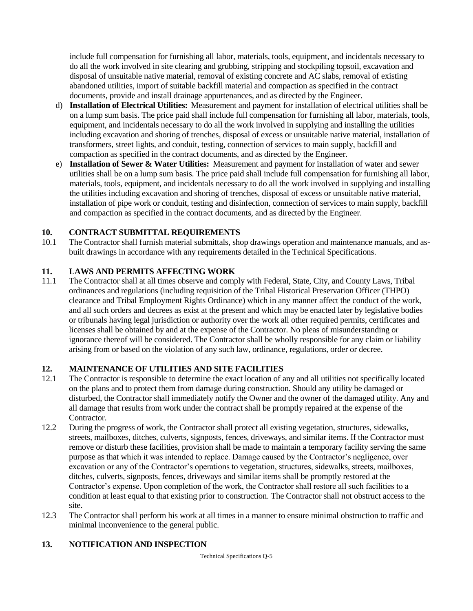include full compensation for furnishing all labor, materials, tools, equipment, and incidentals necessary to do all the work involved in site clearing and grubbing, stripping and stockpiling topsoil, excavation and disposal of unsuitable native material, removal of existing concrete and AC slabs, removal of existing abandoned utilities, import of suitable backfill material and compaction as specified in the contract documents, provide and install drainage appurtenances, and as directed by the Engineer.

- d) **Installation of Electrical Utilities:** Measurement and payment for installation of electrical utilities shall be on a lump sum basis. The price paid shall include full compensation for furnishing all labor, materials, tools, equipment, and incidentals necessary to do all the work involved in supplying and installing the utilities including excavation and shoring of trenches, disposal of excess or unsuitable native material, installation of transformers, street lights, and conduit, testing, connection of services to main supply, backfill and compaction as specified in the contract documents, and as directed by the Engineer.
- e) **Installation of Sewer & Water Utilities:** Measurement and payment for installation of water and sewer utilities shall be on a lump sum basis. The price paid shall include full compensation for furnishing all labor, materials, tools, equipment, and incidentals necessary to do all the work involved in supplying and installing the utilities including excavation and shoring of trenches, disposal of excess or unsuitable native material, installation of pipe work or conduit, testing and disinfection, connection of services to main supply, backfill and compaction as specified in the contract documents, and as directed by the Engineer.

#### **10. CONTRACT SUBMITTAL REQUIREMENTS**

10.1 The Contractor shall furnish material submittals, shop drawings operation and maintenance manuals, and asbuilt drawings in accordance with any requirements detailed in the Technical Specifications.

#### **11. LAWS AND PERMITS AFFECTING WORK**

11.1 The Contractor shall at all times observe and comply with Federal, State, City, and County Laws, Tribal ordinances and regulations (including requisition of the Tribal Historical Preservation Officer (THPO) clearance and Tribal Employment Rights Ordinance) which in any manner affect the conduct of the work, and all such orders and decrees as exist at the present and which may be enacted later by legislative bodies or tribunals having legal jurisdiction or authority over the work all other required permits, certificates and licenses shall be obtained by and at the expense of the Contractor. No pleas of misunderstanding or ignorance thereof will be considered. The Contractor shall be wholly responsible for any claim or liability arising from or based on the violation of any such law, ordinance, regulations, order or decree.

### **12. MAINTENANCE OF UTILITIES AND SITE FACILITIES**

- 12.1 The Contractor is responsible to determine the exact location of any and all utilities not specifically located on the plans and to protect them from damage during construction. Should any utility be damaged or disturbed, the Contractor shall immediately notify the Owner and the owner of the damaged utility. Any and all damage that results from work under the contract shall be promptly repaired at the expense of the Contractor.
- 12.2 During the progress of work, the Contractor shall protect all existing vegetation, structures, sidewalks, streets, mailboxes, ditches, culverts, signposts, fences, driveways, and similar items. If the Contractor must remove or disturb these facilities, provision shall be made to maintain a temporary facility serving the same purpose as that which it was intended to replace. Damage caused by the Contractor's negligence, over excavation or any of the Contractor's operations to vegetation, structures, sidewalks, streets, mailboxes, ditches, culverts, signposts, fences, driveways and similar items shall be promptly restored at the Contractor's expense. Upon completion of the work, the Contractor shall restore all such facilities to a condition at least equal to that existing prior to construction. The Contractor shall not obstruct access to the site.
- 12.3 The Contractor shall perform his work at all times in a manner to ensure minimal obstruction to traffic and minimal inconvenience to the general public.

#### **13. NOTIFICATION AND INSPECTION**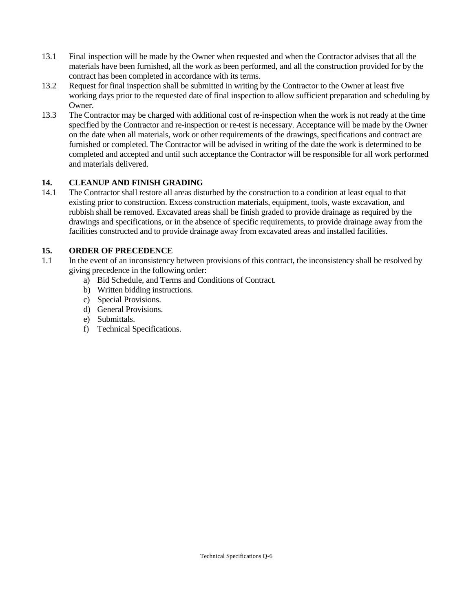- 13.1 Final inspection will be made by the Owner when requested and when the Contractor advises that all the materials have been furnished, all the work as been performed, and all the construction provided for by the contract has been completed in accordance with its terms.
- 13.2 Request for final inspection shall be submitted in writing by the Contractor to the Owner at least five working days prior to the requested date of final inspection to allow sufficient preparation and scheduling by Owner.
- 13.3 The Contractor may be charged with additional cost of re-inspection when the work is not ready at the time specified by the Contractor and re-inspection or re-test is necessary. Acceptance will be made by the Owner on the date when all materials, work or other requirements of the drawings, specifications and contract are furnished or completed. The Contractor will be advised in writing of the date the work is determined to be completed and accepted and until such acceptance the Contractor will be responsible for all work performed and materials delivered.

### **14. CLEANUP AND FINISH GRADING**

14.1 The Contractor shall restore all areas disturbed by the construction to a condition at least equal to that existing prior to construction. Excess construction materials, equipment, tools, waste excavation, and rubbish shall be removed. Excavated areas shall be finish graded to provide drainage as required by the drawings and specifications, or in the absence of specific requirements, to provide drainage away from the facilities constructed and to provide drainage away from excavated areas and installed facilities.

### **15. ORDER OF PRECEDENCE**

- 1.1 In the event of an inconsistency between provisions of this contract, the inconsistency shall be resolved by giving precedence in the following order:
	- a) Bid Schedule, and Terms and Conditions of Contract.
	- b) Written bidding instructions.
	- c) Special Provisions.
	- d) General Provisions.
	- e) Submittals.
	- f) Technical Specifications.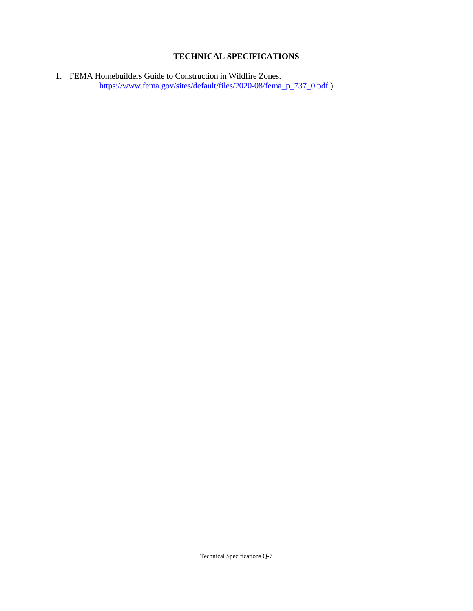## **TECHNICAL SPECIFICATIONS**

1. FEMA Homebuilders Guide to Construction in Wildfire Zones. [https://www.fema.gov/sites/default/files/2020-08/fema\\_p\\_737\\_0.pdf](https://www.fema.gov/sites/default/files/2020-08/fema_p_737_0.pdf) )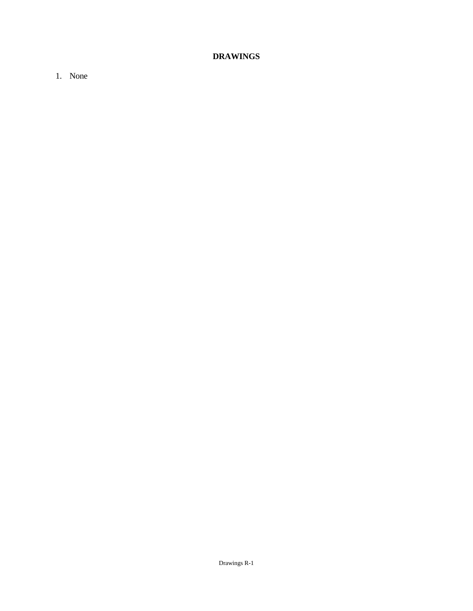# **DRAWINGS**

1. None